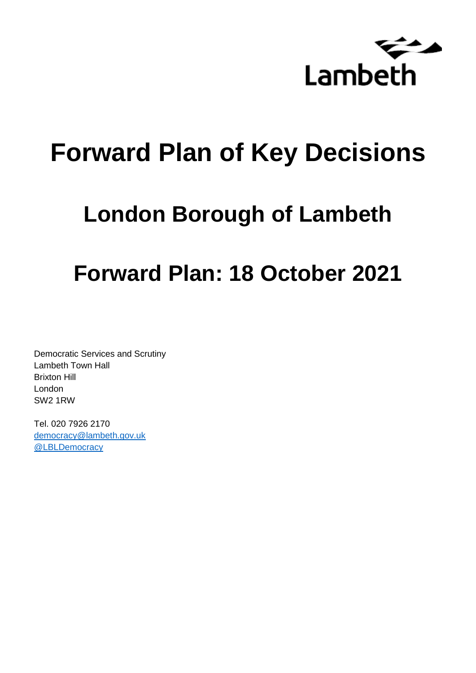

# **Forward Plan of Key Decisions**

# **London Borough of Lambeth**

# **Forward Plan: 18 October 2021**

Democratic Services and Scrutiny Lambeth Town Hall Brixton Hill London SW2 1RW

Tel. 020 7926 2170 [democracy@lambeth.gov.uk](mailto:democracy@lambeth.gov.uk) [@LBLDemocracy](https://twitter.com/LBLDemocracy?lang=en)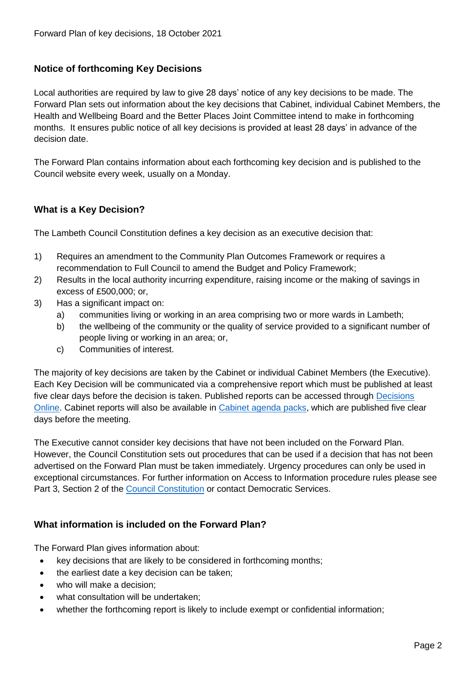# **Notice of forthcoming Key Decisions**

Local authorities are required by law to give 28 days' notice of any key decisions to be made. The Forward Plan sets out information about the key decisions that Cabinet, individual Cabinet Members, the Health and Wellbeing Board and the Better Places Joint Committee intend to make in forthcoming months. It ensures public notice of all key decisions is provided at least 28 days' in advance of the decision date.

The Forward Plan contains information about each forthcoming key decision and is published to the Council website every week, usually on a Monday.

# **What is a Key Decision?**

The Lambeth Council Constitution defines a key decision as an executive decision that:

- 1) Requires an amendment to the Community Plan Outcomes Framework or requires a recommendation to Full Council to amend the Budget and Policy Framework;
- 2) Results in the local authority incurring expenditure, raising income or the making of savings in excess of £500,000; or,
- 3) Has a significant impact on:
	- a) communities living or working in an area comprising two or more wards in Lambeth;
	- b) the wellbeing of the community or the quality of service provided to a significant number of people living or working in an area; or,
	- c) Communities of interest.

The majority of key decisions are taken by the Cabinet or individual Cabinet Members (the Executive). Each Key Decision will be communicated via a comprehensive report which must be published at least five clear days before the decision is taken. Published reports can be accessed through Decisions [Online.](http://moderngov.lambeth.gov.uk/mgDelegatedDecisions.aspx?bcr=1&DM=0&DS=2&K=0&DR=&V=0) Cabinet reports will also be available in [Cabinet agenda packs,](https://moderngov.lambeth.gov.uk/ieListMeetings.aspx?CommitteeId=225) which are published five clear days before the meeting.

The Executive cannot consider key decisions that have not been included on the Forward Plan. However, the Council Constitution sets out procedures that can be used if a decision that has not been advertised on the Forward Plan must be taken immediately. Urgency procedures can only be used in exceptional circumstances. For further information on Access to Information procedure rules please see Part 3, Section 2 of the [Council Constitution](http://moderngov.lambeth.gov.uk/ieListMeetings.aspx?CId=738&info=1&MD=Constitution) or contact Democratic Services.

# **What information is included on the Forward Plan?**

The Forward Plan gives information about:

- key decisions that are likely to be considered in forthcoming months;
- the earliest date a key decision can be taken;
- who will make a decision;
- what consultation will be undertaken;
- whether the forthcoming report is likely to include exempt or confidential information;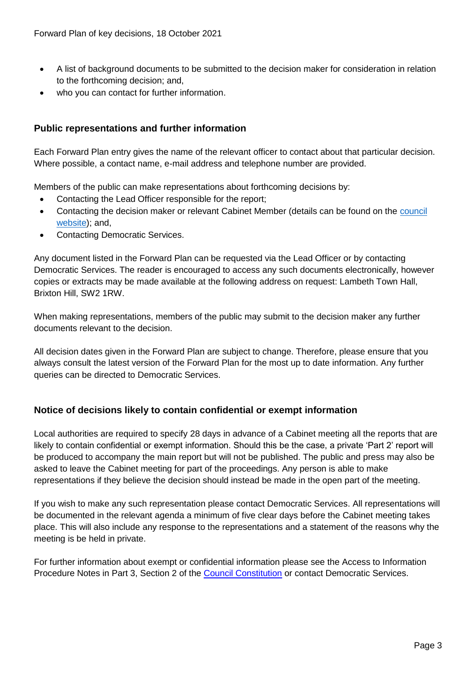- A list of background documents to be submitted to the decision maker for consideration in relation to the forthcoming decision; and,
- who you can contact for further information.

# **Public representations and further information**

Each Forward Plan entry gives the name of the relevant officer to contact about that particular decision. Where possible, a contact name, e-mail address and telephone number are provided.

Members of the public can make representations about forthcoming decisions by:

- Contacting the Lead Officer responsible for the report;
- Contacting the decision maker or relevant Cabinet Member (details can be found on the council [website\)](http://moderngov.lambeth.gov.uk/mgMemberIndex.aspx?bcr=1); and,
- Contacting Democratic Services.

Any document listed in the Forward Plan can be requested via the Lead Officer or by contacting Democratic Services. The reader is encouraged to access any such documents electronically, however copies or extracts may be made available at the following address on request: Lambeth Town Hall, Brixton Hill, SW2 1RW.

When making representations, members of the public may submit to the decision maker any further documents relevant to the decision.

All decision dates given in the Forward Plan are subject to change. Therefore, please ensure that you always consult the latest version of the Forward Plan for the most up to date information. Any further queries can be directed to Democratic Services.

# **Notice of decisions likely to contain confidential or exempt information**

Local authorities are required to specify 28 days in advance of a Cabinet meeting all the reports that are likely to contain confidential or exempt information. Should this be the case, a private 'Part 2' report will be produced to accompany the main report but will not be published. The public and press may also be asked to leave the Cabinet meeting for part of the proceedings. Any person is able to make representations if they believe the decision should instead be made in the open part of the meeting.

If you wish to make any such representation please contact Democratic Services. All representations will be documented in the relevant agenda a minimum of five clear days before the Cabinet meeting takes place. This will also include any response to the representations and a statement of the reasons why the meeting is be held in private.

For further information about exempt or confidential information please see the Access to Information Procedure Notes in Part 3, Section 2 of the [Council Constitution](http://moderngov.lambeth.gov.uk/ieListMeetings.aspx?CId=738&info=1&MD=Constitution) or contact Democratic Services.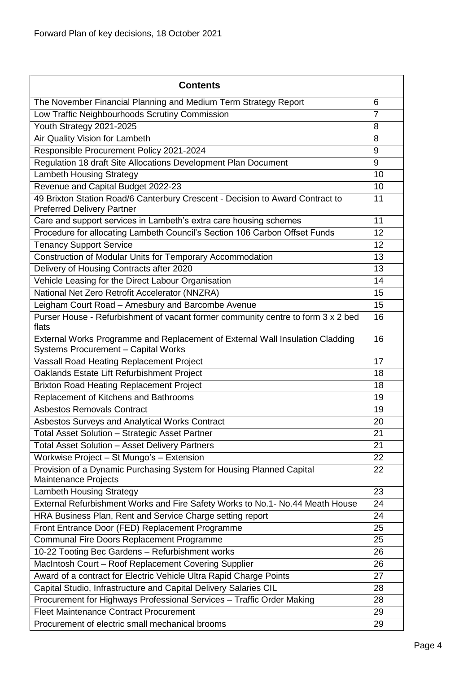| <b>Contents</b>                                                                                                      |                |
|----------------------------------------------------------------------------------------------------------------------|----------------|
| The November Financial Planning and Medium Term Strategy Report                                                      | 6              |
| Low Traffic Neighbourhoods Scrutiny Commission                                                                       | $\overline{7}$ |
| Youth Strategy 2021-2025                                                                                             | 8              |
| Air Quality Vision for Lambeth                                                                                       | 8              |
| Responsible Procurement Policy 2021-2024                                                                             | 9              |
| Regulation 18 draft Site Allocations Development Plan Document                                                       | 9              |
| <b>Lambeth Housing Strategy</b>                                                                                      | 10             |
| Revenue and Capital Budget 2022-23                                                                                   | 10             |
| 49 Brixton Station Road/6 Canterbury Crescent - Decision to Award Contract to<br><b>Preferred Delivery Partner</b>   | 11             |
| Care and support services in Lambeth's extra care housing schemes                                                    | 11             |
| Procedure for allocating Lambeth Council's Section 106 Carbon Offset Funds                                           | 12             |
| <b>Tenancy Support Service</b>                                                                                       | 12             |
| Construction of Modular Units for Temporary Accommodation                                                            | 13             |
| Delivery of Housing Contracts after 2020                                                                             | 13             |
| Vehicle Leasing for the Direct Labour Organisation                                                                   | 14             |
| National Net Zero Retrofit Accelerator (NNZRA)                                                                       | 15             |
| Leigham Court Road - Amesbury and Barcombe Avenue                                                                    | 15             |
| Purser House - Refurbishment of vacant former community centre to form 3 x 2 bed<br>flats                            | 16             |
| External Works Programme and Replacement of External Wall Insulation Cladding<br>Systems Procurement - Capital Works | 16             |
| Vassall Road Heating Replacement Project                                                                             | 17             |
| Oaklands Estate Lift Refurbishment Project                                                                           | 18             |
| <b>Brixton Road Heating Replacement Project</b>                                                                      | 18             |
| Replacement of Kitchens and Bathrooms                                                                                | 19             |
| <b>Asbestos Removals Contract</b>                                                                                    | 19             |
| Asbestos Surveys and Analytical Works Contract                                                                       | 20             |
| Total Asset Solution - Strategic Asset Partner                                                                       | 21             |
| <b>Total Asset Solution - Asset Delivery Partners</b>                                                                | 21             |
| Workwise Project - St Mungo's - Extension                                                                            | 22             |
| Provision of a Dynamic Purchasing System for Housing Planned Capital<br>Maintenance Projects                         | 22             |
| <b>Lambeth Housing Strategy</b>                                                                                      | 23             |
| External Refurbishment Works and Fire Safety Works to No.1- No.44 Meath House                                        | 24             |
| HRA Business Plan, Rent and Service Charge setting report                                                            | 24             |
| Front Entrance Door (FED) Replacement Programme                                                                      | 25             |
| Communal Fire Doors Replacement Programme                                                                            | 25             |
| 10-22 Tooting Bec Gardens - Refurbishment works                                                                      | 26             |
| MacIntosh Court - Roof Replacement Covering Supplier                                                                 | 26             |
| Award of a contract for Electric Vehicle Ultra Rapid Charge Points                                                   | 27             |
| Capital Studio, Infrastructure and Capital Delivery Salaries CIL                                                     | 28             |
| Procurement for Highways Professional Services - Traffic Order Making                                                | 28             |
| <b>Fleet Maintenance Contract Procurement</b>                                                                        | 29             |
| Procurement of electric small mechanical brooms                                                                      | 29             |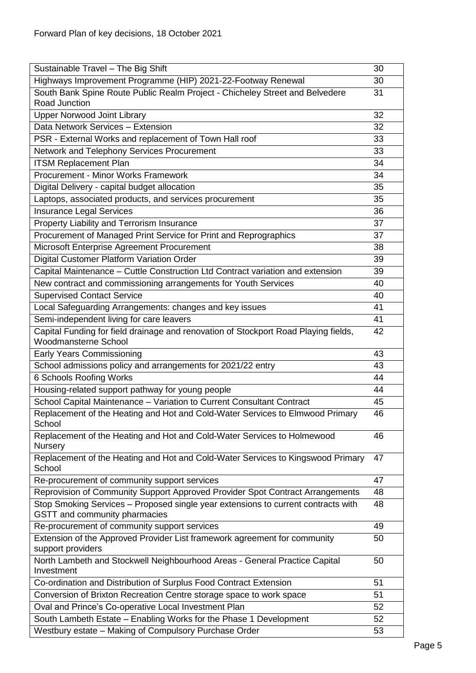| Sustainable Travel - The Big Shift                                                                                 | 30 |
|--------------------------------------------------------------------------------------------------------------------|----|
| Highways Improvement Programme (HIP) 2021-22-Footway Renewal                                                       | 30 |
| South Bank Spine Route Public Realm Project - Chicheley Street and Belvedere<br>Road Junction                      | 31 |
| <b>Upper Norwood Joint Library</b>                                                                                 | 32 |
| Data Network Services - Extension                                                                                  | 32 |
| PSR - External Works and replacement of Town Hall roof                                                             | 33 |
| Network and Telephony Services Procurement                                                                         | 33 |
| <b>ITSM Replacement Plan</b>                                                                                       | 34 |
| Procurement - Minor Works Framework                                                                                | 34 |
| Digital Delivery - capital budget allocation                                                                       | 35 |
| Laptops, associated products, and services procurement                                                             | 35 |
| <b>Insurance Legal Services</b>                                                                                    | 36 |
| Property Liability and Terrorism Insurance                                                                         | 37 |
| Procurement of Managed Print Service for Print and Reprographics                                                   | 37 |
| Microsoft Enterprise Agreement Procurement                                                                         | 38 |
| Digital Customer Platform Variation Order                                                                          | 39 |
| Capital Maintenance - Cuttle Construction Ltd Contract variation and extension                                     | 39 |
| New contract and commissioning arrangements for Youth Services                                                     | 40 |
| <b>Supervised Contact Service</b>                                                                                  | 40 |
| Local Safeguarding Arrangements: changes and key issues                                                            | 41 |
| Semi-independent living for care leavers                                                                           | 41 |
| Capital Funding for field drainage and renovation of Stockport Road Playing fields,<br><b>Woodmansterne School</b> | 42 |
| <b>Early Years Commissioning</b>                                                                                   | 43 |
| School admissions policy and arrangements for 2021/22 entry                                                        | 43 |
| <b>6 Schools Roofing Works</b>                                                                                     | 44 |
| Housing-related support pathway for young people                                                                   | 44 |
| School Capital Maintenance - Variation to Current Consultant Contract                                              | 45 |
| Replacement of the Heating and Hot and Cold-Water Services to Elmwood Primary<br>School                            | 46 |
| Replacement of the Heating and Hot and Cold-Water Services to Holmewood<br>Nursery                                 | 46 |
| Replacement of the Heating and Hot and Cold-Water Services to Kingswood Primary<br>School                          | 47 |
| Re-procurement of community support services                                                                       | 47 |
| Reprovision of Community Support Approved Provider Spot Contract Arrangements                                      | 48 |
| Stop Smoking Services - Proposed single year extensions to current contracts with<br>GSTT and community pharmacies | 48 |
| Re-procurement of community support services                                                                       | 49 |
| Extension of the Approved Provider List framework agreement for community                                          | 50 |
| support providers                                                                                                  |    |
| North Lambeth and Stockwell Neighbourhood Areas - General Practice Capital<br>Investment                           | 50 |
| Co-ordination and Distribution of Surplus Food Contract Extension                                                  | 51 |
| Conversion of Brixton Recreation Centre storage space to work space                                                | 51 |
| Oval and Prince's Co-operative Local Investment Plan                                                               | 52 |
| South Lambeth Estate - Enabling Works for the Phase 1 Development                                                  | 52 |
| Westbury estate - Making of Compulsory Purchase Order                                                              | 53 |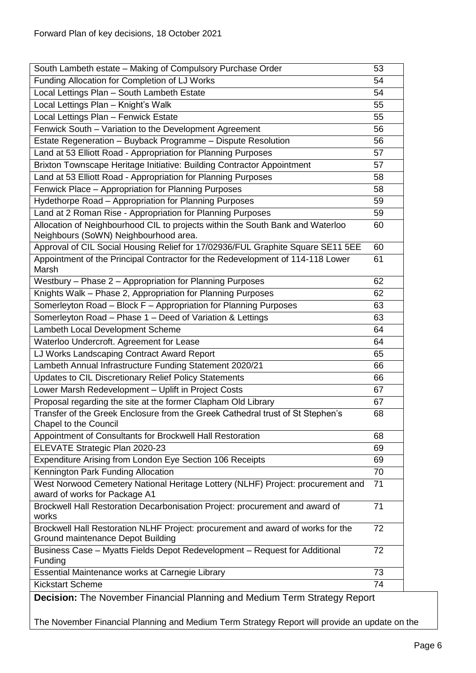| South Lambeth estate - Making of Compulsory Purchase Order<br>53                                                        |    |  |
|-------------------------------------------------------------------------------------------------------------------------|----|--|
| Funding Allocation for Completion of LJ Works                                                                           |    |  |
| Local Lettings Plan - South Lambeth Estate                                                                              |    |  |
| Local Lettings Plan - Knight's Walk                                                                                     | 55 |  |
| Local Lettings Plan - Fenwick Estate                                                                                    | 55 |  |
| Fenwick South - Variation to the Development Agreement                                                                  | 56 |  |
| Estate Regeneration - Buyback Programme - Dispute Resolution                                                            | 56 |  |
| Land at 53 Elliott Road - Appropriation for Planning Purposes                                                           | 57 |  |
| Brixton Townscape Heritage Initiative: Building Contractor Appointment                                                  | 57 |  |
| Land at 53 Elliott Road - Appropriation for Planning Purposes                                                           | 58 |  |
| Fenwick Place - Appropriation for Planning Purposes                                                                     | 58 |  |
| Hydethorpe Road - Appropriation for Planning Purposes                                                                   | 59 |  |
| Land at 2 Roman Rise - Appropriation for Planning Purposes                                                              | 59 |  |
| Allocation of Neighbourhood CIL to projects within the South Bank and Waterloo<br>Neighbours (SoWN) Neighbourhood area. | 60 |  |
| Approval of CIL Social Housing Relief for 17/02936/FUL Graphite Square SE11 5EE                                         | 60 |  |
| Appointment of the Principal Contractor for the Redevelopment of 114-118 Lower<br>Marsh                                 | 61 |  |
| Westbury - Phase 2 - Appropriation for Planning Purposes                                                                | 62 |  |
| Knights Walk - Phase 2, Appropriation for Planning Purposes                                                             | 62 |  |
| Somerleyton Road - Block F - Appropriation for Planning Purposes                                                        | 63 |  |
| Somerleyton Road - Phase 1 - Deed of Variation & Lettings                                                               | 63 |  |
| Lambeth Local Development Scheme                                                                                        |    |  |
| Waterloo Undercroft. Agreement for Lease<br>64                                                                          |    |  |
| LJ Works Landscaping Contract Award Report<br>65                                                                        |    |  |
| Lambeth Annual Infrastructure Funding Statement 2020/21<br>66                                                           |    |  |
| Updates to CIL Discretionary Relief Policy Statements                                                                   | 66 |  |
| Lower Marsh Redevelopment - Uplift in Project Costs                                                                     | 67 |  |
| Proposal regarding the site at the former Clapham Old Library                                                           | 67 |  |
| Transfer of the Greek Enclosure from the Greek Cathedral trust of St Stephen's<br><b>Chapel to the Council</b>          | 68 |  |
| Appointment of Consultants for Brockwell Hall Restoration                                                               | 68 |  |
| ELEVATE Strategic Plan 2020-23                                                                                          | 69 |  |
| Expenditure Arising from London Eye Section 106 Receipts                                                                | 69 |  |
| Kennington Park Funding Allocation                                                                                      | 70 |  |
| West Norwood Cemetery National Heritage Lottery (NLHF) Project: procurement and<br>71<br>award of works for Package A1  |    |  |
| Brockwell Hall Restoration Decarbonisation Project: procurement and award of<br>works                                   | 71 |  |
| Brockwell Hall Restoration NLHF Project: procurement and award of works for the<br>Ground maintenance Depot Building    | 72 |  |
| Business Case - Myatts Fields Depot Redevelopment - Request for Additional<br>Funding                                   | 72 |  |
| Essential Maintenance works at Carnegie Library                                                                         | 73 |  |
| <b>Kickstart Scheme</b>                                                                                                 |    |  |
| <b>Desigion:</b> The Navember Einensial Planning and Medium Term Strategy Penert                                        |    |  |

<span id="page-5-0"></span>**Decision:** The November Financial Planning and Medium Term Strategy Report

The November Financial Planning and Medium Term Strategy Report will provide an update on the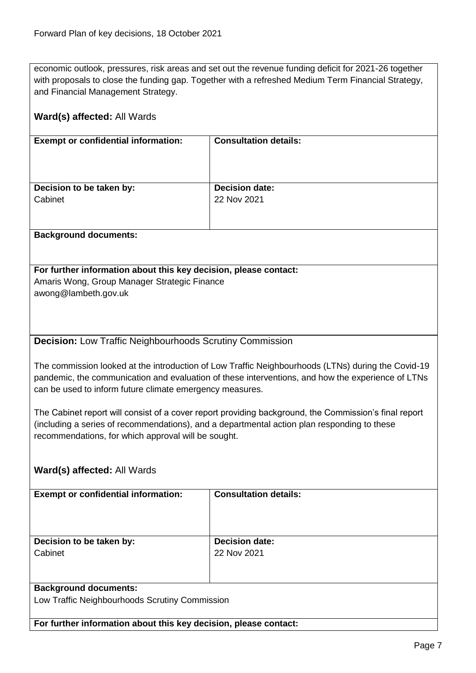economic outlook, pressures, risk areas and set out the revenue funding deficit for 2021-26 together with proposals to close the funding gap. Together with a refreshed Medium Term Financial Strategy, and Financial Management Strategy.

<span id="page-6-0"></span>

| Ward(s) affected: All Wards                                                                                                                                                                                                                                         |                              |  |
|---------------------------------------------------------------------------------------------------------------------------------------------------------------------------------------------------------------------------------------------------------------------|------------------------------|--|
| <b>Exempt or confidential information:</b>                                                                                                                                                                                                                          | <b>Consultation details:</b> |  |
|                                                                                                                                                                                                                                                                     |                              |  |
| Decision to be taken by:                                                                                                                                                                                                                                            | <b>Decision date:</b>        |  |
| Cabinet                                                                                                                                                                                                                                                             | 22 Nov 2021                  |  |
| <b>Background documents:</b>                                                                                                                                                                                                                                        |                              |  |
| For further information about this key decision, please contact:                                                                                                                                                                                                    |                              |  |
| Amaris Wong, Group Manager Strategic Finance<br>awong@lambeth.gov.uk                                                                                                                                                                                                |                              |  |
|                                                                                                                                                                                                                                                                     |                              |  |
|                                                                                                                                                                                                                                                                     |                              |  |
| <b>Decision:</b> Low Traffic Neighbourhoods Scrutiny Commission                                                                                                                                                                                                     |                              |  |
|                                                                                                                                                                                                                                                                     |                              |  |
| The commission looked at the introduction of Low Traffic Neighbourhoods (LTNs) during the Covid-19<br>pandemic, the communication and evaluation of these interventions, and how the experience of LTNs<br>can be used to inform future climate emergency measures. |                              |  |
| The Cabinet report will consist of a cover report providing background, the Commission's final report                                                                                                                                                               |                              |  |
| (including a series of recommendations), and a departmental action plan responding to these<br>recommendations, for which approval will be sought.                                                                                                                  |                              |  |
| Ward(s) affected: All Wards                                                                                                                                                                                                                                         |                              |  |
| <b>Exempt or confidential information:</b>                                                                                                                                                                                                                          | <b>Consultation details:</b> |  |
|                                                                                                                                                                                                                                                                     |                              |  |
|                                                                                                                                                                                                                                                                     | <b>Decision date:</b>        |  |
| Decision to be taken by:<br>Cabinet                                                                                                                                                                                                                                 | 22 Nov 2021                  |  |
|                                                                                                                                                                                                                                                                     |                              |  |
| <b>Background documents:</b>                                                                                                                                                                                                                                        |                              |  |
| Low Traffic Neighbourhoods Scrutiny Commission                                                                                                                                                                                                                      |                              |  |
| For further information about this key decision, please contact:                                                                                                                                                                                                    |                              |  |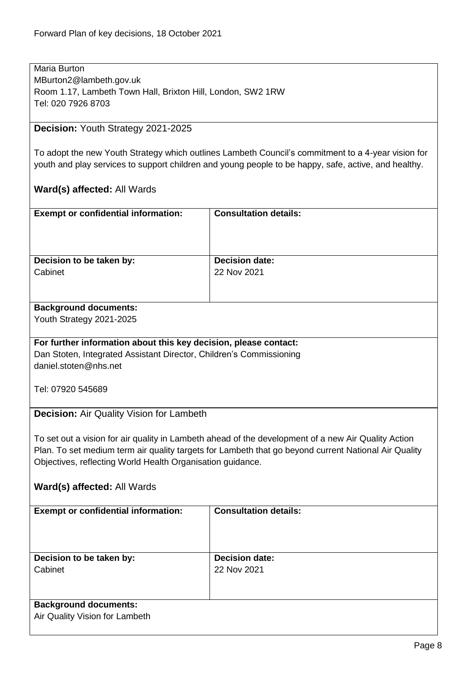Maria Burton MBurton2@lambeth.gov.uk Room 1.17, Lambeth Town Hall, Brixton Hill, London, SW2 1RW Tel: 020 7926 8703

# <span id="page-7-0"></span>**Decision:** Youth Strategy 2021-2025

To adopt the new Youth Strategy which outlines Lambeth Council's commitment to a 4-year vision for youth and play services to support children and young people to be happy, safe, active, and healthy.

<span id="page-7-1"></span>

| <b>Exempt or confidential information:</b>                          | <b>Consultation details:</b>                                                                         |  |
|---------------------------------------------------------------------|------------------------------------------------------------------------------------------------------|--|
|                                                                     |                                                                                                      |  |
| Decision to be taken by:                                            | <b>Decision date:</b>                                                                                |  |
| Cabinet                                                             | 22 Nov 2021                                                                                          |  |
|                                                                     |                                                                                                      |  |
|                                                                     |                                                                                                      |  |
| <b>Background documents:</b>                                        |                                                                                                      |  |
| Youth Strategy 2021-2025                                            |                                                                                                      |  |
| For further information about this key decision, please contact:    |                                                                                                      |  |
| Dan Stoten, Integrated Assistant Director, Children's Commissioning |                                                                                                      |  |
| daniel.stoten@nhs.net                                               |                                                                                                      |  |
|                                                                     |                                                                                                      |  |
| Tel: 07920 545689                                                   |                                                                                                      |  |
| Decision: Air Quality Vision for Lambeth                            |                                                                                                      |  |
|                                                                     |                                                                                                      |  |
|                                                                     | To set out a vision for air quality in Lambeth ahead of the development of a new Air Quality Action  |  |
|                                                                     | Plan. To set medium term air quality targets for Lambeth that go beyond current National Air Quality |  |
| Objectives, reflecting World Health Organisation guidance.          |                                                                                                      |  |
|                                                                     |                                                                                                      |  |
| Ward(s) affected: All Wards                                         |                                                                                                      |  |
| <b>Exempt or confidential information:</b>                          | <b>Consultation details:</b>                                                                         |  |
|                                                                     |                                                                                                      |  |
|                                                                     |                                                                                                      |  |
|                                                                     |                                                                                                      |  |
| Decision to be taken by:                                            | <b>Decision date:</b>                                                                                |  |
| Cabinet                                                             | 22 Nov 2021                                                                                          |  |
|                                                                     |                                                                                                      |  |
| <b>Background documents:</b>                                        |                                                                                                      |  |
| Air Quality Vision for Lambeth                                      |                                                                                                      |  |
|                                                                     |                                                                                                      |  |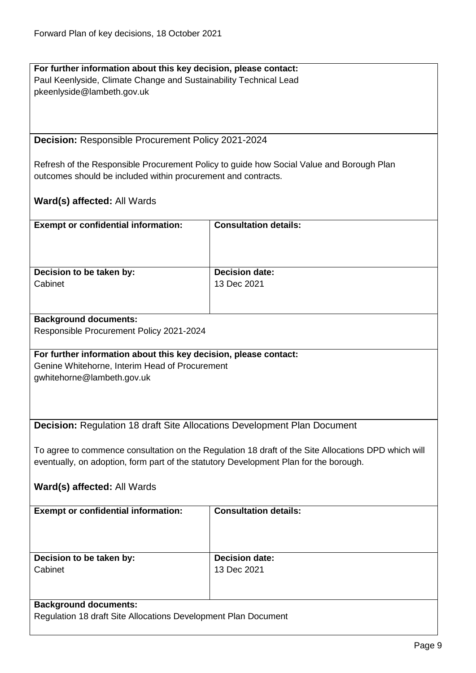$\mathsf{L}$ 

<span id="page-8-0"></span>

| For further information about this key decision, please contact:                      |                                                                                                     |
|---------------------------------------------------------------------------------------|-----------------------------------------------------------------------------------------------------|
| Paul Keenlyside, Climate Change and Sustainability Technical Lead                     |                                                                                                     |
| pkeenlyside@lambeth.gov.uk                                                            |                                                                                                     |
|                                                                                       |                                                                                                     |
|                                                                                       |                                                                                                     |
|                                                                                       |                                                                                                     |
| Decision: Responsible Procurement Policy 2021-2024                                    |                                                                                                     |
|                                                                                       |                                                                                                     |
|                                                                                       | Refresh of the Responsible Procurement Policy to guide how Social Value and Borough Plan            |
| outcomes should be included within procurement and contracts.                         |                                                                                                     |
|                                                                                       |                                                                                                     |
|                                                                                       |                                                                                                     |
| <b>Ward(s) affected: All Wards</b>                                                    |                                                                                                     |
|                                                                                       |                                                                                                     |
| <b>Exempt or confidential information:</b>                                            | <b>Consultation details:</b>                                                                        |
|                                                                                       |                                                                                                     |
|                                                                                       |                                                                                                     |
|                                                                                       |                                                                                                     |
| Decision to be taken by:                                                              | <b>Decision date:</b>                                                                               |
| Cabinet                                                                               | 13 Dec 2021                                                                                         |
|                                                                                       |                                                                                                     |
|                                                                                       |                                                                                                     |
| <b>Background documents:</b>                                                          |                                                                                                     |
| Responsible Procurement Policy 2021-2024                                              |                                                                                                     |
|                                                                                       |                                                                                                     |
| For further information about this key decision, please contact:                      |                                                                                                     |
| Genine Whitehorne, Interim Head of Procurement                                        |                                                                                                     |
| gwhitehorne@lambeth.gov.uk                                                            |                                                                                                     |
|                                                                                       |                                                                                                     |
|                                                                                       |                                                                                                     |
|                                                                                       |                                                                                                     |
| <b>Decision: Regulation 18 draft Site Allocations Development Plan Document</b>       |                                                                                                     |
|                                                                                       |                                                                                                     |
|                                                                                       | To agree to commence consultation on the Regulation 18 draft of the Site Allocations DPD which will |
| eventually, on adoption, form part of the statutory Development Plan for the borough. |                                                                                                     |
|                                                                                       |                                                                                                     |
|                                                                                       |                                                                                                     |
| Ward(s) affected: All Wards                                                           |                                                                                                     |
| <b>Consultation details:</b><br><b>Exempt or confidential information:</b>            |                                                                                                     |
|                                                                                       |                                                                                                     |
|                                                                                       |                                                                                                     |
|                                                                                       |                                                                                                     |
|                                                                                       |                                                                                                     |
| Decision to be taken by:                                                              | <b>Decision date:</b>                                                                               |
| Cabinet                                                                               | 13 Dec 2021                                                                                         |
|                                                                                       |                                                                                                     |
|                                                                                       |                                                                                                     |
| <b>Background documents:</b>                                                          |                                                                                                     |
| Regulation 18 draft Site Allocations Development Plan Document                        |                                                                                                     |

<span id="page-8-1"></span>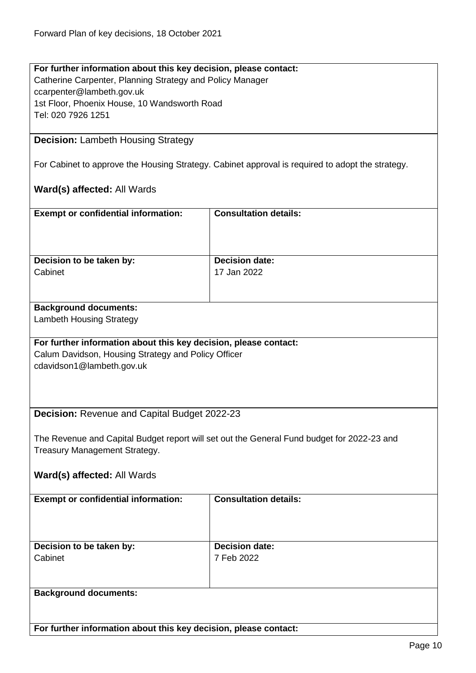#### **For further information about this key decision, please contact:** Catherine Carpenter, Planning Strategy and Policy Manager ccarpenter@lambeth.gov.uk 1st Floor, Phoenix House, 10 Wandsworth Road Tel: 020 7926 1251

#### <span id="page-9-0"></span>**Decision:** Lambeth Housing Strategy

For Cabinet to approve the Housing Strategy. Cabinet approval is required to adopt the strategy.

#### **Ward(s) affected:** All Wards

| <b>Exempt or confidential information:</b> | <b>Consultation details:</b> |
|--------------------------------------------|------------------------------|
| Decision to be taken by:                   | <b>Decision date:</b>        |
| Cabinet                                    | 17 Jan 2022                  |

# **Background documents:**

Lambeth Housing Strategy

#### **For further information about this key decision, please contact:**

Calum Davidson, Housing Strategy and Policy Officer cdavidson1@lambeth.gov.uk

#### <span id="page-9-1"></span>**Decision:** Revenue and Capital Budget 2022-23

The Revenue and Capital Budget report will set out the General Fund budget for 2022-23 and Treasury Management Strategy.

# **Ward(s) affected:** All Wards

| <b>Exempt or confidential information:</b> | <b>Consultation details:</b>        |
|--------------------------------------------|-------------------------------------|
| Decision to be taken by:<br>Cabinet        | <b>Decision date:</b><br>7 Feb 2022 |
|                                            |                                     |
| <b>Background documents:</b>               |                                     |

**For further information about this key decision, please contact:**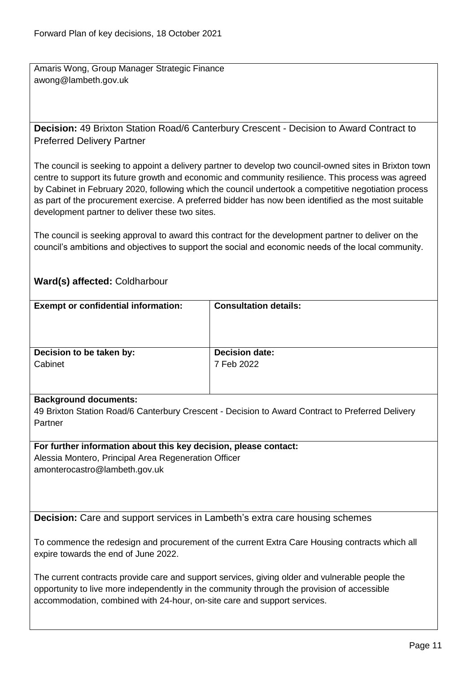Amaris Wong, Group Manager Strategic Finance awong@lambeth.gov.uk

<span id="page-10-0"></span>**Decision:** 49 Brixton Station Road/6 Canterbury Crescent - Decision to Award Contract to Preferred Delivery Partner

The council is seeking to appoint a delivery partner to develop two council-owned sites in Brixton town centre to support its future growth and economic and community resilience. This process was agreed by Cabinet in February 2020, following which the council undertook a competitive negotiation process as part of the procurement exercise. A preferred bidder has now been identified as the most suitable development partner to deliver these two sites.

The council is seeking approval to award this contract for the development partner to deliver on the council's ambitions and objectives to support the social and economic needs of the local community.

# **Ward(s) affected:** Coldharbour

| <b>Exempt or confidential information:</b> | <b>Consultation details:</b> |
|--------------------------------------------|------------------------------|
| Decision to be taken by:                   | <b>Decision date:</b>        |
| Cabinet                                    | 7 Feb 2022                   |
|                                            |                              |

#### **Background documents:**

49 Brixton Station Road/6 Canterbury Crescent - Decision to Award Contract to Preferred Delivery Partner

**For further information about this key decision, please contact:** Alessia Montero, Principal Area Regeneration Officer amonterocastro@lambeth.gov.uk

<span id="page-10-1"></span>**Decision:** Care and support services in Lambeth's extra care housing schemes

To commence the redesign and procurement of the current Extra Care Housing contracts which all expire towards the end of June 2022.

The current contracts provide care and support services, giving older and vulnerable people the opportunity to live more independently in the community through the provision of accessible accommodation, combined with 24-hour, on-site care and support services.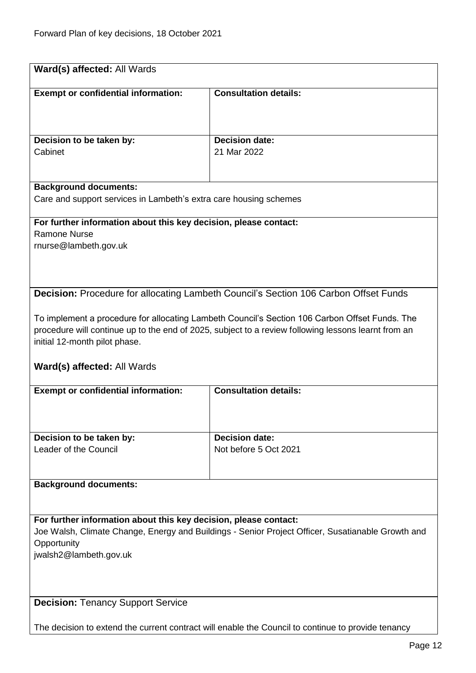<span id="page-11-1"></span><span id="page-11-0"></span>

| Ward(s) affected: All Wards                                                                                                                                                                                                                                                  |                                                                                                               |  |
|------------------------------------------------------------------------------------------------------------------------------------------------------------------------------------------------------------------------------------------------------------------------------|---------------------------------------------------------------------------------------------------------------|--|
| <b>Exempt or confidential information:</b>                                                                                                                                                                                                                                   | <b>Consultation details:</b>                                                                                  |  |
| Decision to be taken by:                                                                                                                                                                                                                                                     | <b>Decision date:</b>                                                                                         |  |
| Cabinet                                                                                                                                                                                                                                                                      | 21 Mar 2022                                                                                                   |  |
| <b>Background documents:</b><br>Care and support services in Lambeth's extra care housing schemes                                                                                                                                                                            |                                                                                                               |  |
| For further information about this key decision, please contact:<br><b>Ramone Nurse</b><br>rnurse@lambeth.gov.uk                                                                                                                                                             |                                                                                                               |  |
|                                                                                                                                                                                                                                                                              | <b>Decision:</b> Procedure for allocating Lambeth Council's Section 106 Carbon Offset Funds                   |  |
| To implement a procedure for allocating Lambeth Council's Section 106 Carbon Offset Funds. The<br>procedure will continue up to the end of 2025, subject to a review following lessons learnt from an<br>initial 12-month pilot phase.<br><b>Ward(s) affected: All Wards</b> |                                                                                                               |  |
|                                                                                                                                                                                                                                                                              | <b>Consultation details:</b>                                                                                  |  |
| <b>Exempt or confidential information:</b>                                                                                                                                                                                                                                   |                                                                                                               |  |
| Decision to be taken by:                                                                                                                                                                                                                                                     | <b>Decision date:</b>                                                                                         |  |
| Leader of the Council                                                                                                                                                                                                                                                        | Not before 5 Oct 2021                                                                                         |  |
| <b>Background documents:</b>                                                                                                                                                                                                                                                 |                                                                                                               |  |
| For further information about this key decision, please contact:<br>Joe Walsh, Climate Change, Energy and Buildings - Senior Project Officer, Susatianable Growth and<br>Opportunity<br>jwalsh2@lambeth.gov.uk                                                               |                                                                                                               |  |
| <b>Decision: Tenancy Support Service</b>                                                                                                                                                                                                                                     |                                                                                                               |  |
|                                                                                                                                                                                                                                                                              | The decision to extend the current contract will enable the Council to continue to provide tenancy<br>Daga 10 |  |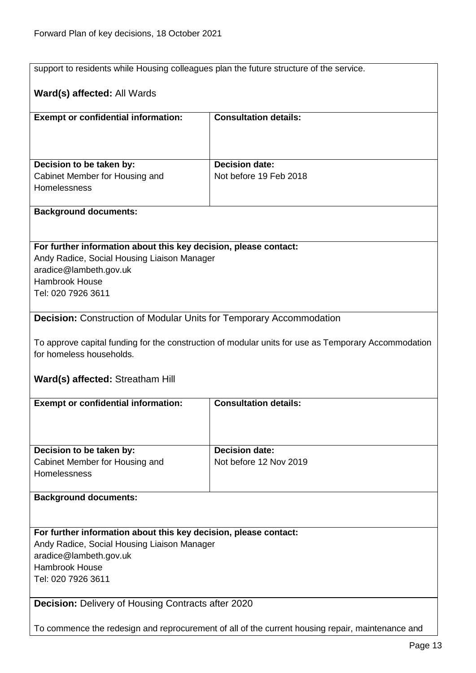<span id="page-12-1"></span><span id="page-12-0"></span>

| support to residents while Housing colleagues plan the future structure of the service.          |                                                                                                     |  |
|--------------------------------------------------------------------------------------------------|-----------------------------------------------------------------------------------------------------|--|
|                                                                                                  |                                                                                                     |  |
| Ward(s) affected: All Wards                                                                      |                                                                                                     |  |
|                                                                                                  |                                                                                                     |  |
| <b>Exempt or confidential information:</b>                                                       | <b>Consultation details:</b>                                                                        |  |
|                                                                                                  |                                                                                                     |  |
|                                                                                                  |                                                                                                     |  |
| Decision to be taken by:                                                                         | <b>Decision date:</b>                                                                               |  |
| Cabinet Member for Housing and                                                                   | Not before 19 Feb 2018                                                                              |  |
| Homelessness                                                                                     |                                                                                                     |  |
|                                                                                                  |                                                                                                     |  |
| <b>Background documents:</b>                                                                     |                                                                                                     |  |
|                                                                                                  |                                                                                                     |  |
| For further information about this key decision, please contact:                                 |                                                                                                     |  |
| Andy Radice, Social Housing Liaison Manager                                                      |                                                                                                     |  |
| aradice@lambeth.gov.uk                                                                           |                                                                                                     |  |
| <b>Hambrook House</b>                                                                            |                                                                                                     |  |
| Tel: 020 7926 3611                                                                               |                                                                                                     |  |
|                                                                                                  |                                                                                                     |  |
| <b>Decision:</b> Construction of Modular Units for Temporary Accommodation                       |                                                                                                     |  |
|                                                                                                  |                                                                                                     |  |
|                                                                                                  | To approve capital funding for the construction of modular units for use as Temporary Accommodation |  |
| for homeless households.                                                                         |                                                                                                     |  |
|                                                                                                  |                                                                                                     |  |
| <b>Ward(s) affected: Streatham Hill</b>                                                          |                                                                                                     |  |
| <b>Exempt or confidential information:</b>                                                       | <b>Consultation details:</b>                                                                        |  |
|                                                                                                  |                                                                                                     |  |
|                                                                                                  |                                                                                                     |  |
|                                                                                                  |                                                                                                     |  |
| Decision to be taken by:<br>Cabinet Member for Housing and                                       | <b>Decision date:</b><br>Not before 12 Nov 2019                                                     |  |
| Homelessness                                                                                     |                                                                                                     |  |
|                                                                                                  |                                                                                                     |  |
| <b>Background documents:</b>                                                                     |                                                                                                     |  |
|                                                                                                  |                                                                                                     |  |
|                                                                                                  |                                                                                                     |  |
| For further information about this key decision, please contact:                                 |                                                                                                     |  |
| Andy Radice, Social Housing Liaison Manager                                                      |                                                                                                     |  |
| aradice@lambeth.gov.uk<br><b>Hambrook House</b>                                                  |                                                                                                     |  |
| Tel: 020 7926 3611                                                                               |                                                                                                     |  |
|                                                                                                  |                                                                                                     |  |
| <b>Decision: Delivery of Housing Contracts after 2020</b>                                        |                                                                                                     |  |
|                                                                                                  |                                                                                                     |  |
| To commence the redesign and reprocurement of all of the current housing repair, maintenance and |                                                                                                     |  |
|                                                                                                  |                                                                                                     |  |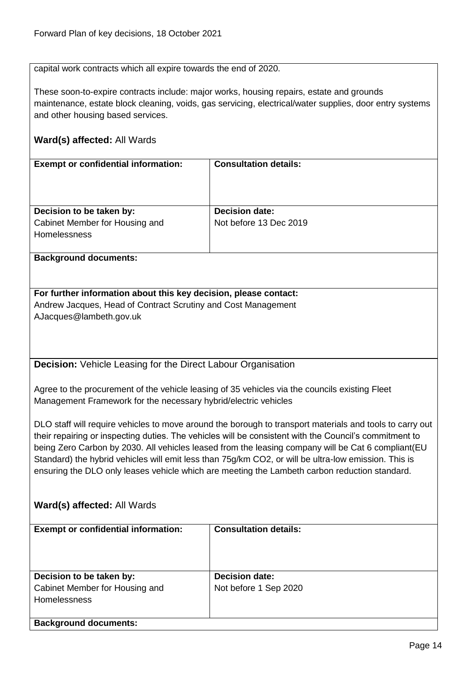capital work contracts which all expire towards the end of 2020.

These soon-to-expire contracts include: major works, housing repairs, estate and grounds maintenance, estate block cleaning, voids, gas servicing, electrical/water supplies, door entry systems and other housing based services.

# **Ward(s) affected:** All Wards

| <b>Exempt or confidential information:</b>            | <b>Consultation details:</b> |
|-------------------------------------------------------|------------------------------|
| Decision to be taken by:                              | <b>Decision date:</b>        |
| Cabinet Member for Housing and<br><b>Homelessness</b> | Not before 13 Dec 2019       |

#### **Background documents:**

**For further information about this key decision, please contact:** Andrew Jacques, Head of Contract Scrutiny and Cost Management AJacques@lambeth.gov.uk

<span id="page-13-0"></span>**Decision:** Vehicle Leasing for the Direct Labour Organisation

Agree to the procurement of the vehicle leasing of 35 vehicles via the councils existing Fleet Management Framework for the necessary hybrid/electric vehicles

DLO staff will require vehicles to move around the borough to transport materials and tools to carry out their repairing or inspecting duties. The vehicles will be consistent with the Council's commitment to being Zero Carbon by 2030. All vehicles leased from the leasing company will be Cat 6 compliant(EU Standard) the hybrid vehicles will emit less than 75g/km CO2, or will be ultra-low emission. This is ensuring the DLO only leases vehicle which are meeting the Lambeth carbon reduction standard.

| <b>Exempt or confidential information:</b>                                        | <b>Consultation details:</b>                   |
|-----------------------------------------------------------------------------------|------------------------------------------------|
| Decision to be taken by:<br>Cabinet Member for Housing and<br><b>Homelessness</b> | <b>Decision date:</b><br>Not before 1 Sep 2020 |
| <b>Background documents:</b>                                                      |                                                |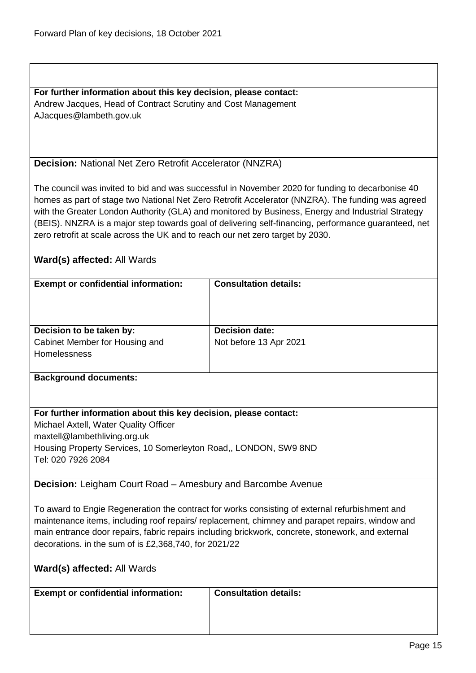**For further information about this key decision, please contact:** Andrew Jacques, Head of Contract Scrutiny and Cost Management AJacques@lambeth.gov.uk

#### <span id="page-14-0"></span>**Decision:** National Net Zero Retrofit Accelerator (NNZRA)

The council was invited to bid and was successful in November 2020 for funding to decarbonise 40 homes as part of stage two National Net Zero Retrofit Accelerator (NNZRA). The funding was agreed with the Greater London Authority (GLA) and monitored by Business, Energy and Industrial Strategy (BEIS). NNZRA is a major step towards goal of delivering self-financing, performance guaranteed, net zero retrofit at scale across the UK and to reach our net zero target by 2030.

# **Ward(s) affected:** All Wards

| <b>Exempt or confidential information:</b> | <b>Consultation details:</b> |
|--------------------------------------------|------------------------------|
|                                            |                              |
|                                            |                              |
|                                            |                              |
|                                            |                              |
|                                            |                              |
| Decision to be taken by:                   | <b>Decision date:</b>        |
| Cabinet Member for Housing and             | Not before 13 Apr 2021       |
| <b>Homelessness</b>                        |                              |
|                                            |                              |
|                                            |                              |
| <b>Background documents:</b>               |                              |

# **For further information about this key decision, please contact:**

Michael Axtell, Water Quality Officer maxtell@lambethliving.org.uk Housing Property Services, 10 Somerleyton Road,, LONDON, SW9 8ND Tel: 020 7926 2084

<span id="page-14-1"></span>**Decision:** Leigham Court Road – Amesbury and Barcombe Avenue

To award to Engie Regeneration the contract for works consisting of external refurbishment and maintenance items, including roof repairs/ replacement, chimney and parapet repairs, window and main entrance door repairs, fabric repairs including brickwork, concrete, stonework, and external decorations. in the sum of is £2,368,740, for 2021/22

| Ward(s) affected: All Wards                |                              |
|--------------------------------------------|------------------------------|
| <b>Exempt or confidential information:</b> | <b>Consultation details:</b> |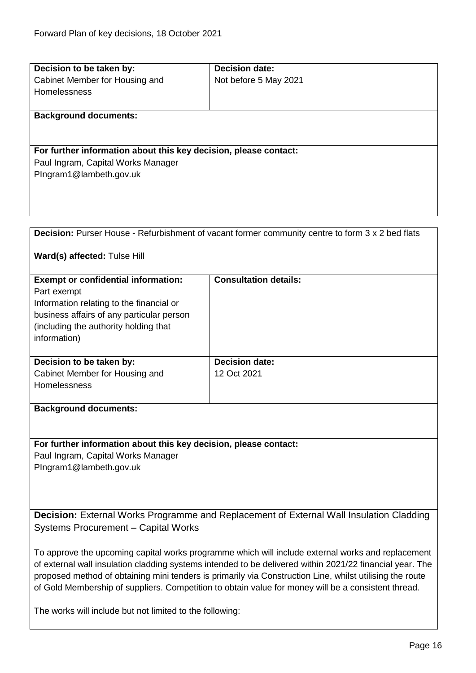<span id="page-15-0"></span>

| Decision to be taken by:                                                                          | <b>Decision date:</b>                                                                                   |
|---------------------------------------------------------------------------------------------------|---------------------------------------------------------------------------------------------------------|
|                                                                                                   |                                                                                                         |
| Cabinet Member for Housing and                                                                    | Not before 5 May 2021                                                                                   |
| Homelessness                                                                                      |                                                                                                         |
|                                                                                                   |                                                                                                         |
| <b>Background documents:</b>                                                                      |                                                                                                         |
|                                                                                                   |                                                                                                         |
|                                                                                                   |                                                                                                         |
| For further information about this key decision, please contact:                                  |                                                                                                         |
| Paul Ingram, Capital Works Manager                                                                |                                                                                                         |
| PIngram1@lambeth.gov.uk                                                                           |                                                                                                         |
|                                                                                                   |                                                                                                         |
|                                                                                                   |                                                                                                         |
|                                                                                                   |                                                                                                         |
|                                                                                                   |                                                                                                         |
|                                                                                                   | <b>Decision:</b> Purser House - Refurbishment of vacant former community centre to form 3 x 2 bed flats |
|                                                                                                   |                                                                                                         |
|                                                                                                   |                                                                                                         |
| Ward(s) affected: Tulse Hill                                                                      |                                                                                                         |
|                                                                                                   |                                                                                                         |
| <b>Exempt or confidential information:</b>                                                        | <b>Consultation details:</b>                                                                            |
| Part exempt                                                                                       |                                                                                                         |
| Information relating to the financial or                                                          |                                                                                                         |
| business affairs of any particular person                                                         |                                                                                                         |
| (including the authority holding that                                                             |                                                                                                         |
| information)                                                                                      |                                                                                                         |
|                                                                                                   |                                                                                                         |
| Decision to be taken by:                                                                          | <b>Decision date:</b>                                                                                   |
| Cabinet Member for Housing and                                                                    | 12 Oct 2021                                                                                             |
| Homelessness                                                                                      |                                                                                                         |
|                                                                                                   |                                                                                                         |
|                                                                                                   |                                                                                                         |
| <b>Background documents:</b>                                                                      |                                                                                                         |
|                                                                                                   |                                                                                                         |
|                                                                                                   |                                                                                                         |
| For further information about this key decision, please contact:                                  |                                                                                                         |
| Paul Ingram, Capital Works Manager                                                                |                                                                                                         |
| PIngram1@lambeth.gov.uk                                                                           |                                                                                                         |
|                                                                                                   |                                                                                                         |
|                                                                                                   |                                                                                                         |
|                                                                                                   |                                                                                                         |
|                                                                                                   |                                                                                                         |
| <b>Decision:</b> External Works Programme and Replacement of External Wall Insulation Cladding    |                                                                                                         |
| Systems Procurement - Capital Works                                                               |                                                                                                         |
|                                                                                                   |                                                                                                         |
| To approve the upcoming capital works programme which will include external works and replacement |                                                                                                         |

<span id="page-15-1"></span>of external wall insulation cladding systems intended to be delivered within 2021/22 financial year. The proposed method of obtaining mini tenders is primarily via Construction Line, whilst utilising the route of Gold Membership of suppliers. Competition to obtain value for money will be a consistent thread.

The works will include but not limited to the following: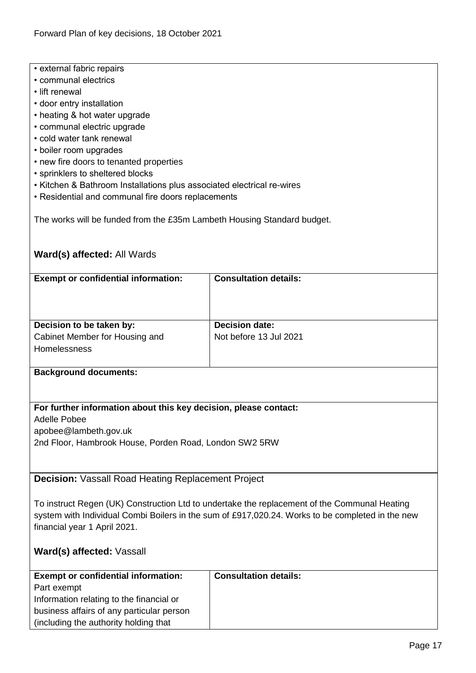- external fabric repairs
- communal electrics
- lift renewal
- door entry installation
- heating & hot water upgrade
- communal electric upgrade
- cold water tank renewal
- boiler room upgrades
- new fire doors to tenanted properties
- sprinklers to sheltered blocks
- Kitchen & Bathroom Installations plus associated electrical re-wires
- Residential and communal fire doors replacements

The works will be funded from the £35m Lambeth Housing Standard budget.

# **Ward(s) affected:** All Wards

| <b>Exempt or confidential information:</b>                                 | <b>Consultation details:</b>                    |
|----------------------------------------------------------------------------|-------------------------------------------------|
| Decision to be taken by:<br>Cabinet Member for Housing and<br>Homelessness | <b>Decision date:</b><br>Not before 13 Jul 2021 |

#### **Background documents:**

# **For further information about this key decision, please contact:**

Adelle Pobee

apobee@lambeth.gov.uk

2nd Floor, Hambrook House, Porden Road, London SW2 5RW

<span id="page-16-0"></span>**Decision:** Vassall Road Heating Replacement Project

To instruct Regen (UK) Construction Ltd to undertake the replacement of the Communal Heating system with Individual Combi Boilers in the sum of £917,020.24. Works to be completed in the new financial year 1 April 2021.

# **Ward(s) affected:** Vassall

| <b>Exempt or confidential information:</b> | <b>Consultation details:</b> |
|--------------------------------------------|------------------------------|
| Part exempt                                |                              |
| Information relating to the financial or   |                              |
| business affairs of any particular person  |                              |
| (including the authority holding that)     |                              |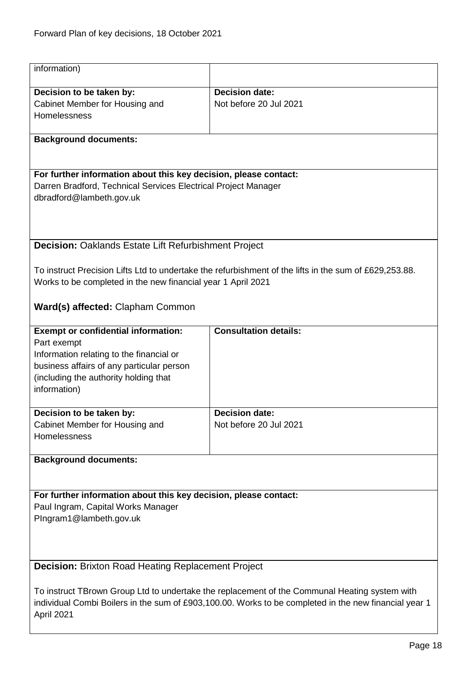<span id="page-17-0"></span>

| information)                                                                                  |                                                                                                        |  |
|-----------------------------------------------------------------------------------------------|--------------------------------------------------------------------------------------------------------|--|
| Decision to be taken by:                                                                      | <b>Decision date:</b>                                                                                  |  |
| Cabinet Member for Housing and                                                                | Not before 20 Jul 2021                                                                                 |  |
| Homelessness                                                                                  |                                                                                                        |  |
| <b>Background documents:</b>                                                                  |                                                                                                        |  |
|                                                                                               |                                                                                                        |  |
| For further information about this key decision, please contact:                              |                                                                                                        |  |
| Darren Bradford, Technical Services Electrical Project Manager                                |                                                                                                        |  |
| dbradford@lambeth.gov.uk                                                                      |                                                                                                        |  |
|                                                                                               |                                                                                                        |  |
|                                                                                               |                                                                                                        |  |
| Decision: Oaklands Estate Lift Refurbishment Project                                          |                                                                                                        |  |
|                                                                                               |                                                                                                        |  |
|                                                                                               | To instruct Precision Lifts Ltd to undertake the refurbishment of the lifts in the sum of £629,253.88. |  |
| Works to be completed in the new financial year 1 April 2021                                  |                                                                                                        |  |
| Ward(s) affected: Clapham Common                                                              |                                                                                                        |  |
| <b>Exempt or confidential information:</b>                                                    | <b>Consultation details:</b>                                                                           |  |
| Part exempt                                                                                   |                                                                                                        |  |
| Information relating to the financial or<br>business affairs of any particular person         |                                                                                                        |  |
| (including the authority holding that                                                         |                                                                                                        |  |
| information)                                                                                  |                                                                                                        |  |
|                                                                                               |                                                                                                        |  |
| Decision to be taken by:<br>Cabinet Member for Housing and                                    | <b>Decision date:</b><br>Not before 20 Jul 2021                                                        |  |
| Homelessness                                                                                  |                                                                                                        |  |
|                                                                                               |                                                                                                        |  |
| <b>Background documents:</b>                                                                  |                                                                                                        |  |
|                                                                                               |                                                                                                        |  |
| For further information about this key decision, please contact:                              |                                                                                                        |  |
| Paul Ingram, Capital Works Manager                                                            |                                                                                                        |  |
| PIngram1@lambeth.gov.uk                                                                       |                                                                                                        |  |
|                                                                                               |                                                                                                        |  |
|                                                                                               |                                                                                                        |  |
| <b>Decision: Brixton Road Heating Replacement Project</b>                                     |                                                                                                        |  |
| To instruct TBrown Group Ltd to undertake the replacement of the Communal Heating system with |                                                                                                        |  |
|                                                                                               | individual Combi Boilers in the sum of £903,100.00. Works to be completed in the new financial year 1  |  |
| April 2021                                                                                    |                                                                                                        |  |

<span id="page-17-1"></span>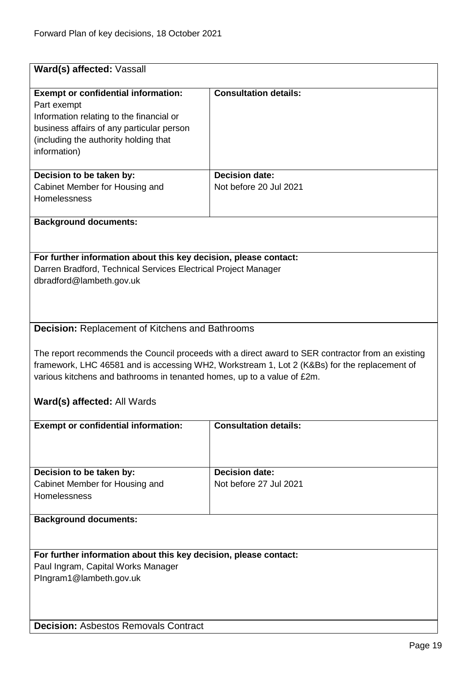<span id="page-18-1"></span><span id="page-18-0"></span>

| Ward(s) affected: Vassall                                                                                                                                                                                                                                                                                                                                                    |                                                 |  |
|------------------------------------------------------------------------------------------------------------------------------------------------------------------------------------------------------------------------------------------------------------------------------------------------------------------------------------------------------------------------------|-------------------------------------------------|--|
| <b>Exempt or confidential information:</b><br>Part exempt<br>Information relating to the financial or<br>business affairs of any particular person<br>(including the authority holding that<br>information)                                                                                                                                                                  | <b>Consultation details:</b>                    |  |
| Decision to be taken by:<br>Cabinet Member for Housing and<br>Homelessness                                                                                                                                                                                                                                                                                                   | <b>Decision date:</b><br>Not before 20 Jul 2021 |  |
| <b>Background documents:</b>                                                                                                                                                                                                                                                                                                                                                 |                                                 |  |
| For further information about this key decision, please contact:<br>Darren Bradford, Technical Services Electrical Project Manager<br>dbradford@lambeth.gov.uk                                                                                                                                                                                                               |                                                 |  |
| <b>Decision: Replacement of Kitchens and Bathrooms</b><br>The report recommends the Council proceeds with a direct award to SER contractor from an existing<br>framework, LHC 46581 and is accessing WH2, Workstream 1, Lot 2 (K&Bs) for the replacement of<br>various kitchens and bathrooms in tenanted homes, up to a value of £2m.<br><b>Ward(s) affected: All Wards</b> |                                                 |  |
| <b>Exempt or confidential information:</b>                                                                                                                                                                                                                                                                                                                                   | <b>Consultation details:</b>                    |  |
| Decision to be taken by:<br>Cabinet Member for Housing and<br>Homelessness                                                                                                                                                                                                                                                                                                   | <b>Decision date:</b><br>Not before 27 Jul 2021 |  |
| <b>Background documents:</b>                                                                                                                                                                                                                                                                                                                                                 |                                                 |  |
| For further information about this key decision, please contact:<br>Paul Ingram, Capital Works Manager<br>PIngram1@lambeth.gov.uk                                                                                                                                                                                                                                            |                                                 |  |
| <b>Decision: Asbestos Removals Contract</b>                                                                                                                                                                                                                                                                                                                                  |                                                 |  |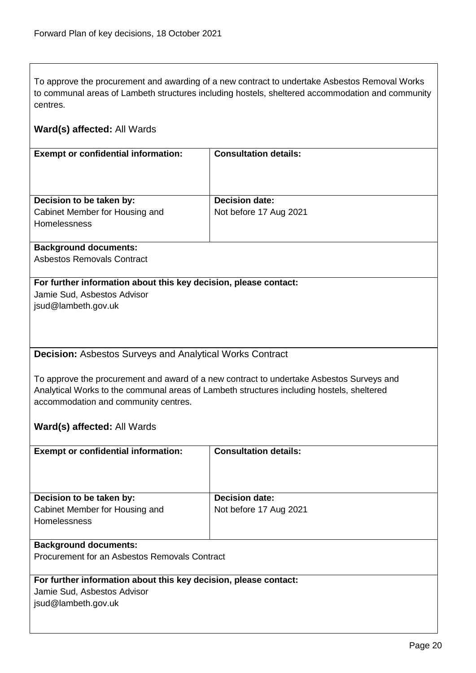To approve the procurement and awarding of a new contract to undertake Asbestos Removal Works to communal areas of Lambeth structures including hostels, sheltered accommodation and community centres.

<span id="page-19-0"></span>

| <b>Exempt or confidential information:</b>                       | <b>Consultation details:</b>                                                              |
|------------------------------------------------------------------|-------------------------------------------------------------------------------------------|
|                                                                  |                                                                                           |
|                                                                  |                                                                                           |
|                                                                  |                                                                                           |
| Decision to be taken by:                                         | <b>Decision date:</b>                                                                     |
| Cabinet Member for Housing and                                   | Not before 17 Aug 2021                                                                    |
| Homelessness                                                     |                                                                                           |
| <b>Background documents:</b>                                     |                                                                                           |
| <b>Asbestos Removals Contract</b>                                |                                                                                           |
|                                                                  |                                                                                           |
| For further information about this key decision, please contact: |                                                                                           |
| Jamie Sud, Asbestos Advisor                                      |                                                                                           |
| jsud@lambeth.gov.uk                                              |                                                                                           |
|                                                                  |                                                                                           |
|                                                                  |                                                                                           |
|                                                                  |                                                                                           |
| <b>Decision: Asbestos Surveys and Analytical Works Contract</b>  |                                                                                           |
|                                                                  |                                                                                           |
|                                                                  | To approve the procurement and award of a new contract to undertake Asbestos Surveys and  |
|                                                                  | Analytical Works to the communal areas of Lambeth structures including hostels, sheltered |
| accommodation and community centres.                             |                                                                                           |
|                                                                  |                                                                                           |
| Ward(s) affected: All Wards                                      |                                                                                           |
|                                                                  |                                                                                           |
| <b>Exempt or confidential information:</b>                       | <b>Consultation details:</b>                                                              |
|                                                                  |                                                                                           |
|                                                                  |                                                                                           |
| Decision to be taken by:                                         | <b>Decision date:</b>                                                                     |
| Cabinet Member for Housing and                                   | Not before 17 Aug 2021                                                                    |
| Homelessness                                                     |                                                                                           |
|                                                                  |                                                                                           |
| <b>Background documents:</b>                                     |                                                                                           |
| Procurement for an Asbestos Removals Contract                    |                                                                                           |
|                                                                  |                                                                                           |
| For further information about this key decision, please contact: |                                                                                           |
| Jamie Sud, Asbestos Advisor                                      |                                                                                           |
| jsud@lambeth.gov.uk                                              |                                                                                           |
|                                                                  |                                                                                           |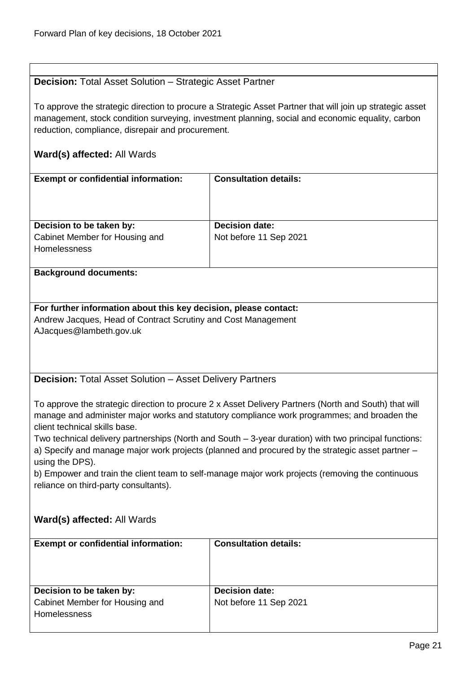# <span id="page-20-0"></span>**Decision:** Total Asset Solution – Strategic Asset Partner

To approve the strategic direction to procure a Strategic Asset Partner that will join up strategic asset management, stock condition surveying, investment planning, social and economic equality, carbon reduction, compliance, disrepair and procurement.

# **Ward(s) affected:** All Wards

| <b>Exempt or confidential information:</b> | <b>Consultation details:</b> |
|--------------------------------------------|------------------------------|
| Decision to be taken by:                   | <b>Decision date:</b>        |
| Cabinet Member for Housing and             | Not before 11 Sep 2021       |
| <b>Homelessness</b>                        |                              |
|                                            |                              |
| <b>Background documents:</b>               |                              |

**For further information about this key decision, please contact:** Andrew Jacques, Head of Contract Scrutiny and Cost Management AJacques@lambeth.gov.uk

<span id="page-20-1"></span>**Decision:** Total Asset Solution – Asset Delivery Partners

To approve the strategic direction to procure 2 x Asset Delivery Partners (North and South) that will manage and administer major works and statutory compliance work programmes; and broaden the client technical skills base.

Two technical delivery partnerships (North and South – 3-year duration) with two principal functions: a) Specify and manage major work projects (planned and procured by the strategic asset partner – using the DPS).

b) Empower and train the client team to self-manage major work projects (removing the continuous reliance on third-party consultants).

| <b>Exempt or confidential information:</b>                                        | <b>Consultation details:</b>                    |
|-----------------------------------------------------------------------------------|-------------------------------------------------|
| Decision to be taken by:<br>Cabinet Member for Housing and<br><b>Homelessness</b> | <b>Decision date:</b><br>Not before 11 Sep 2021 |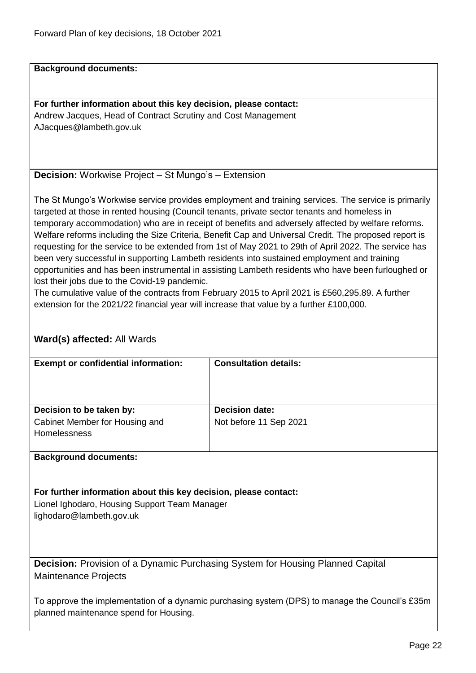**Background documents:**

**For further information about this key decision, please contact:** Andrew Jacques, Head of Contract Scrutiny and Cost Management AJacques@lambeth.gov.uk

<span id="page-21-0"></span>**Decision:** Workwise Project – St Mungo's – Extension

The St Mungo's Workwise service provides employment and training services. The service is primarily targeted at those in rented housing (Council tenants, private sector tenants and homeless in temporary accommodation) who are in receipt of benefits and adversely affected by welfare reforms. Welfare reforms including the Size Criteria, Benefit Cap and Universal Credit. The proposed report is requesting for the service to be extended from 1st of May 2021 to 29th of April 2022. The service has been very successful in supporting Lambeth residents into sustained employment and training opportunities and has been instrumental in assisting Lambeth residents who have been furloughed or lost their jobs due to the Covid-19 pandemic.

The cumulative value of the contracts from February 2015 to April 2021 is £560,295.89. A further extension for the 2021/22 financial year will increase that value by a further £100,000.

<span id="page-21-1"></span>

| <b>Exempt or confidential information:</b>                                                      | <b>Consultation details:</b> |  |
|-------------------------------------------------------------------------------------------------|------------------------------|--|
|                                                                                                 |                              |  |
|                                                                                                 |                              |  |
|                                                                                                 |                              |  |
| Decision to be taken by:                                                                        | <b>Decision date:</b>        |  |
| Cabinet Member for Housing and                                                                  | Not before 11 Sep 2021       |  |
| Homelessness                                                                                    |                              |  |
|                                                                                                 |                              |  |
| <b>Background documents:</b>                                                                    |                              |  |
|                                                                                                 |                              |  |
|                                                                                                 |                              |  |
| For further information about this key decision, please contact:                                |                              |  |
| Lionel Ighodaro, Housing Support Team Manager                                                   |                              |  |
| lighodaro@lambeth.gov.uk                                                                        |                              |  |
|                                                                                                 |                              |  |
|                                                                                                 |                              |  |
|                                                                                                 |                              |  |
|                                                                                                 |                              |  |
| <b>Decision:</b> Provision of a Dynamic Purchasing System for Housing Planned Capital           |                              |  |
| Maintenance Projects                                                                            |                              |  |
|                                                                                                 |                              |  |
| To approve the implementation of a dynamic purchasing system (DPS) to manage the Council's £35m |                              |  |
| planned maintenance spend for Housing.                                                          |                              |  |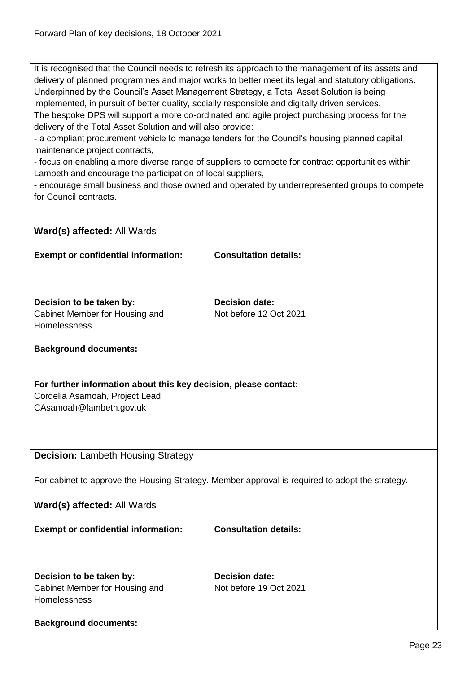It is recognised that the Council needs to refresh its approach to the management of its assets and delivery of planned programmes and major works to better meet its legal and statutory obligations. Underpinned by the Council's Asset Management Strategy, a Total Asset Solution is being implemented, in pursuit of better quality, socially responsible and digitally driven services. The bespoke DPS will support a more co-ordinated and agile project purchasing process for the delivery of the Total Asset Solution and will also provide:

- a compliant procurement vehicle to manage tenders for the Council's housing planned capital maintenance project contracts,

- focus on enabling a more diverse range of suppliers to compete for contract opportunities within Lambeth and encourage the participation of local suppliers,

- encourage small business and those owned and operated by underrepresented groups to compete for Council contracts.

<span id="page-22-0"></span>

| <b>Exempt or confidential information:</b>                       | <b>Consultation details:</b>                                                                    |  |
|------------------------------------------------------------------|-------------------------------------------------------------------------------------------------|--|
|                                                                  |                                                                                                 |  |
|                                                                  |                                                                                                 |  |
|                                                                  |                                                                                                 |  |
| Decision to be taken by:                                         | <b>Decision date:</b>                                                                           |  |
| Cabinet Member for Housing and                                   | Not before 12 Oct 2021                                                                          |  |
| Homelessness                                                     |                                                                                                 |  |
|                                                                  |                                                                                                 |  |
| <b>Background documents:</b>                                     |                                                                                                 |  |
|                                                                  |                                                                                                 |  |
|                                                                  |                                                                                                 |  |
| For further information about this key decision, please contact: |                                                                                                 |  |
| Cordelia Asamoah, Project Lead                                   |                                                                                                 |  |
| CAsamoah@lambeth.gov.uk                                          |                                                                                                 |  |
|                                                                  |                                                                                                 |  |
|                                                                  |                                                                                                 |  |
|                                                                  |                                                                                                 |  |
| <b>Decision: Lambeth Housing Strategy</b>                        |                                                                                                 |  |
|                                                                  |                                                                                                 |  |
|                                                                  | For cabinet to approve the Housing Strategy. Member approval is required to adopt the strategy. |  |
|                                                                  |                                                                                                 |  |
| Ward(s) affected: All Wards                                      |                                                                                                 |  |
|                                                                  |                                                                                                 |  |
| <b>Exempt or confidential information:</b>                       | <b>Consultation details:</b>                                                                    |  |
|                                                                  |                                                                                                 |  |
|                                                                  |                                                                                                 |  |
|                                                                  |                                                                                                 |  |
| Decision to be taken by:                                         | <b>Decision date:</b>                                                                           |  |
| Cabinet Member for Housing and                                   | Not before 19 Oct 2021                                                                          |  |
| Homelessness                                                     |                                                                                                 |  |
|                                                                  |                                                                                                 |  |
| <b>Background documents:</b>                                     |                                                                                                 |  |
|                                                                  |                                                                                                 |  |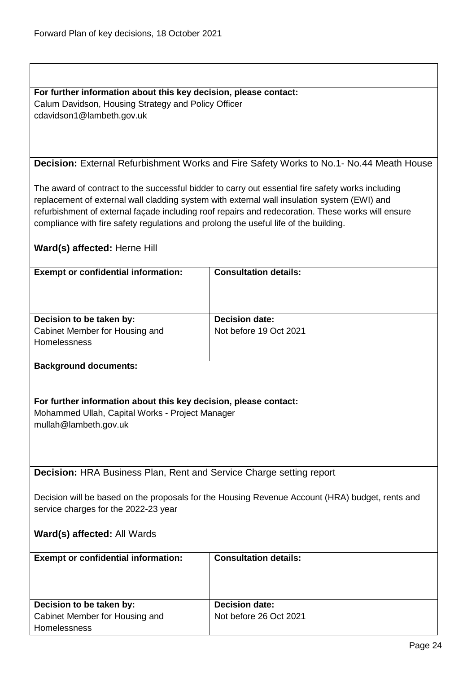# **For further information about this key decision, please contact:**

Calum Davidson, Housing Strategy and Policy Officer cdavidson1@lambeth.gov.uk

# <span id="page-23-0"></span>**Decision:** External Refurbishment Works and Fire Safety Works to No.1- No.44 Meath House

The award of contract to the successful bidder to carry out essential fire safety works including replacement of external wall cladding system with external wall insulation system (EWI) and refurbishment of external façade including roof repairs and redecoration. These works will ensure compliance with fire safety regulations and prolong the useful life of the building.

# **Ward(s) affected:** Herne Hill

| <b>Exempt or confidential information:</b> | <b>Consultation details:</b> |
|--------------------------------------------|------------------------------|
| Decision to be taken by:                   | <b>Decision date:</b>        |
| Cabinet Member for Housing and             | Not before 19 Oct 2021       |
| <b>Homelessness</b>                        |                              |
|                                            |                              |
| <b>Background documents:</b>               |                              |

# **For further information about this key decision, please contact:** Mohammed Ullah, Capital Works - Project Manager mullah@lambeth.gov.uk

<span id="page-23-1"></span>**Decision:** HRA Business Plan, Rent and Service Charge setting report

Decision will be based on the proposals for the Housing Revenue Account (HRA) budget, rents and service charges for the 2022-23 year

| <b>Exempt or confidential information:</b> | <b>Consultation details:</b> |
|--------------------------------------------|------------------------------|
| Decision to be taken by:                   | <b>Decision date:</b>        |
| Cabinet Member for Housing and             | Not before 26 Oct 2021       |
| Homelessness                               |                              |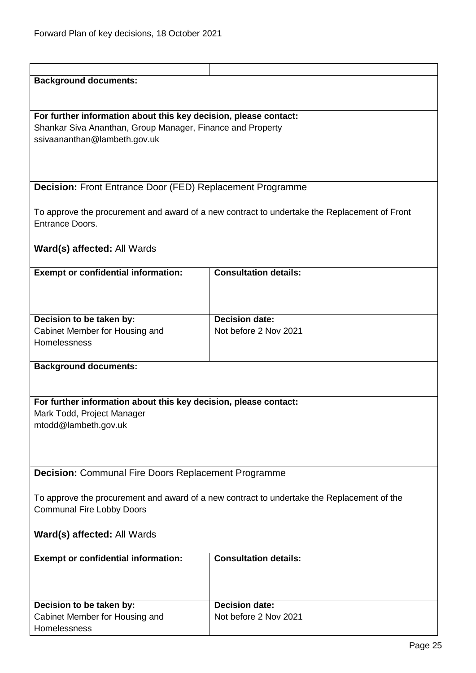<span id="page-24-1"></span><span id="page-24-0"></span>

| <b>Background documents:</b><br>For further information about this key decision, please contact:<br>Shankar Siva Ananthan, Group Manager, Finance and Property<br>ssivaananthan@lambeth.gov.uk<br>Decision: Front Entrance Door (FED) Replacement Programme<br>To approve the procurement and award of a new contract to undertake the Replacement of Front<br><b>Entrance Doors.</b><br>Ward(s) affected: All Wards<br><b>Consultation details:</b><br><b>Exempt or confidential information:</b><br><b>Decision date:</b><br>Decision to be taken by:<br>Cabinet Member for Housing and<br>Not before 2 Nov 2021<br>Homelessness<br><b>Background documents:</b><br>For further information about this key decision, please contact:<br>Mark Todd, Project Manager<br>mtodd@lambeth.gov.uk<br><b>Decision: Communal Fire Doors Replacement Programme</b><br>To approve the procurement and award of a new contract to undertake the Replacement of the<br><b>Communal Fire Lobby Doors</b><br>Ward(s) affected: All Wards<br><b>Consultation details:</b><br><b>Exempt or confidential information:</b><br><b>Decision date:</b><br>Decision to be taken by:<br>Not before 2 Nov 2021<br>Cabinet Member for Housing and |  |  |  |
|---------------------------------------------------------------------------------------------------------------------------------------------------------------------------------------------------------------------------------------------------------------------------------------------------------------------------------------------------------------------------------------------------------------------------------------------------------------------------------------------------------------------------------------------------------------------------------------------------------------------------------------------------------------------------------------------------------------------------------------------------------------------------------------------------------------------------------------------------------------------------------------------------------------------------------------------------------------------------------------------------------------------------------------------------------------------------------------------------------------------------------------------------------------------------------------------------------------------------|--|--|--|
|                                                                                                                                                                                                                                                                                                                                                                                                                                                                                                                                                                                                                                                                                                                                                                                                                                                                                                                                                                                                                                                                                                                                                                                                                           |  |  |  |
|                                                                                                                                                                                                                                                                                                                                                                                                                                                                                                                                                                                                                                                                                                                                                                                                                                                                                                                                                                                                                                                                                                                                                                                                                           |  |  |  |
|                                                                                                                                                                                                                                                                                                                                                                                                                                                                                                                                                                                                                                                                                                                                                                                                                                                                                                                                                                                                                                                                                                                                                                                                                           |  |  |  |
|                                                                                                                                                                                                                                                                                                                                                                                                                                                                                                                                                                                                                                                                                                                                                                                                                                                                                                                                                                                                                                                                                                                                                                                                                           |  |  |  |
|                                                                                                                                                                                                                                                                                                                                                                                                                                                                                                                                                                                                                                                                                                                                                                                                                                                                                                                                                                                                                                                                                                                                                                                                                           |  |  |  |
|                                                                                                                                                                                                                                                                                                                                                                                                                                                                                                                                                                                                                                                                                                                                                                                                                                                                                                                                                                                                                                                                                                                                                                                                                           |  |  |  |
|                                                                                                                                                                                                                                                                                                                                                                                                                                                                                                                                                                                                                                                                                                                                                                                                                                                                                                                                                                                                                                                                                                                                                                                                                           |  |  |  |
|                                                                                                                                                                                                                                                                                                                                                                                                                                                                                                                                                                                                                                                                                                                                                                                                                                                                                                                                                                                                                                                                                                                                                                                                                           |  |  |  |
|                                                                                                                                                                                                                                                                                                                                                                                                                                                                                                                                                                                                                                                                                                                                                                                                                                                                                                                                                                                                                                                                                                                                                                                                                           |  |  |  |
|                                                                                                                                                                                                                                                                                                                                                                                                                                                                                                                                                                                                                                                                                                                                                                                                                                                                                                                                                                                                                                                                                                                                                                                                                           |  |  |  |
|                                                                                                                                                                                                                                                                                                                                                                                                                                                                                                                                                                                                                                                                                                                                                                                                                                                                                                                                                                                                                                                                                                                                                                                                                           |  |  |  |
|                                                                                                                                                                                                                                                                                                                                                                                                                                                                                                                                                                                                                                                                                                                                                                                                                                                                                                                                                                                                                                                                                                                                                                                                                           |  |  |  |
|                                                                                                                                                                                                                                                                                                                                                                                                                                                                                                                                                                                                                                                                                                                                                                                                                                                                                                                                                                                                                                                                                                                                                                                                                           |  |  |  |
|                                                                                                                                                                                                                                                                                                                                                                                                                                                                                                                                                                                                                                                                                                                                                                                                                                                                                                                                                                                                                                                                                                                                                                                                                           |  |  |  |
|                                                                                                                                                                                                                                                                                                                                                                                                                                                                                                                                                                                                                                                                                                                                                                                                                                                                                                                                                                                                                                                                                                                                                                                                                           |  |  |  |
|                                                                                                                                                                                                                                                                                                                                                                                                                                                                                                                                                                                                                                                                                                                                                                                                                                                                                                                                                                                                                                                                                                                                                                                                                           |  |  |  |
|                                                                                                                                                                                                                                                                                                                                                                                                                                                                                                                                                                                                                                                                                                                                                                                                                                                                                                                                                                                                                                                                                                                                                                                                                           |  |  |  |
|                                                                                                                                                                                                                                                                                                                                                                                                                                                                                                                                                                                                                                                                                                                                                                                                                                                                                                                                                                                                                                                                                                                                                                                                                           |  |  |  |
|                                                                                                                                                                                                                                                                                                                                                                                                                                                                                                                                                                                                                                                                                                                                                                                                                                                                                                                                                                                                                                                                                                                                                                                                                           |  |  |  |
|                                                                                                                                                                                                                                                                                                                                                                                                                                                                                                                                                                                                                                                                                                                                                                                                                                                                                                                                                                                                                                                                                                                                                                                                                           |  |  |  |
|                                                                                                                                                                                                                                                                                                                                                                                                                                                                                                                                                                                                                                                                                                                                                                                                                                                                                                                                                                                                                                                                                                                                                                                                                           |  |  |  |
|                                                                                                                                                                                                                                                                                                                                                                                                                                                                                                                                                                                                                                                                                                                                                                                                                                                                                                                                                                                                                                                                                                                                                                                                                           |  |  |  |
|                                                                                                                                                                                                                                                                                                                                                                                                                                                                                                                                                                                                                                                                                                                                                                                                                                                                                                                                                                                                                                                                                                                                                                                                                           |  |  |  |
|                                                                                                                                                                                                                                                                                                                                                                                                                                                                                                                                                                                                                                                                                                                                                                                                                                                                                                                                                                                                                                                                                                                                                                                                                           |  |  |  |
|                                                                                                                                                                                                                                                                                                                                                                                                                                                                                                                                                                                                                                                                                                                                                                                                                                                                                                                                                                                                                                                                                                                                                                                                                           |  |  |  |
|                                                                                                                                                                                                                                                                                                                                                                                                                                                                                                                                                                                                                                                                                                                                                                                                                                                                                                                                                                                                                                                                                                                                                                                                                           |  |  |  |
|                                                                                                                                                                                                                                                                                                                                                                                                                                                                                                                                                                                                                                                                                                                                                                                                                                                                                                                                                                                                                                                                                                                                                                                                                           |  |  |  |
|                                                                                                                                                                                                                                                                                                                                                                                                                                                                                                                                                                                                                                                                                                                                                                                                                                                                                                                                                                                                                                                                                                                                                                                                                           |  |  |  |
|                                                                                                                                                                                                                                                                                                                                                                                                                                                                                                                                                                                                                                                                                                                                                                                                                                                                                                                                                                                                                                                                                                                                                                                                                           |  |  |  |
|                                                                                                                                                                                                                                                                                                                                                                                                                                                                                                                                                                                                                                                                                                                                                                                                                                                                                                                                                                                                                                                                                                                                                                                                                           |  |  |  |
|                                                                                                                                                                                                                                                                                                                                                                                                                                                                                                                                                                                                                                                                                                                                                                                                                                                                                                                                                                                                                                                                                                                                                                                                                           |  |  |  |
|                                                                                                                                                                                                                                                                                                                                                                                                                                                                                                                                                                                                                                                                                                                                                                                                                                                                                                                                                                                                                                                                                                                                                                                                                           |  |  |  |
|                                                                                                                                                                                                                                                                                                                                                                                                                                                                                                                                                                                                                                                                                                                                                                                                                                                                                                                                                                                                                                                                                                                                                                                                                           |  |  |  |
|                                                                                                                                                                                                                                                                                                                                                                                                                                                                                                                                                                                                                                                                                                                                                                                                                                                                                                                                                                                                                                                                                                                                                                                                                           |  |  |  |
|                                                                                                                                                                                                                                                                                                                                                                                                                                                                                                                                                                                                                                                                                                                                                                                                                                                                                                                                                                                                                                                                                                                                                                                                                           |  |  |  |
|                                                                                                                                                                                                                                                                                                                                                                                                                                                                                                                                                                                                                                                                                                                                                                                                                                                                                                                                                                                                                                                                                                                                                                                                                           |  |  |  |
|                                                                                                                                                                                                                                                                                                                                                                                                                                                                                                                                                                                                                                                                                                                                                                                                                                                                                                                                                                                                                                                                                                                                                                                                                           |  |  |  |
|                                                                                                                                                                                                                                                                                                                                                                                                                                                                                                                                                                                                                                                                                                                                                                                                                                                                                                                                                                                                                                                                                                                                                                                                                           |  |  |  |
|                                                                                                                                                                                                                                                                                                                                                                                                                                                                                                                                                                                                                                                                                                                                                                                                                                                                                                                                                                                                                                                                                                                                                                                                                           |  |  |  |
|                                                                                                                                                                                                                                                                                                                                                                                                                                                                                                                                                                                                                                                                                                                                                                                                                                                                                                                                                                                                                                                                                                                                                                                                                           |  |  |  |
|                                                                                                                                                                                                                                                                                                                                                                                                                                                                                                                                                                                                                                                                                                                                                                                                                                                                                                                                                                                                                                                                                                                                                                                                                           |  |  |  |
|                                                                                                                                                                                                                                                                                                                                                                                                                                                                                                                                                                                                                                                                                                                                                                                                                                                                                                                                                                                                                                                                                                                                                                                                                           |  |  |  |
|                                                                                                                                                                                                                                                                                                                                                                                                                                                                                                                                                                                                                                                                                                                                                                                                                                                                                                                                                                                                                                                                                                                                                                                                                           |  |  |  |
|                                                                                                                                                                                                                                                                                                                                                                                                                                                                                                                                                                                                                                                                                                                                                                                                                                                                                                                                                                                                                                                                                                                                                                                                                           |  |  |  |
|                                                                                                                                                                                                                                                                                                                                                                                                                                                                                                                                                                                                                                                                                                                                                                                                                                                                                                                                                                                                                                                                                                                                                                                                                           |  |  |  |
|                                                                                                                                                                                                                                                                                                                                                                                                                                                                                                                                                                                                                                                                                                                                                                                                                                                                                                                                                                                                                                                                                                                                                                                                                           |  |  |  |
|                                                                                                                                                                                                                                                                                                                                                                                                                                                                                                                                                                                                                                                                                                                                                                                                                                                                                                                                                                                                                                                                                                                                                                                                                           |  |  |  |
|                                                                                                                                                                                                                                                                                                                                                                                                                                                                                                                                                                                                                                                                                                                                                                                                                                                                                                                                                                                                                                                                                                                                                                                                                           |  |  |  |
| Homelessness                                                                                                                                                                                                                                                                                                                                                                                                                                                                                                                                                                                                                                                                                                                                                                                                                                                                                                                                                                                                                                                                                                                                                                                                              |  |  |  |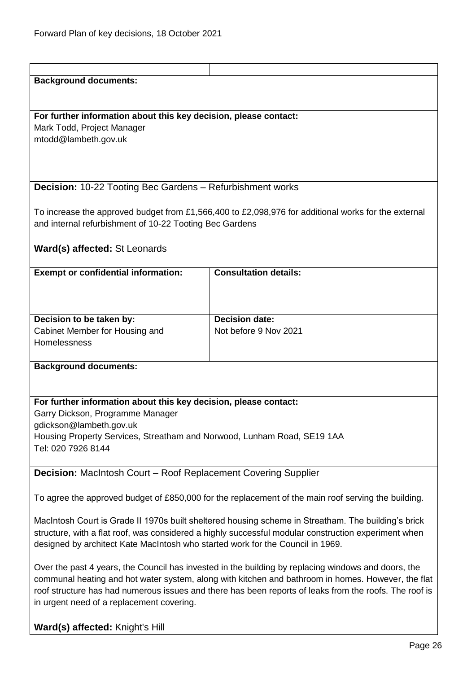<span id="page-25-1"></span><span id="page-25-0"></span>

| <b>Background documents:</b>                                                                        |                                                                                                        |  |
|-----------------------------------------------------------------------------------------------------|--------------------------------------------------------------------------------------------------------|--|
|                                                                                                     |                                                                                                        |  |
|                                                                                                     |                                                                                                        |  |
| For further information about this key decision, please contact:                                    |                                                                                                        |  |
| Mark Todd, Project Manager                                                                          |                                                                                                        |  |
| mtodd@lambeth.gov.uk                                                                                |                                                                                                        |  |
|                                                                                                     |                                                                                                        |  |
|                                                                                                     |                                                                                                        |  |
|                                                                                                     |                                                                                                        |  |
|                                                                                                     |                                                                                                        |  |
| <b>Decision: 10-22 Tooting Bec Gardens - Refurbishment works</b>                                    |                                                                                                        |  |
|                                                                                                     |                                                                                                        |  |
|                                                                                                     | To increase the approved budget from £1,566,400 to £2,098,976 for additional works for the external    |  |
| and internal refurbishment of 10-22 Tooting Bec Gardens                                             |                                                                                                        |  |
|                                                                                                     |                                                                                                        |  |
|                                                                                                     |                                                                                                        |  |
| Ward(s) affected: St Leonards                                                                       |                                                                                                        |  |
|                                                                                                     |                                                                                                        |  |
| <b>Exempt or confidential information:</b>                                                          | <b>Consultation details:</b>                                                                           |  |
|                                                                                                     |                                                                                                        |  |
|                                                                                                     |                                                                                                        |  |
|                                                                                                     |                                                                                                        |  |
|                                                                                                     |                                                                                                        |  |
| Decision to be taken by:                                                                            | <b>Decision date:</b>                                                                                  |  |
| Cabinet Member for Housing and                                                                      | Not before 9 Nov 2021                                                                                  |  |
| Homelessness                                                                                        |                                                                                                        |  |
|                                                                                                     |                                                                                                        |  |
| <b>Background documents:</b>                                                                        |                                                                                                        |  |
|                                                                                                     |                                                                                                        |  |
|                                                                                                     |                                                                                                        |  |
| For further information about this key decision, please contact:                                    |                                                                                                        |  |
|                                                                                                     |                                                                                                        |  |
| Garry Dickson, Programme Manager                                                                    |                                                                                                        |  |
| gdickson@lambeth.gov.uk                                                                             |                                                                                                        |  |
| Housing Property Services, Streatham and Norwood, Lunham Road, SE19 1AA                             |                                                                                                        |  |
| Tel: 020 7926 8144                                                                                  |                                                                                                        |  |
|                                                                                                     |                                                                                                        |  |
| <b>Decision:</b> MacIntosh Court - Roof Replacement Covering Supplier                               |                                                                                                        |  |
|                                                                                                     |                                                                                                        |  |
|                                                                                                     |                                                                                                        |  |
| To agree the approved budget of £850,000 for the replacement of the main roof serving the building. |                                                                                                        |  |
|                                                                                                     |                                                                                                        |  |
| MacIntosh Court is Grade II 1970s built sheltered housing scheme in Streatham. The building's brick |                                                                                                        |  |
|                                                                                                     | structure, with a flat roof, was considered a highly successful modular construction experiment when   |  |
| designed by architect Kate MacIntosh who started work for the Council in 1969.                      |                                                                                                        |  |
|                                                                                                     |                                                                                                        |  |
|                                                                                                     |                                                                                                        |  |
| Over the past 4 years, the Council has invested in the building by replacing windows and doors, the |                                                                                                        |  |
| communal heating and hot water system, along with kitchen and bathroom in homes. However, the flat  |                                                                                                        |  |
|                                                                                                     | roof structure has had numerous issues and there has been reports of leaks from the roofs. The roof is |  |
| in urgent need of a replacement covering.                                                           |                                                                                                        |  |
|                                                                                                     |                                                                                                        |  |
| Ward(s) affected: Knight's Hill                                                                     |                                                                                                        |  |
|                                                                                                     |                                                                                                        |  |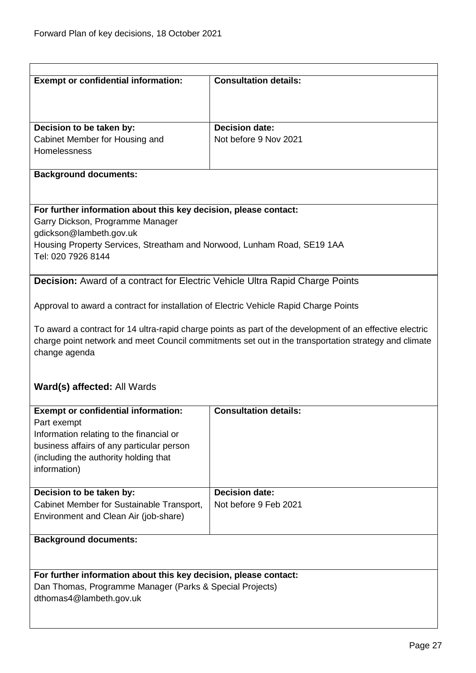<span id="page-26-0"></span>

| <b>Exempt or confidential information:</b>                                            | <b>Consultation details:</b>                                                                             |
|---------------------------------------------------------------------------------------|----------------------------------------------------------------------------------------------------------|
|                                                                                       |                                                                                                          |
|                                                                                       |                                                                                                          |
|                                                                                       |                                                                                                          |
| Decision to be taken by:                                                              | <b>Decision date:</b>                                                                                    |
| Cabinet Member for Housing and                                                        | Not before 9 Nov 2021                                                                                    |
| Homelessness                                                                          |                                                                                                          |
|                                                                                       |                                                                                                          |
| <b>Background documents:</b>                                                          |                                                                                                          |
|                                                                                       |                                                                                                          |
|                                                                                       |                                                                                                          |
| For further information about this key decision, please contact:                      |                                                                                                          |
| Garry Dickson, Programme Manager                                                      |                                                                                                          |
| gdickson@lambeth.gov.uk                                                               |                                                                                                          |
| Housing Property Services, Streatham and Norwood, Lunham Road, SE19 1AA               |                                                                                                          |
| Tel: 020 7926 8144                                                                    |                                                                                                          |
|                                                                                       |                                                                                                          |
| <b>Decision:</b> Award of a contract for Electric Vehicle Ultra Rapid Charge Points   |                                                                                                          |
|                                                                                       |                                                                                                          |
| Approval to award a contract for installation of Electric Vehicle Rapid Charge Points |                                                                                                          |
|                                                                                       |                                                                                                          |
|                                                                                       | To award a contract for 14 ultra-rapid charge points as part of the development of an effective electric |
|                                                                                       | charge point network and meet Council commitments set out in the transportation strategy and climate     |
| change agenda                                                                         |                                                                                                          |
|                                                                                       |                                                                                                          |
|                                                                                       |                                                                                                          |
| Ward(s) affected: All Wards                                                           |                                                                                                          |
|                                                                                       |                                                                                                          |
| <b>Exempt or confidential information:</b>                                            | <b>Consultation details:</b>                                                                             |
| Part exempt                                                                           |                                                                                                          |
| Information relating to the financial or                                              |                                                                                                          |
|                                                                                       |                                                                                                          |
| business affairs of any particular person                                             |                                                                                                          |
| (including the authority holding that                                                 |                                                                                                          |
| information)                                                                          |                                                                                                          |
|                                                                                       | <b>Decision date:</b>                                                                                    |
| Decision to be taken by:                                                              |                                                                                                          |
| Cabinet Member for Sustainable Transport,                                             | Not before 9 Feb 2021                                                                                    |
| Environment and Clean Air (job-share)                                                 |                                                                                                          |
|                                                                                       |                                                                                                          |
| <b>Background documents:</b>                                                          |                                                                                                          |
|                                                                                       |                                                                                                          |
|                                                                                       |                                                                                                          |
| For further information about this key decision, please contact:                      |                                                                                                          |
| Dan Thomas, Programme Manager (Parks & Special Projects)                              |                                                                                                          |
| dthomas4@lambeth.gov.uk                                                               |                                                                                                          |
|                                                                                       |                                                                                                          |
|                                                                                       |                                                                                                          |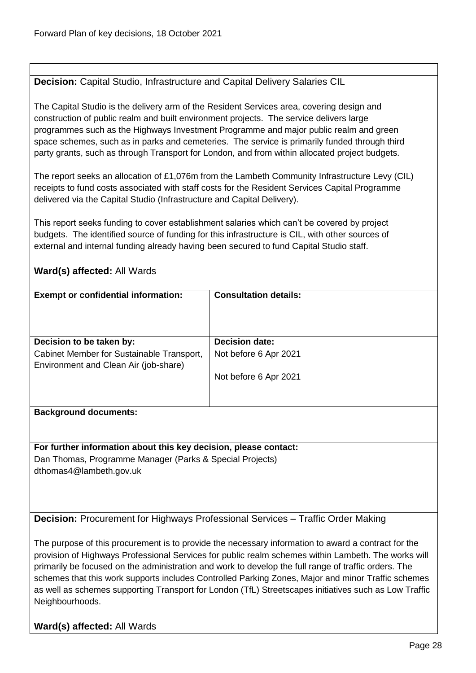# <span id="page-27-0"></span>**Decision:** Capital Studio, Infrastructure and Capital Delivery Salaries CIL

The Capital Studio is the delivery arm of the Resident Services area, covering design and construction of public realm and built environment projects. The service delivers large programmes such as the Highways Investment Programme and major public realm and green space schemes, such as in parks and cemeteries. The service is primarily funded through third party grants, such as through Transport for London, and from within allocated project budgets.

The report seeks an allocation of £1,076m from the Lambeth Community Infrastructure Levy (CIL) receipts to fund costs associated with staff costs for the Resident Services Capital Programme delivered via the Capital Studio (Infrastructure and Capital Delivery).

This report seeks funding to cover establishment salaries which can't be covered by project budgets. The identified source of funding for this infrastructure is CIL, with other sources of external and internal funding already having been secured to fund Capital Studio staff.

# **Ward(s) affected:** All Wards

| <b>Exempt or confidential information:</b>                                         | <b>Consultation details:</b> |
|------------------------------------------------------------------------------------|------------------------------|
| Decision to be taken by:                                                           | <b>Decision date:</b>        |
|                                                                                    |                              |
| Cabinet Member for Sustainable Transport,<br>Environment and Clean Air (job-share) | Not before 6 Apr 2021        |
|                                                                                    | Not before 6 Apr 2021        |
|                                                                                    |                              |
| <b>Background documents:</b>                                                       |                              |

**For further information about this key decision, please contact:** Dan Thomas, Programme Manager (Parks & Special Projects) dthomas4@lambeth.gov.uk

<span id="page-27-1"></span>**Decision:** Procurement for Highways Professional Services – Traffic Order Making

The purpose of this procurement is to provide the necessary information to award a contract for the provision of Highways Professional Services for public realm schemes within Lambeth. The works will primarily be focused on the administration and work to develop the full range of traffic orders. The schemes that this work supports includes Controlled Parking Zones, Major and minor Traffic schemes as well as schemes supporting Transport for London (TfL) Streetscapes initiatives such as Low Traffic Neighbourhoods.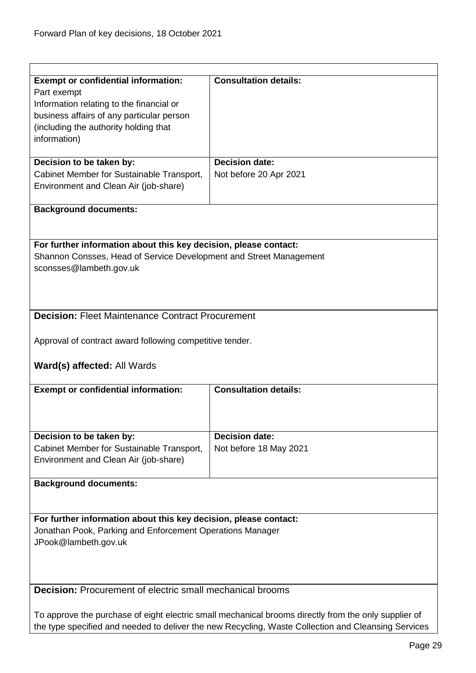<span id="page-28-1"></span><span id="page-28-0"></span>

| <b>Exempt or confidential information:</b><br>Part exempt<br>Information relating to the financial or | <b>Consultation details:</b> |  |
|-------------------------------------------------------------------------------------------------------|------------------------------|--|
| business affairs of any particular person                                                             |                              |  |
| (including the authority holding that                                                                 |                              |  |
| information)                                                                                          |                              |  |
| Decision to be taken by:                                                                              | <b>Decision date:</b>        |  |
| Cabinet Member for Sustainable Transport,                                                             | Not before 20 Apr 2021       |  |
| Environment and Clean Air (job-share)                                                                 |                              |  |
| <b>Background documents:</b>                                                                          |                              |  |
|                                                                                                       |                              |  |
| For further information about this key decision, please contact:                                      |                              |  |
| Shannon Consses, Head of Service Development and Street Management<br>sconsses@lambeth.gov.uk         |                              |  |
|                                                                                                       |                              |  |
|                                                                                                       |                              |  |
| <b>Decision: Fleet Maintenance Contract Procurement</b>                                               |                              |  |
|                                                                                                       |                              |  |
| Approval of contract award following competitive tender.                                              |                              |  |
| Ward(s) affected: All Wards                                                                           |                              |  |
| <b>Exempt or confidential information:</b>                                                            | <b>Consultation details:</b> |  |
|                                                                                                       |                              |  |
|                                                                                                       |                              |  |
| Decision to be taken by:                                                                              | <b>Decision date:</b>        |  |
| Cabinet Member for Sustainable Transport,<br>Environment and Clean Air (job-share)                    | Not before 18 May 2021       |  |
|                                                                                                       |                              |  |
| <b>Background documents:</b>                                                                          |                              |  |
|                                                                                                       |                              |  |
| For further information about this key decision, please contact:                                      |                              |  |
| Jonathan Pook, Parking and Enforcement Operations Manager<br>JPook@lambeth.gov.uk                     |                              |  |
|                                                                                                       |                              |  |
|                                                                                                       |                              |  |
| <b>Decision:</b> Procurement of electric small mechanical brooms                                      |                              |  |
|                                                                                                       |                              |  |
| To approve the purchase of eight electric small mechanical brooms directly from the only supplier of  |                              |  |
| the type specified and needed to deliver the new Recycling, Waste Collection and Cleansing Services   |                              |  |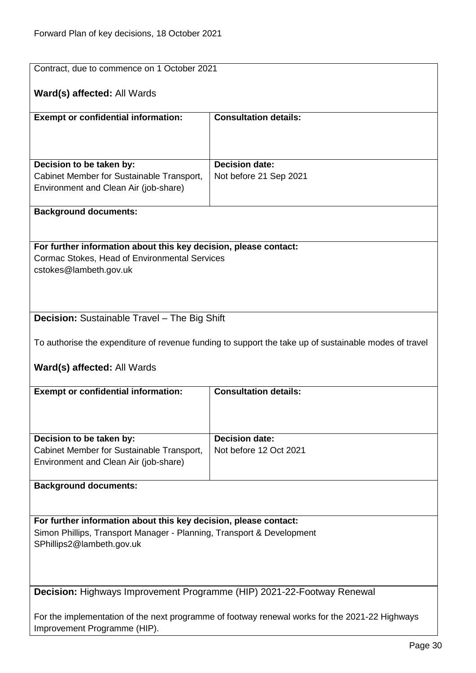<span id="page-29-1"></span><span id="page-29-0"></span>

| Contract, due to commence on 1 October 2021                                                                                               |                                                                                                       |  |
|-------------------------------------------------------------------------------------------------------------------------------------------|-------------------------------------------------------------------------------------------------------|--|
| <b>Ward(s) affected: All Wards</b>                                                                                                        |                                                                                                       |  |
| <b>Exempt or confidential information:</b>                                                                                                | <b>Consultation details:</b>                                                                          |  |
|                                                                                                                                           |                                                                                                       |  |
|                                                                                                                                           |                                                                                                       |  |
| Decision to be taken by:                                                                                                                  | <b>Decision date:</b>                                                                                 |  |
| Cabinet Member for Sustainable Transport,                                                                                                 | Not before 21 Sep 2021                                                                                |  |
| Environment and Clean Air (job-share)                                                                                                     |                                                                                                       |  |
| <b>Background documents:</b>                                                                                                              |                                                                                                       |  |
|                                                                                                                                           |                                                                                                       |  |
| For further information about this key decision, please contact:                                                                          |                                                                                                       |  |
| Cormac Stokes, Head of Environmental Services                                                                                             |                                                                                                       |  |
| cstokes@lambeth.gov.uk                                                                                                                    |                                                                                                       |  |
|                                                                                                                                           |                                                                                                       |  |
|                                                                                                                                           |                                                                                                       |  |
| Decision: Sustainable Travel - The Big Shift                                                                                              |                                                                                                       |  |
|                                                                                                                                           |                                                                                                       |  |
|                                                                                                                                           | To authorise the expenditure of revenue funding to support the take up of sustainable modes of travel |  |
| Ward(s) affected: All Wards                                                                                                               |                                                                                                       |  |
| <b>Exempt or confidential information:</b>                                                                                                | <b>Consultation details:</b>                                                                          |  |
|                                                                                                                                           |                                                                                                       |  |
|                                                                                                                                           |                                                                                                       |  |
| Decision to be taken by:                                                                                                                  | <b>Decision date:</b>                                                                                 |  |
| Cabinet Member for Sustainable Transport,                                                                                                 | Not before 12 Oct 2021                                                                                |  |
| Environment and Clean Air (job-share)                                                                                                     |                                                                                                       |  |
| <b>Background documents:</b>                                                                                                              |                                                                                                       |  |
|                                                                                                                                           |                                                                                                       |  |
|                                                                                                                                           |                                                                                                       |  |
| For further information about this key decision, please contact:<br>Simon Phillips, Transport Manager - Planning, Transport & Development |                                                                                                       |  |
| SPhillips2@lambeth.gov.uk                                                                                                                 |                                                                                                       |  |
|                                                                                                                                           |                                                                                                       |  |
|                                                                                                                                           |                                                                                                       |  |
| Decision: Highways Improvement Programme (HIP) 2021-22-Footway Renewal                                                                    |                                                                                                       |  |
|                                                                                                                                           |                                                                                                       |  |
|                                                                                                                                           | For the implementation of the next programme of footway renewal works for the 2021-22 Highways        |  |
| Improvement Programme (HIP).                                                                                                              |                                                                                                       |  |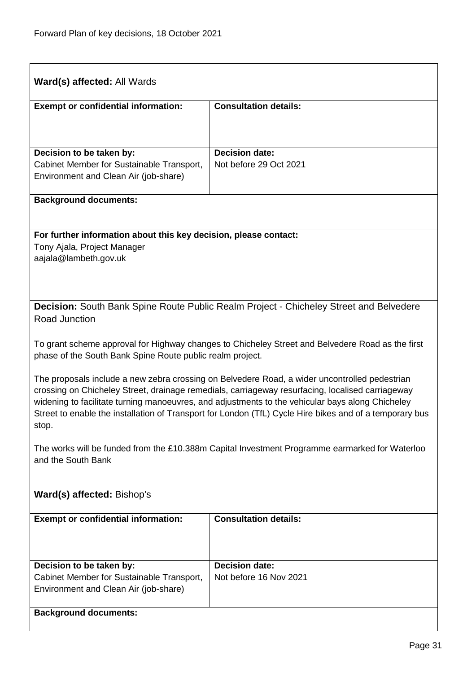<span id="page-30-0"></span>

| <b>Ward(s) affected: All Wards</b>                                                                                                                                                                                                                                                                                                                                                                                        |                                                                                                  |  |
|---------------------------------------------------------------------------------------------------------------------------------------------------------------------------------------------------------------------------------------------------------------------------------------------------------------------------------------------------------------------------------------------------------------------------|--------------------------------------------------------------------------------------------------|--|
| <b>Exempt or confidential information:</b>                                                                                                                                                                                                                                                                                                                                                                                | <b>Consultation details:</b>                                                                     |  |
|                                                                                                                                                                                                                                                                                                                                                                                                                           |                                                                                                  |  |
| Decision to be taken by:                                                                                                                                                                                                                                                                                                                                                                                                  | <b>Decision date:</b>                                                                            |  |
| Cabinet Member for Sustainable Transport,                                                                                                                                                                                                                                                                                                                                                                                 | Not before 29 Oct 2021                                                                           |  |
| Environment and Clean Air (job-share)                                                                                                                                                                                                                                                                                                                                                                                     |                                                                                                  |  |
| <b>Background documents:</b>                                                                                                                                                                                                                                                                                                                                                                                              |                                                                                                  |  |
| For further information about this key decision, please contact:                                                                                                                                                                                                                                                                                                                                                          |                                                                                                  |  |
| Tony Ajala, Project Manager                                                                                                                                                                                                                                                                                                                                                                                               |                                                                                                  |  |
| aajala@lambeth.gov.uk                                                                                                                                                                                                                                                                                                                                                                                                     |                                                                                                  |  |
|                                                                                                                                                                                                                                                                                                                                                                                                                           |                                                                                                  |  |
|                                                                                                                                                                                                                                                                                                                                                                                                                           | <b>Decision:</b> South Bank Spine Route Public Realm Project - Chicheley Street and Belvedere    |  |
| Road Junction                                                                                                                                                                                                                                                                                                                                                                                                             |                                                                                                  |  |
| phase of the South Bank Spine Route public realm project.                                                                                                                                                                                                                                                                                                                                                                 | To grant scheme approval for Highway changes to Chicheley Street and Belvedere Road as the first |  |
| The proposals include a new zebra crossing on Belvedere Road, a wider uncontrolled pedestrian<br>crossing on Chicheley Street, drainage remedials, carriageway resurfacing, localised carriageway<br>widening to facilitate turning manoeuvres, and adjustments to the vehicular bays along Chicheley<br>Street to enable the installation of Transport for London (TfL) Cycle Hire bikes and of a temporary bus<br>stop. |                                                                                                  |  |
| The works will be funded from the £10.388m Capital Investment Programme earmarked for Waterloo<br>and the South Bank                                                                                                                                                                                                                                                                                                      |                                                                                                  |  |
| Ward(s) affected: Bishop's                                                                                                                                                                                                                                                                                                                                                                                                |                                                                                                  |  |
| <b>Exempt or confidential information:</b>                                                                                                                                                                                                                                                                                                                                                                                | <b>Consultation details:</b>                                                                     |  |
|                                                                                                                                                                                                                                                                                                                                                                                                                           |                                                                                                  |  |
| Decision to be taken by:                                                                                                                                                                                                                                                                                                                                                                                                  | <b>Decision date:</b>                                                                            |  |
| Cabinet Member for Sustainable Transport,<br>Environment and Clean Air (job-share)                                                                                                                                                                                                                                                                                                                                        | Not before 16 Nov 2021                                                                           |  |
| <b>Background documents:</b>                                                                                                                                                                                                                                                                                                                                                                                              |                                                                                                  |  |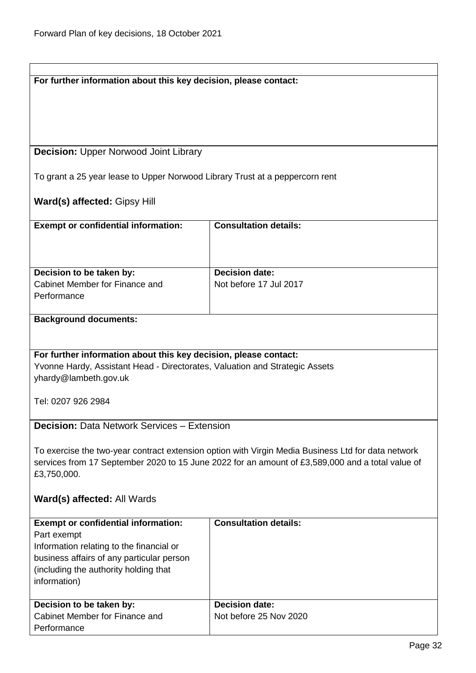<span id="page-31-1"></span><span id="page-31-0"></span>

| For further information about this key decision, please contact:                                 |                                                                                                    |
|--------------------------------------------------------------------------------------------------|----------------------------------------------------------------------------------------------------|
|                                                                                                  |                                                                                                    |
|                                                                                                  |                                                                                                    |
|                                                                                                  |                                                                                                    |
|                                                                                                  |                                                                                                    |
|                                                                                                  |                                                                                                    |
| <b>Decision: Upper Norwood Joint Library</b>                                                     |                                                                                                    |
|                                                                                                  |                                                                                                    |
| To grant a 25 year lease to Upper Norwood Library Trust at a peppercorn rent                     |                                                                                                    |
|                                                                                                  |                                                                                                    |
| <b>Ward(s) affected: Gipsy Hill</b>                                                              |                                                                                                    |
|                                                                                                  |                                                                                                    |
| <b>Exempt or confidential information:</b>                                                       | <b>Consultation details:</b>                                                                       |
|                                                                                                  |                                                                                                    |
|                                                                                                  |                                                                                                    |
|                                                                                                  |                                                                                                    |
| Decision to be taken by:                                                                         | <b>Decision date:</b>                                                                              |
| Cabinet Member for Finance and                                                                   | Not before 17 Jul 2017                                                                             |
| Performance                                                                                      |                                                                                                    |
|                                                                                                  |                                                                                                    |
| <b>Background documents:</b>                                                                     |                                                                                                    |
|                                                                                                  |                                                                                                    |
|                                                                                                  |                                                                                                    |
|                                                                                                  |                                                                                                    |
| For further information about this key decision, please contact:                                 |                                                                                                    |
| Yvonne Hardy, Assistant Head - Directorates, Valuation and Strategic Assets                      |                                                                                                    |
| yhardy@lambeth.gov.uk                                                                            |                                                                                                    |
|                                                                                                  |                                                                                                    |
| Tel: 0207 926 2984                                                                               |                                                                                                    |
|                                                                                                  |                                                                                                    |
| <b>Decision: Data Network Services - Extension</b>                                               |                                                                                                    |
|                                                                                                  |                                                                                                    |
|                                                                                                  | To exercise the two-year contract extension option with Virgin Media Business Ltd for data network |
| services from 17 September 2020 to 15 June 2022 for an amount of £3,589,000 and a total value of |                                                                                                    |
| £3,750,000.                                                                                      |                                                                                                    |
|                                                                                                  |                                                                                                    |
| Ward(s) affected: All Wards                                                                      |                                                                                                    |
|                                                                                                  |                                                                                                    |
| <b>Exempt or confidential information:</b>                                                       | <b>Consultation details:</b>                                                                       |
| Part exempt                                                                                      |                                                                                                    |
| Information relating to the financial or                                                         |                                                                                                    |
| business affairs of any particular person                                                        |                                                                                                    |
| (including the authority holding that                                                            |                                                                                                    |
| information)                                                                                     |                                                                                                    |
|                                                                                                  |                                                                                                    |
| Decision to be taken by:                                                                         | <b>Decision date:</b>                                                                              |
| Cabinet Member for Finance and                                                                   | Not before 25 Nov 2020                                                                             |
| Performance                                                                                      |                                                                                                    |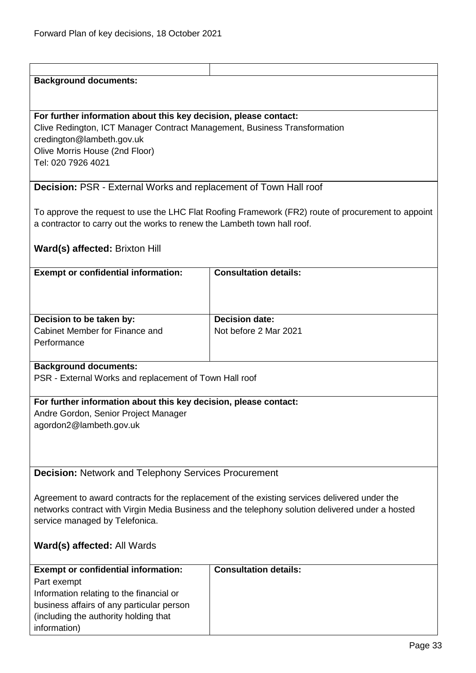# **Background documents: For further information about this key decision, please contact:** Clive Redington, ICT Manager Contract Management, Business Transformation credington@lambeth.gov.uk Olive Morris House (2nd Floor) Tel: 020 7926 4021 **Decision:** PSR - External Works and replacement of Town Hall roof To approve the request to use the LHC Flat Roofing Framework (FR2) route of procurement to appoint a contractor to carry out the works to renew the Lambeth town hall roof. **Ward(s) affected:** Brixton Hill

<span id="page-32-0"></span>

| <b>Exempt or confidential information:</b>                                | <b>Consultation details:</b>                   |
|---------------------------------------------------------------------------|------------------------------------------------|
| Decision to be taken by:<br>Cabinet Member for Finance and<br>Performance | <b>Decision date:</b><br>Not before 2 Mar 2021 |
|                                                                           |                                                |

# **Background documents:**

PSR - External Works and replacement of Town Hall roof

#### **For further information about this key decision, please contact:**

Andre Gordon, Senior Project Manager agordon2@lambeth.gov.uk

<span id="page-32-1"></span>**Decision:** Network and Telephony Services Procurement

Agreement to award contracts for the replacement of the existing services delivered under the networks contract with Virgin Media Business and the telephony solution delivered under a hosted service managed by Telefonica.

| <b>Exempt or confidential information:</b> | <b>Consultation details:</b> |
|--------------------------------------------|------------------------------|
| Part exempt                                |                              |
| Information relating to the financial or   |                              |
| business affairs of any particular person  |                              |
| (including the authority holding that)     |                              |
| information)                               |                              |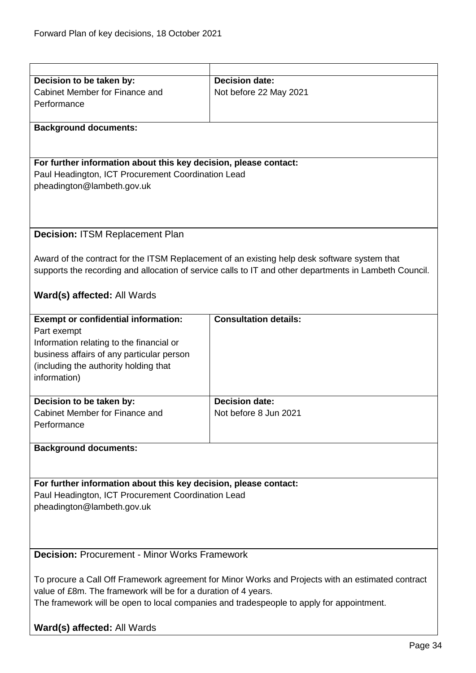<span id="page-33-1"></span><span id="page-33-0"></span>

| Decision to be taken by:                                                                          | <b>Decision date:</b>                                                                                  |  |
|---------------------------------------------------------------------------------------------------|--------------------------------------------------------------------------------------------------------|--|
| Cabinet Member for Finance and                                                                    | Not before 22 May 2021                                                                                 |  |
| Performance                                                                                       |                                                                                                        |  |
|                                                                                                   |                                                                                                        |  |
|                                                                                                   |                                                                                                        |  |
| <b>Background documents:</b>                                                                      |                                                                                                        |  |
|                                                                                                   |                                                                                                        |  |
|                                                                                                   |                                                                                                        |  |
| For further information about this key decision, please contact:                                  |                                                                                                        |  |
| Paul Headington, ICT Procurement Coordination Lead                                                |                                                                                                        |  |
| pheadington@lambeth.gov.uk                                                                        |                                                                                                        |  |
|                                                                                                   |                                                                                                        |  |
|                                                                                                   |                                                                                                        |  |
|                                                                                                   |                                                                                                        |  |
|                                                                                                   |                                                                                                        |  |
| <b>Decision: ITSM Replacement Plan</b>                                                            |                                                                                                        |  |
|                                                                                                   |                                                                                                        |  |
|                                                                                                   | Award of the contract for the ITSM Replacement of an existing help desk software system that           |  |
|                                                                                                   | supports the recording and allocation of service calls to IT and other departments in Lambeth Council. |  |
|                                                                                                   |                                                                                                        |  |
| Ward(s) affected: All Wards                                                                       |                                                                                                        |  |
|                                                                                                   |                                                                                                        |  |
| <b>Exempt or confidential information:</b>                                                        | <b>Consultation details:</b>                                                                           |  |
|                                                                                                   |                                                                                                        |  |
| Part exempt                                                                                       |                                                                                                        |  |
| Information relating to the financial or                                                          |                                                                                                        |  |
| business affairs of any particular person                                                         |                                                                                                        |  |
| (including the authority holding that                                                             |                                                                                                        |  |
| information)                                                                                      |                                                                                                        |  |
|                                                                                                   |                                                                                                        |  |
| Decision to be taken by:                                                                          | <b>Decision date:</b>                                                                                  |  |
| Cabinet Member for Finance and                                                                    | Not before 8 Jun 2021                                                                                  |  |
| Performance                                                                                       |                                                                                                        |  |
|                                                                                                   |                                                                                                        |  |
| <b>Background documents:</b>                                                                      |                                                                                                        |  |
|                                                                                                   |                                                                                                        |  |
|                                                                                                   |                                                                                                        |  |
|                                                                                                   |                                                                                                        |  |
| For further information about this key decision, please contact:                                  |                                                                                                        |  |
| Paul Headington, ICT Procurement Coordination Lead                                                |                                                                                                        |  |
| pheadington@lambeth.gov.uk                                                                        |                                                                                                        |  |
|                                                                                                   |                                                                                                        |  |
|                                                                                                   |                                                                                                        |  |
|                                                                                                   |                                                                                                        |  |
| <b>Decision: Procurement - Minor Works Framework</b>                                              |                                                                                                        |  |
|                                                                                                   |                                                                                                        |  |
|                                                                                                   |                                                                                                        |  |
| To procure a Call Off Framework agreement for Minor Works and Projects with an estimated contract |                                                                                                        |  |
| value of £8m. The framework will be for a duration of 4 years.                                    |                                                                                                        |  |
|                                                                                                   | The framework will be open to local companies and tradespeople to apply for appointment.               |  |
|                                                                                                   |                                                                                                        |  |
| Ward(s) affected: All Wards                                                                       |                                                                                                        |  |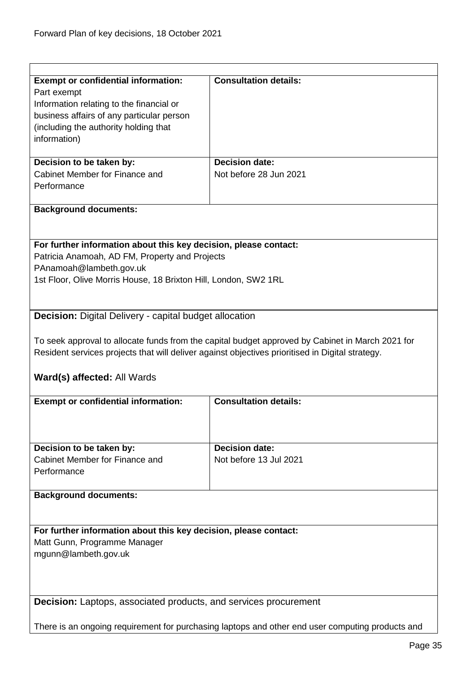$\overline{1}$ 

| <b>Exempt or confidential information:</b><br>Part exempt                             | <b>Consultation details:</b>                                                                     |
|---------------------------------------------------------------------------------------|--------------------------------------------------------------------------------------------------|
| Information relating to the financial or<br>business affairs of any particular person |                                                                                                  |
| (including the authority holding that                                                 |                                                                                                  |
| information)                                                                          |                                                                                                  |
|                                                                                       |                                                                                                  |
| Decision to be taken by:                                                              | <b>Decision date:</b>                                                                            |
| Cabinet Member for Finance and<br>Performance                                         | Not before 28 Jun 2021                                                                           |
|                                                                                       |                                                                                                  |
| <b>Background documents:</b>                                                          |                                                                                                  |
|                                                                                       |                                                                                                  |
| For further information about this key decision, please contact:                      |                                                                                                  |
| Patricia Anamoah, AD FM, Property and Projects                                        |                                                                                                  |
| PAnamoah@lambeth.gov.uk                                                               |                                                                                                  |
| 1st Floor, Olive Morris House, 18 Brixton Hill, London, SW2 1RL                       |                                                                                                  |
|                                                                                       |                                                                                                  |
| <b>Decision:</b> Digital Delivery - capital budget allocation                         |                                                                                                  |
|                                                                                       |                                                                                                  |
|                                                                                       | To seek approval to allocate funds from the capital budget approved by Cabinet in March 2021 for |
|                                                                                       | Resident services projects that will deliver against objectives prioritised in Digital strategy. |
|                                                                                       |                                                                                                  |
| <b>Ward(s) affected: All Wards</b>                                                    |                                                                                                  |
| <b>Exempt or confidential information:</b>                                            | <b>Consultation details:</b>                                                                     |
|                                                                                       |                                                                                                  |
|                                                                                       |                                                                                                  |
| Decision to be taken by:                                                              | <b>Decision date:</b>                                                                            |
| Cabinet Member for Finance and                                                        |                                                                                                  |
|                                                                                       | Not before 13 Jul 2021                                                                           |
| Performance                                                                           |                                                                                                  |
|                                                                                       |                                                                                                  |
| <b>Background documents:</b>                                                          |                                                                                                  |
|                                                                                       |                                                                                                  |
| For further information about this key decision, please contact:                      |                                                                                                  |
| Matt Gunn, Programme Manager                                                          |                                                                                                  |
| mgunn@lambeth.gov.uk                                                                  |                                                                                                  |
|                                                                                       |                                                                                                  |
|                                                                                       |                                                                                                  |
| <b>Decision:</b> Laptops, associated products, and services procurement               |                                                                                                  |
|                                                                                       | There is an ongoing requirement for purchasing laptops and other end user computing products and |

<span id="page-34-1"></span><span id="page-34-0"></span>l,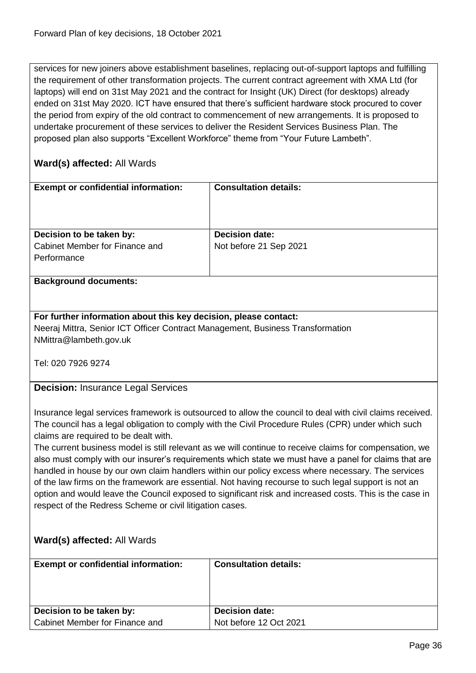services for new joiners above establishment baselines, replacing out-of-support laptops and fulfilling the requirement of other transformation projects. The current contract agreement with XMA Ltd (for laptops) will end on 31st May 2021 and the contract for Insight (UK) Direct (for desktops) already ended on 31st May 2020. ICT have ensured that there's sufficient hardware stock procured to cover the period from expiry of the old contract to commencement of new arrangements. It is proposed to undertake procurement of these services to deliver the Resident Services Business Plan. The proposed plan also supports "Excellent Workforce" theme from "Your Future Lambeth".

# **Ward(s) affected:** All Wards

| <b>Exempt or confidential information:</b> | <b>Consultation details:</b> |
|--------------------------------------------|------------------------------|
| Decision to be taken by:                   | <b>Decision date:</b>        |
| Cabinet Member for Finance and             | Not before 21 Sep 2021       |
| Performance                                |                              |
|                                            |                              |
| <b>Background documents:</b>               |                              |

# **For further information about this key decision, please contact:**

Neeraj Mittra, Senior ICT Officer Contract Management, Business Transformation NMittra@lambeth.gov.uk

Tel: 020 7926 9274

<span id="page-35-0"></span>**Decision:** Insurance Legal Services

Insurance legal services framework is outsourced to allow the council to deal with civil claims received. The council has a legal obligation to comply with the Civil Procedure Rules (CPR) under which such claims are required to be dealt with.

The current business model is still relevant as we will continue to receive claims for compensation, we also must comply with our insurer's requirements which state we must have a panel for claims that are handled in house by our own claim handlers within our policy excess where necessary. The services of the law firms on the framework are essential. Not having recourse to such legal support is not an option and would leave the Council exposed to significant risk and increased costs. This is the case in respect of the Redress Scheme or civil litigation cases.

| <b>Exempt or confidential information:</b> | <b>Consultation details:</b> |
|--------------------------------------------|------------------------------|
| Decision to be taken by:                   | <b>Decision date:</b>        |
| Cabinet Member for Finance and             | Not before 12 Oct 2021       |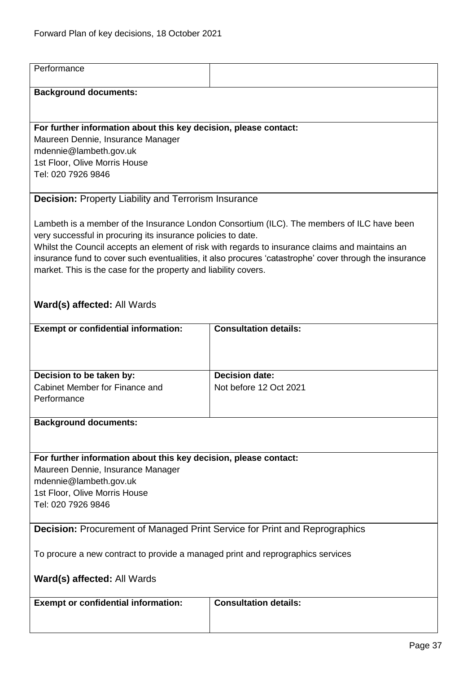| Performance                                                                       |                                                                                                                                                                                                           |
|-----------------------------------------------------------------------------------|-----------------------------------------------------------------------------------------------------------------------------------------------------------------------------------------------------------|
| <b>Background documents:</b>                                                      |                                                                                                                                                                                                           |
|                                                                                   |                                                                                                                                                                                                           |
|                                                                                   |                                                                                                                                                                                                           |
| For further information about this key decision, please contact:                  |                                                                                                                                                                                                           |
| Maureen Dennie, Insurance Manager                                                 |                                                                                                                                                                                                           |
| mdennie@lambeth.gov.uk                                                            |                                                                                                                                                                                                           |
| 1st Floor, Olive Morris House<br>Tel: 020 7926 9846                               |                                                                                                                                                                                                           |
|                                                                                   |                                                                                                                                                                                                           |
| <b>Decision: Property Liability and Terrorism Insurance</b>                       |                                                                                                                                                                                                           |
|                                                                                   |                                                                                                                                                                                                           |
|                                                                                   | Lambeth is a member of the Insurance London Consortium (ILC). The members of ILC have been                                                                                                                |
| very successful in procuring its insurance policies to date.                      |                                                                                                                                                                                                           |
|                                                                                   | Whilst the Council accepts an element of risk with regards to insurance claims and maintains an<br>insurance fund to cover such eventualities, it also procures 'catastrophe' cover through the insurance |
| market. This is the case for the property and liability covers.                   |                                                                                                                                                                                                           |
|                                                                                   |                                                                                                                                                                                                           |
|                                                                                   |                                                                                                                                                                                                           |
| Ward(s) affected: All Wards                                                       |                                                                                                                                                                                                           |
| <b>Exempt or confidential information:</b>                                        | <b>Consultation details:</b>                                                                                                                                                                              |
|                                                                                   |                                                                                                                                                                                                           |
|                                                                                   |                                                                                                                                                                                                           |
| Decision to be taken by:                                                          | <b>Decision date:</b>                                                                                                                                                                                     |
| Cabinet Member for Finance and                                                    | Not before 12 Oct 2021                                                                                                                                                                                    |
| Performance                                                                       |                                                                                                                                                                                                           |
|                                                                                   |                                                                                                                                                                                                           |
| <b>Background documents:</b>                                                      |                                                                                                                                                                                                           |
|                                                                                   |                                                                                                                                                                                                           |
| For further information about this key decision, please contact:                  |                                                                                                                                                                                                           |
| Maureen Dennie, Insurance Manager                                                 |                                                                                                                                                                                                           |
| mdennie@lambeth.gov.uk                                                            |                                                                                                                                                                                                           |
| 1st Floor, Olive Morris House                                                     |                                                                                                                                                                                                           |
| Tel: 020 7926 9846                                                                |                                                                                                                                                                                                           |
|                                                                                   |                                                                                                                                                                                                           |
| <b>Decision: Procurement of Managed Print Service for Print and Reprographics</b> |                                                                                                                                                                                                           |
|                                                                                   |                                                                                                                                                                                                           |
| To procure a new contract to provide a managed print and reprographics services   |                                                                                                                                                                                                           |
| Ward(s) affected: All Wards                                                       |                                                                                                                                                                                                           |
|                                                                                   |                                                                                                                                                                                                           |
| <b>Exempt or confidential information:</b>                                        | <b>Consultation details:</b>                                                                                                                                                                              |
|                                                                                   |                                                                                                                                                                                                           |
|                                                                                   |                                                                                                                                                                                                           |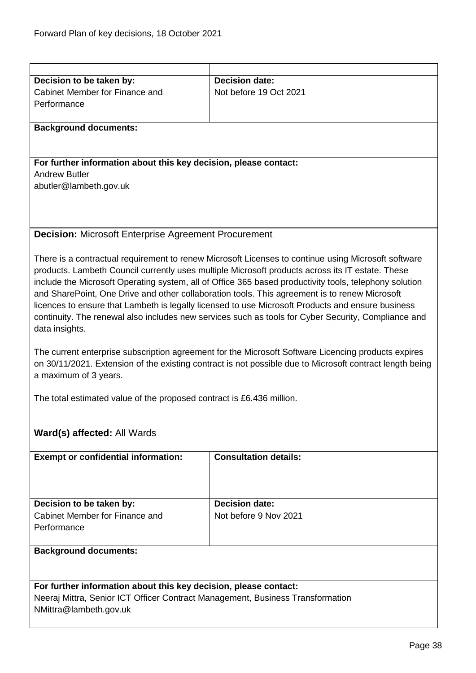| Decision to be taken by:                                                       | <b>Decision date:</b>                                                                                    |
|--------------------------------------------------------------------------------|----------------------------------------------------------------------------------------------------------|
| Cabinet Member for Finance and                                                 | Not before 19 Oct 2021                                                                                   |
| Performance                                                                    |                                                                                                          |
|                                                                                |                                                                                                          |
| <b>Background documents:</b>                                                   |                                                                                                          |
|                                                                                |                                                                                                          |
|                                                                                |                                                                                                          |
| For further information about this key decision, please contact:               |                                                                                                          |
| <b>Andrew Butler</b>                                                           |                                                                                                          |
| abutler@lambeth.gov.uk                                                         |                                                                                                          |
|                                                                                |                                                                                                          |
|                                                                                |                                                                                                          |
|                                                                                |                                                                                                          |
| <b>Decision: Microsoft Enterprise Agreement Procurement</b>                    |                                                                                                          |
|                                                                                |                                                                                                          |
|                                                                                | There is a contractual requirement to renew Microsoft Licenses to continue using Microsoft software      |
|                                                                                | products. Lambeth Council currently uses multiple Microsoft products across its IT estate. These         |
|                                                                                | include the Microsoft Operating system, all of Office 365 based productivity tools, telephony solution   |
|                                                                                | and SharePoint, One Drive and other collaboration tools. This agreement is to renew Microsoft            |
|                                                                                | licences to ensure that Lambeth is legally licensed to use Microsoft Products and ensure business        |
|                                                                                | continuity. The renewal also includes new services such as tools for Cyber Security, Compliance and      |
| data insights.                                                                 |                                                                                                          |
|                                                                                |                                                                                                          |
|                                                                                | The current enterprise subscription agreement for the Microsoft Software Licencing products expires      |
|                                                                                | on 30/11/2021. Extension of the existing contract is not possible due to Microsoft contract length being |
| a maximum of 3 years.                                                          |                                                                                                          |
|                                                                                |                                                                                                          |
| The total estimated value of the proposed contract is £6.436 million.          |                                                                                                          |
|                                                                                |                                                                                                          |
|                                                                                |                                                                                                          |
| Ward(s) affected: All Wards                                                    |                                                                                                          |
|                                                                                |                                                                                                          |
| <b>Exempt or confidential information:</b>                                     | <b>Consultation details:</b>                                                                             |
|                                                                                |                                                                                                          |
|                                                                                |                                                                                                          |
|                                                                                |                                                                                                          |
| Decision to be taken by:                                                       | <b>Decision date:</b>                                                                                    |
| Cabinet Member for Finance and                                                 | Not before 9 Nov 2021                                                                                    |
| Performance                                                                    |                                                                                                          |
|                                                                                |                                                                                                          |
| <b>Background documents:</b>                                                   |                                                                                                          |
|                                                                                |                                                                                                          |
|                                                                                |                                                                                                          |
| For further information about this key decision, please contact:               |                                                                                                          |
| Neeraj Mittra, Senior ICT Officer Contract Management, Business Transformation |                                                                                                          |
| NMittra@lambeth.gov.uk                                                         |                                                                                                          |
|                                                                                |                                                                                                          |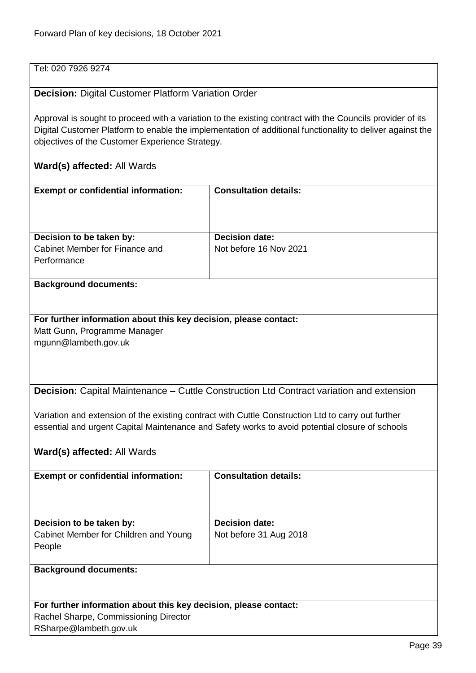## Tel: 020 7926 9274

#### **Decision:** Digital Customer Platform Variation Order

Approval is sought to proceed with a variation to the existing contract with the Councils provider of its Digital Customer Platform to enable the implementation of additional functionality to deliver against the objectives of the Customer Experience Strategy.

#### **Ward(s) affected:** All Wards

| <b>Exempt or confidential information:</b>                                | <b>Consultation details:</b>                    |
|---------------------------------------------------------------------------|-------------------------------------------------|
| Decision to be taken by:<br>Cabinet Member for Finance and<br>Performance | <b>Decision date:</b><br>Not before 16 Nov 2021 |

#### **Background documents:**

## **For further information about this key decision, please contact:** Matt Gunn, Programme Manager mgunn@lambeth.gov.uk

**Decision:** Capital Maintenance – Cuttle Construction Ltd Contract variation and extension

Variation and extension of the existing contract with Cuttle Construction Ltd to carry out further essential and urgent Capital Maintenance and Safety works to avoid potential closure of schools

## **Ward(s) affected:** All Wards

RSharpe@lambeth.gov.uk

| <b>Exempt or confidential information:</b>                       | <b>Consultation details:</b> |
|------------------------------------------------------------------|------------------------------|
|                                                                  |                              |
|                                                                  |                              |
|                                                                  |                              |
|                                                                  |                              |
| Decision to be taken by:                                         | <b>Decision date:</b>        |
| Cabinet Member for Children and Young                            | Not before 31 Aug 2018       |
| People                                                           |                              |
|                                                                  |                              |
| <b>Background documents:</b>                                     |                              |
|                                                                  |                              |
|                                                                  |                              |
|                                                                  |                              |
| For further information about this key decision, please contact: |                              |
| Rachel Sharpe, Commissioning Director                            |                              |

Page 39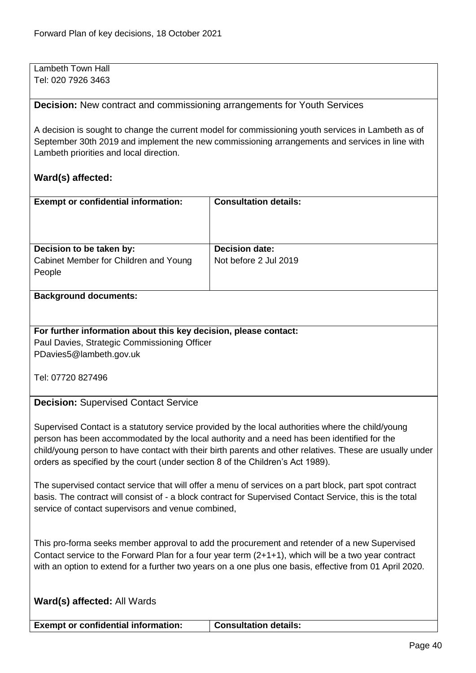Lambeth Town Hall Tel: 020 7926 3463

**Decision:** New contract and commissioning arrangements for Youth Services

A decision is sought to change the current model for commissioning youth services in Lambeth as of September 30th 2019 and implement the new commissioning arrangements and services in line with Lambeth priorities and local direction.

## **Ward(s) affected:**

| <b>Exempt or confidential information:</b>      | <b>Consultation details:</b> |
|-------------------------------------------------|------------------------------|
| Decision to be taken by:                        | <b>Decision date:</b>        |
| Cabinet Member for Children and Young<br>People | Not before 2 Jul 2019        |

#### **Background documents:**

**For further information about this key decision, please contact:** Paul Davies, Strategic Commissioning Officer PDavies5@lambeth.gov.uk

Tel: 07720 827496

#### **Decision:** Supervised Contact Service

Supervised Contact is a statutory service provided by the local authorities where the child/young person has been accommodated by the local authority and a need has been identified for the child/young person to have contact with their birth parents and other relatives. These are usually under orders as specified by the court (under section 8 of the Children's Act 1989).

The supervised contact service that will offer a menu of services on a part block, part spot contract basis. The contract will consist of - a block contract for Supervised Contact Service, this is the total service of contact supervisors and venue combined,

This pro-forma seeks member approval to add the procurement and retender of a new Supervised Contact service to the Forward Plan for a four year term (2+1+1), which will be a two year contract with an option to extend for a further two years on a one plus one basis, effective from 01 April 2020.

**Exempt or confidential information: Consultation details:**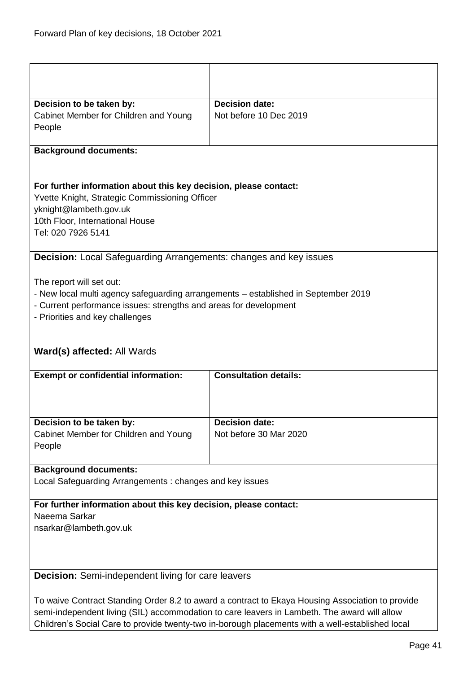| Decision to be taken by:                                                                         | <b>Decision date:</b>                                                                            |
|--------------------------------------------------------------------------------------------------|--------------------------------------------------------------------------------------------------|
| Cabinet Member for Children and Young                                                            | Not before 10 Dec 2019                                                                           |
| People                                                                                           |                                                                                                  |
| <b>Background documents:</b>                                                                     |                                                                                                  |
| For further information about this key decision, please contact:                                 |                                                                                                  |
| Yvette Knight, Strategic Commissioning Officer                                                   |                                                                                                  |
| yknight@lambeth.gov.uk                                                                           |                                                                                                  |
| 10th Floor, International House                                                                  |                                                                                                  |
| Tel: 020 7926 5141                                                                               |                                                                                                  |
| <b>Decision:</b> Local Safeguarding Arrangements: changes and key issues                         |                                                                                                  |
|                                                                                                  |                                                                                                  |
| The report will set out:                                                                         |                                                                                                  |
| - New local multi agency safeguarding arrangements - established in September 2019               |                                                                                                  |
| - Current performance issues: strengths and areas for development                                |                                                                                                  |
| - Priorities and key challenges                                                                  |                                                                                                  |
|                                                                                                  |                                                                                                  |
| Ward(s) affected: All Wards                                                                      |                                                                                                  |
| <b>Exempt or confidential information:</b>                                                       | <b>Consultation details:</b>                                                                     |
|                                                                                                  |                                                                                                  |
|                                                                                                  |                                                                                                  |
| Decision to be taken by:                                                                         | Decision date:                                                                                   |
| Cabinet Member for Children and Young                                                            | Not before 30 Mar 2020                                                                           |
| People                                                                                           |                                                                                                  |
|                                                                                                  |                                                                                                  |
| <b>Background documents:</b>                                                                     |                                                                                                  |
| Local Safeguarding Arrangements: changes and key issues                                          |                                                                                                  |
|                                                                                                  |                                                                                                  |
| For further information about this key decision, please contact:                                 |                                                                                                  |
| Naeema Sarkar                                                                                    |                                                                                                  |
| nsarkar@lambeth.gov.uk                                                                           |                                                                                                  |
|                                                                                                  |                                                                                                  |
|                                                                                                  |                                                                                                  |
| <b>Decision:</b> Semi-independent living for care leavers                                        |                                                                                                  |
|                                                                                                  |                                                                                                  |
| To waive Contract Standing Order 8.2 to award a contract to Ekaya Housing Association to provide |                                                                                                  |
| semi-independent living (SIL) accommodation to care leavers in Lambeth. The award will allow     |                                                                                                  |
|                                                                                                  | Children's Social Care to provide twenty-two in-borough placements with a well-established local |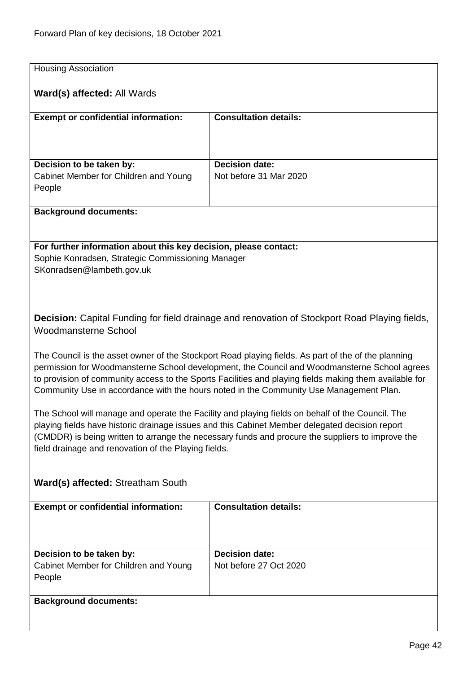| <b>Housing Association</b>                                                             |                                                                                                                                                                                                        |
|----------------------------------------------------------------------------------------|--------------------------------------------------------------------------------------------------------------------------------------------------------------------------------------------------------|
| Ward(s) affected: All Wards                                                            |                                                                                                                                                                                                        |
| <b>Exempt or confidential information:</b>                                             | <b>Consultation details:</b>                                                                                                                                                                           |
|                                                                                        |                                                                                                                                                                                                        |
| Decision to be taken by:                                                               | <b>Decision date:</b>                                                                                                                                                                                  |
| Cabinet Member for Children and Young                                                  | Not before 31 Mar 2020                                                                                                                                                                                 |
| People                                                                                 |                                                                                                                                                                                                        |
| <b>Background documents:</b>                                                           |                                                                                                                                                                                                        |
|                                                                                        |                                                                                                                                                                                                        |
| For further information about this key decision, please contact:                       |                                                                                                                                                                                                        |
| Sophie Konradsen, Strategic Commissioning Manager<br>SKonradsen@lambeth.gov.uk         |                                                                                                                                                                                                        |
|                                                                                        |                                                                                                                                                                                                        |
|                                                                                        |                                                                                                                                                                                                        |
|                                                                                        | Decision: Capital Funding for field drainage and renovation of Stockport Road Playing fields,                                                                                                          |
| <b>Woodmansterne School</b>                                                            |                                                                                                                                                                                                        |
|                                                                                        | The Council is the asset owner of the Stockport Road playing fields. As part of the of the planning                                                                                                    |
|                                                                                        | permission for Woodmansterne School development, the Council and Woodmansterne School agrees<br>to provision of community access to the Sports Facilities and playing fields making them available for |
| Community Use in accordance with the hours noted in the Community Use Management Plan. |                                                                                                                                                                                                        |
|                                                                                        | The School will manage and operate the Facility and playing fields on behalf of the Council. The                                                                                                       |
|                                                                                        | playing fields have historic drainage issues and this Cabinet Member delegated decision report                                                                                                         |
| field drainage and renovation of the Playing fields.                                   | (CMDDR) is being written to arrange the necessary funds and procure the suppliers to improve the                                                                                                       |
|                                                                                        |                                                                                                                                                                                                        |
| <b>Ward(s) affected: Streatham South</b>                                               |                                                                                                                                                                                                        |
| <b>Exempt or confidential information:</b>                                             | <b>Consultation details:</b>                                                                                                                                                                           |
|                                                                                        |                                                                                                                                                                                                        |
|                                                                                        |                                                                                                                                                                                                        |
| Decision to be taken by:                                                               | <b>Decision date:</b>                                                                                                                                                                                  |
| Cabinet Member for Children and Young<br>People                                        | Not before 27 Oct 2020                                                                                                                                                                                 |
|                                                                                        |                                                                                                                                                                                                        |
| <b>Background documents:</b>                                                           |                                                                                                                                                                                                        |
|                                                                                        |                                                                                                                                                                                                        |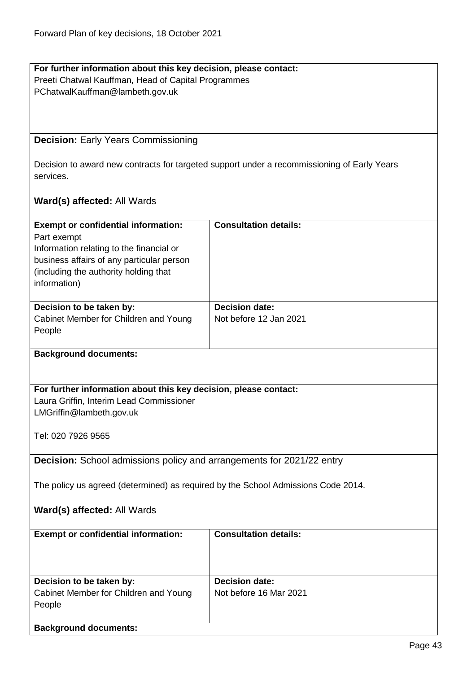## **For further information about this key decision, please contact:** Preeti Chatwal Kauffman, Head of Capital Programmes PChatwalKauffman@lambeth.gov.uk

## **Decision:** Early Years Commissioning

Decision to award new contracts for targeted support under a recommissioning of Early Years services.

## **Ward(s) affected:** All Wards

| <b>Exempt or confidential information:</b>                                        | <b>Consultation details:</b> |
|-----------------------------------------------------------------------------------|------------------------------|
| Part exempt                                                                       |                              |
| Information relating to the financial or                                          |                              |
| business affairs of any particular person                                         |                              |
| (including the authority holding that                                             |                              |
| information)                                                                      |                              |
|                                                                                   |                              |
| Decision to be taken by:                                                          | <b>Decision date:</b>        |
| Cabinet Member for Children and Young                                             | Not before 12 Jan 2021       |
| People                                                                            |                              |
|                                                                                   |                              |
| <b>Background documents:</b>                                                      |                              |
|                                                                                   |                              |
|                                                                                   |                              |
| For further information about this key decision, please contact:                  |                              |
| Laura Griffin, Interim Lead Commissioner                                          |                              |
| LMGriffin@lambeth.gov.uk                                                          |                              |
|                                                                                   |                              |
| Tel: 020 7926 9565                                                                |                              |
|                                                                                   |                              |
| <b>Decision:</b> School admissions policy and arrangements for 2021/22 entry      |                              |
|                                                                                   |                              |
| The policy us agreed (determined) as required by the School Admissions Code 2014. |                              |
|                                                                                   |                              |
| Ward(s) affected: All Wards                                                       |                              |
|                                                                                   |                              |
| <b>Exempt or confidential information:</b>                                        | <b>Consultation details:</b> |
|                                                                                   |                              |
|                                                                                   |                              |
|                                                                                   |                              |
| Decision to be taken by:                                                          | <b>Decision date:</b>        |
| Cabinet Member for Children and Young                                             | Not before 16 Mar 2021       |
| People                                                                            |                              |
|                                                                                   |                              |
| <b>Background documents:</b>                                                      |                              |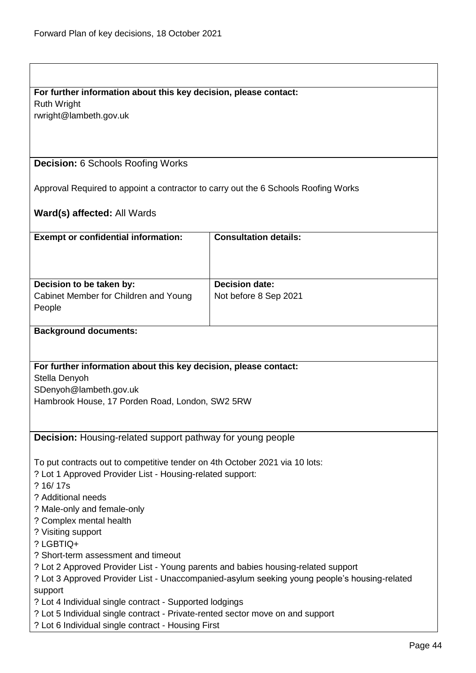## **For further information about this key decision, please contact:**

Ruth Wright

rwright@lambeth.gov.uk

## **Decision:** 6 Schools Roofing Works

Approval Required to appoint a contractor to carry out the 6 Schools Roofing Works

## **Ward(s) affected:** All Wards

| <b>Exempt or confidential information:</b>                                                                                           | <b>Consultation details:</b> |
|--------------------------------------------------------------------------------------------------------------------------------------|------------------------------|
|                                                                                                                                      |                              |
|                                                                                                                                      |                              |
| Decision to be taken by:                                                                                                             | <b>Decision date:</b>        |
| Cabinet Member for Children and Young                                                                                                | Not before 8 Sep 2021        |
| People                                                                                                                               |                              |
| <b>Background documents:</b>                                                                                                         |                              |
|                                                                                                                                      |                              |
| For further information about this key decision, please contact:                                                                     |                              |
| Stella Denyoh                                                                                                                        |                              |
| SDenyoh@lambeth.gov.uk<br>Hambrook House, 17 Porden Road, London, SW2 5RW                                                            |                              |
|                                                                                                                                      |                              |
|                                                                                                                                      |                              |
| <b>Decision:</b> Housing-related support pathway for young people                                                                    |                              |
| To put contracts out to competitive tender on 4th October 2021 via 10 lots:                                                          |                              |
| ? Lot 1 Approved Provider List - Housing-related support:                                                                            |                              |
| ? 16/17s                                                                                                                             |                              |
| ? Additional needs                                                                                                                   |                              |
| ? Male-only and female-only                                                                                                          |                              |
| ? Complex mental health                                                                                                              |                              |
| ? Visiting support<br>? LGBTIQ+                                                                                                      |                              |
| ? Short-term assessment and timeout                                                                                                  |                              |
| ? Lot 2 Approved Provider List - Young parents and babies housing-related support                                                    |                              |
| ? Lot 3 Approved Provider List - Unaccompanied-asylum seeking young people's housing-related                                         |                              |
| support                                                                                                                              |                              |
| ? Lot 4 Individual single contract - Supported lodgings                                                                              |                              |
| ? Lot 5 Individual single contract - Private-rented sector move on and support<br>? Lot 6 Individual single contract - Housing First |                              |
|                                                                                                                                      |                              |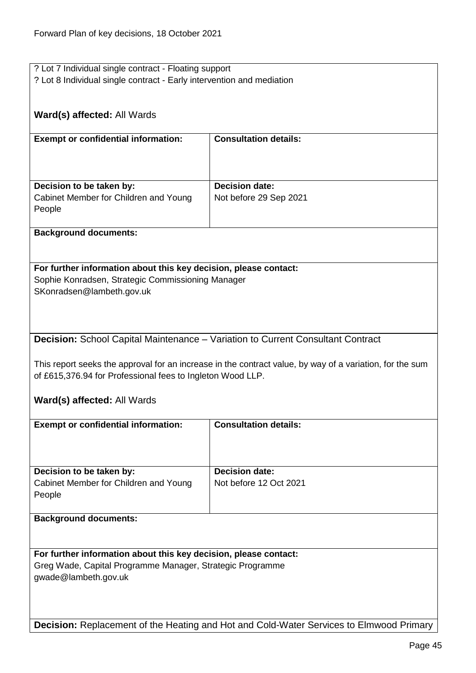| ? Lot 7 Individual single contract - Floating support                           |                                                                                                          |
|---------------------------------------------------------------------------------|----------------------------------------------------------------------------------------------------------|
| ? Lot 8 Individual single contract - Early intervention and mediation           |                                                                                                          |
|                                                                                 |                                                                                                          |
|                                                                                 |                                                                                                          |
| <b>Ward(s) affected: All Wards</b>                                              |                                                                                                          |
|                                                                                 |                                                                                                          |
|                                                                                 |                                                                                                          |
| <b>Exempt or confidential information:</b>                                      | <b>Consultation details:</b>                                                                             |
|                                                                                 |                                                                                                          |
|                                                                                 |                                                                                                          |
|                                                                                 |                                                                                                          |
| Decision to be taken by:                                                        | <b>Decision date:</b>                                                                                    |
|                                                                                 |                                                                                                          |
| Cabinet Member for Children and Young                                           | Not before 29 Sep 2021                                                                                   |
| People                                                                          |                                                                                                          |
|                                                                                 |                                                                                                          |
| <b>Background documents:</b>                                                    |                                                                                                          |
|                                                                                 |                                                                                                          |
|                                                                                 |                                                                                                          |
|                                                                                 |                                                                                                          |
| For further information about this key decision, please contact:                |                                                                                                          |
| Sophie Konradsen, Strategic Commissioning Manager                               |                                                                                                          |
| SKonradsen@lambeth.gov.uk                                                       |                                                                                                          |
|                                                                                 |                                                                                                          |
|                                                                                 |                                                                                                          |
|                                                                                 |                                                                                                          |
|                                                                                 |                                                                                                          |
| Decision: School Capital Maintenance - Variation to Current Consultant Contract |                                                                                                          |
|                                                                                 |                                                                                                          |
|                                                                                 |                                                                                                          |
|                                                                                 | This report seeks the approval for an increase in the contract value, by way of a variation, for the sum |
|                                                                                 |                                                                                                          |
| of £615,376.94 for Professional fees to Ingleton Wood LLP.                      |                                                                                                          |
|                                                                                 |                                                                                                          |
| <b>Ward(s) affected: All Wards</b>                                              |                                                                                                          |
|                                                                                 |                                                                                                          |
| <b>Exempt or confidential information:</b>                                      | <b>Consultation details:</b>                                                                             |
|                                                                                 |                                                                                                          |
|                                                                                 |                                                                                                          |
|                                                                                 |                                                                                                          |
|                                                                                 |                                                                                                          |
| Decision to be taken by:                                                        | <b>Decision date:</b>                                                                                    |
| Cabinet Member for Children and Young                                           | Not before 12 Oct 2021                                                                                   |
| People                                                                          |                                                                                                          |
|                                                                                 |                                                                                                          |
|                                                                                 |                                                                                                          |
| <b>Background documents:</b>                                                    |                                                                                                          |
|                                                                                 |                                                                                                          |
|                                                                                 |                                                                                                          |
| For further information about this key decision, please contact:                |                                                                                                          |
| Greg Wade, Capital Programme Manager, Strategic Programme                       |                                                                                                          |
|                                                                                 |                                                                                                          |
| gwade@lambeth.gov.uk                                                            |                                                                                                          |
|                                                                                 |                                                                                                          |
|                                                                                 |                                                                                                          |
|                                                                                 | Decision: Replacement of the Heating and Hot and Cold-Water Services to Elmwood Primary                  |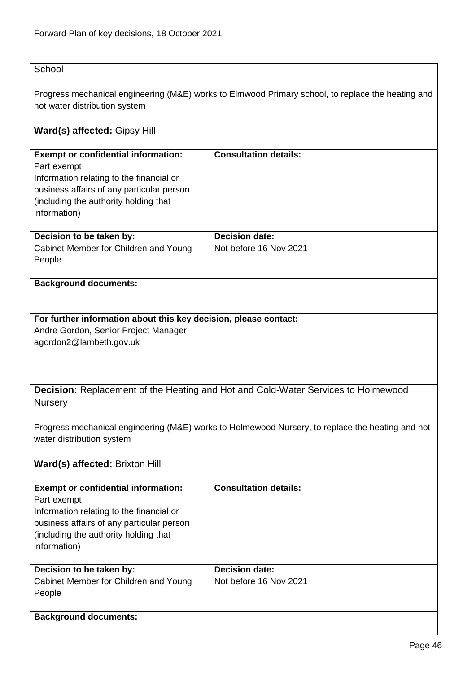## **School**

Progress mechanical engineering (M&E) works to Elmwood Primary school, to replace the heating and hot water distribution system

## **Ward(s) affected:** Gipsy Hill

| <b>Exempt or confidential information:</b><br>Part exempt<br>Information relating to the financial or<br>business affairs of any particular person<br>(including the authority holding that<br>information) | <b>Consultation details:</b>                    |
|-------------------------------------------------------------------------------------------------------------------------------------------------------------------------------------------------------------|-------------------------------------------------|
| Decision to be taken by:<br>Cabinet Member for Children and Young<br>People                                                                                                                                 | <b>Decision date:</b><br>Not before 16 Nov 2021 |

### **Background documents:**

### **For further information about this key decision, please contact:** Andre Gordon, Senior Project Manager agordon2@lambeth.gov.uk

**Decision:** Replacement of the Heating and Hot and Cold-Water Services to Holmewood **Nursery** 

Progress mechanical engineering (M&E) works to Holmewood Nursery, to replace the heating and hot water distribution system

## **Ward(s) affected:** Brixton Hill

| <b>Exempt or confidential information:</b><br>Part exempt<br>Information relating to the financial or<br>business affairs of any particular person<br>(including the authority holding that)<br>information) | <b>Consultation details:</b> |
|--------------------------------------------------------------------------------------------------------------------------------------------------------------------------------------------------------------|------------------------------|
| Decision to be taken by:                                                                                                                                                                                     | <b>Decision date:</b>        |
| Cabinet Member for Children and Young                                                                                                                                                                        | Not before 16 Nov 2021       |
| People                                                                                                                                                                                                       |                              |
|                                                                                                                                                                                                              |                              |
| <b>Background documents:</b>                                                                                                                                                                                 |                              |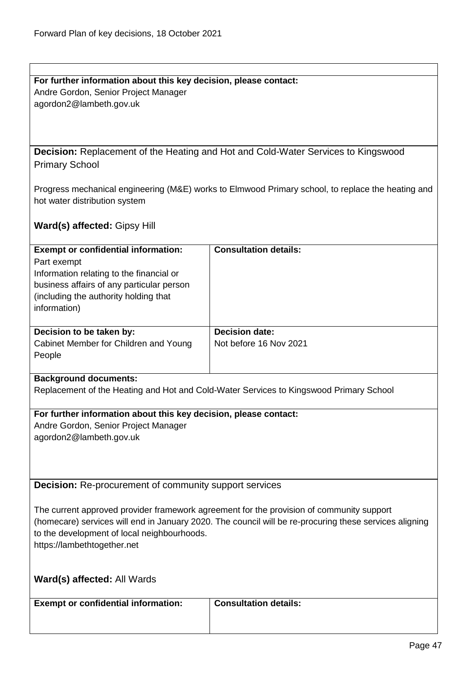| For further information about this key decision, please contact: |
|------------------------------------------------------------------|
| Andre Gordon, Senior Project Manager                             |
| agordon2@lambeth.gov.uk                                          |

**Decision:** Replacement of the Heating and Hot and Cold-Water Services to Kingswood Primary School

Progress mechanical engineering (M&E) works to Elmwood Primary school, to replace the heating and hot water distribution system

**Ward(s) affected:** Gipsy Hill

| <b>Exempt or confidential information:</b><br>Part exempt<br>Information relating to the financial or<br>business affairs of any particular person<br>(including the authority holding that) | <b>Consultation details:</b>                    |
|----------------------------------------------------------------------------------------------------------------------------------------------------------------------------------------------|-------------------------------------------------|
| information)                                                                                                                                                                                 |                                                 |
| Decision to be taken by:<br>Cabinet Member for Children and Young<br>People                                                                                                                  | <b>Decision date:</b><br>Not before 16 Nov 2021 |

### **Background documents:**

Replacement of the Heating and Hot and Cold-Water Services to Kingswood Primary School

**For further information about this key decision, please contact:** Andre Gordon, Senior Project Manager

agordon2@lambeth.gov.uk

**Decision:** Re-procurement of community support services

The current approved provider framework agreement for the provision of community support (homecare) services will end in January 2020. The council will be re-procuring these services aligning to the development of local neighbourhoods. https://lambethtogether.net

**Ward(s) affected:** All Wards

## **Consultation details:**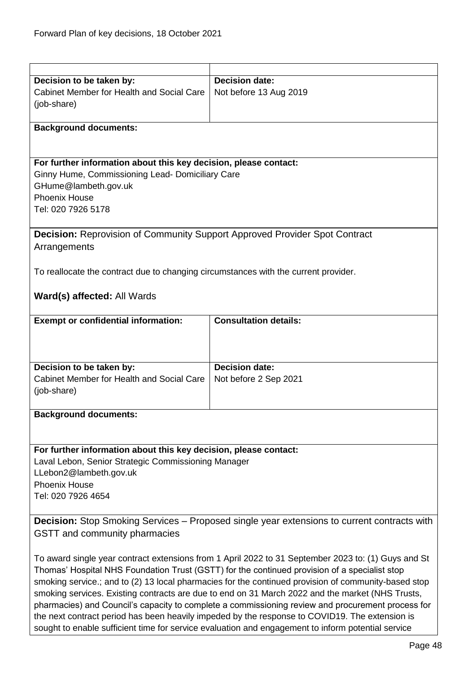| Decision to be taken by:                                                                             | <b>Decision date:</b>        |
|------------------------------------------------------------------------------------------------------|------------------------------|
| Cabinet Member for Health and Social Care                                                            | Not before 13 Aug 2019       |
| (job-share)                                                                                          |                              |
|                                                                                                      |                              |
| <b>Background documents:</b>                                                                         |                              |
|                                                                                                      |                              |
|                                                                                                      |                              |
|                                                                                                      |                              |
| For further information about this key decision, please contact:                                     |                              |
| Ginny Hume, Commissioning Lead- Domiciliary Care                                                     |                              |
| GHume@lambeth.gov.uk                                                                                 |                              |
| <b>Phoenix House</b>                                                                                 |                              |
| Tel: 020 7926 5178                                                                                   |                              |
|                                                                                                      |                              |
|                                                                                                      |                              |
| <b>Decision:</b> Reprovision of Community Support Approved Provider Spot Contract                    |                              |
| Arrangements                                                                                         |                              |
|                                                                                                      |                              |
| To reallocate the contract due to changing circumstances with the current provider.                  |                              |
|                                                                                                      |                              |
|                                                                                                      |                              |
| Ward(s) affected: All Wards                                                                          |                              |
|                                                                                                      |                              |
| <b>Exempt or confidential information:</b>                                                           | <b>Consultation details:</b> |
|                                                                                                      |                              |
|                                                                                                      |                              |
|                                                                                                      |                              |
| Decision to be taken by:                                                                             | <b>Decision date:</b>        |
| <b>Cabinet Member for Health and Social Care</b>                                                     |                              |
|                                                                                                      | Not before 2 Sep 2021        |
| (job-share)                                                                                          |                              |
|                                                                                                      |                              |
| <b>Background documents:</b>                                                                         |                              |
|                                                                                                      |                              |
|                                                                                                      |                              |
| For further information about this key decision, please contact:                                     |                              |
| Laval Lebon, Senior Strategic Commissioning Manager                                                  |                              |
|                                                                                                      |                              |
| LLebon2@lambeth.gov.uk                                                                               |                              |
| <b>Phoenix House</b>                                                                                 |                              |
| Tel: 020 7926 4654                                                                                   |                              |
|                                                                                                      |                              |
| <b>Decision:</b> Stop Smoking Services – Proposed single year extensions to current contracts with   |                              |
| GSTT and community pharmacies                                                                        |                              |
|                                                                                                      |                              |
|                                                                                                      |                              |
| To award single year contract extensions from 1 April 2022 to 31 September 2023 to: (1) Guys and St  |                              |
| Thomas' Hospital NHS Foundation Trust (GSTT) for the continued provision of a specialist stop        |                              |
| smoking service.; and to (2) 13 local pharmacies for the continued provision of community-based stop |                              |
| smoking services. Existing contracts are due to end on 31 March 2022 and the market (NHS Trusts,     |                              |
| pharmacies) and Council's capacity to complete a commissioning review and procurement process for    |                              |
|                                                                                                      |                              |

the next contract period has been heavily impeded by the response to COVID19. The extension is sought to enable sufficient time for service evaluation and engagement to inform potential service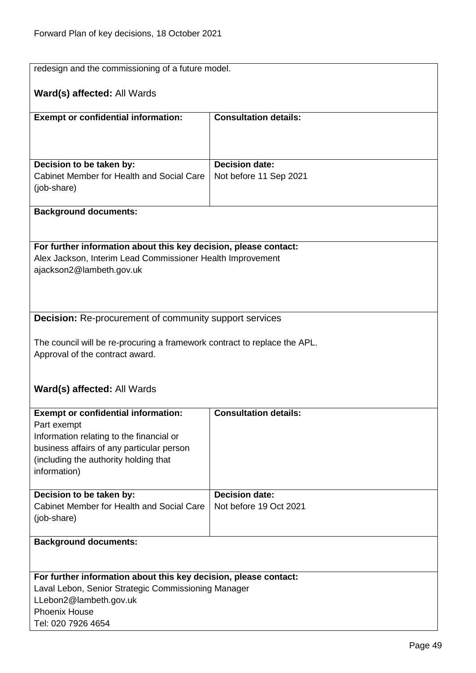| redesign and the commissioning of a future model.                                                                              |                              |
|--------------------------------------------------------------------------------------------------------------------------------|------------------------------|
|                                                                                                                                |                              |
| Ward(s) affected: All Wards                                                                                                    |                              |
| <b>Exempt or confidential information:</b>                                                                                     | <b>Consultation details:</b> |
|                                                                                                                                |                              |
|                                                                                                                                |                              |
|                                                                                                                                |                              |
| Decision to be taken by:<br>Cabinet Member for Health and Social Care                                                          | <b>Decision date:</b>        |
| (job-share)                                                                                                                    | Not before 11 Sep 2021       |
|                                                                                                                                |                              |
| <b>Background documents:</b>                                                                                                   |                              |
|                                                                                                                                |                              |
|                                                                                                                                |                              |
| For further information about this key decision, please contact:<br>Alex Jackson, Interim Lead Commissioner Health Improvement |                              |
| ajackson2@lambeth.gov.uk                                                                                                       |                              |
|                                                                                                                                |                              |
|                                                                                                                                |                              |
|                                                                                                                                |                              |
| <b>Decision:</b> Re-procurement of community support services                                                                  |                              |
| The council will be re-procuring a framework contract to replace the APL.                                                      |                              |
| Approval of the contract award.                                                                                                |                              |
|                                                                                                                                |                              |
|                                                                                                                                |                              |
| Ward(s) affected: All Wards                                                                                                    |                              |
| <b>Exempt or confidential information:</b>                                                                                     | <b>Consultation details:</b> |
| Part exempt                                                                                                                    |                              |
| Information relating to the financial or                                                                                       |                              |
| business affairs of any particular person                                                                                      |                              |
| (including the authority holding that                                                                                          |                              |
| information)                                                                                                                   |                              |
| Decision to be taken by:                                                                                                       | <b>Decision date:</b>        |
| Cabinet Member for Health and Social Care                                                                                      | Not before 19 Oct 2021       |
| (job-share)                                                                                                                    |                              |
|                                                                                                                                |                              |
| <b>Background documents:</b>                                                                                                   |                              |
|                                                                                                                                |                              |
| For further information about this key decision, please contact:                                                               |                              |
| Laval Lebon, Senior Strategic Commissioning Manager                                                                            |                              |
| LLebon2@lambeth.gov.uk                                                                                                         |                              |
| <b>Phoenix House</b><br>Tel: 020 7926 4654                                                                                     |                              |
|                                                                                                                                |                              |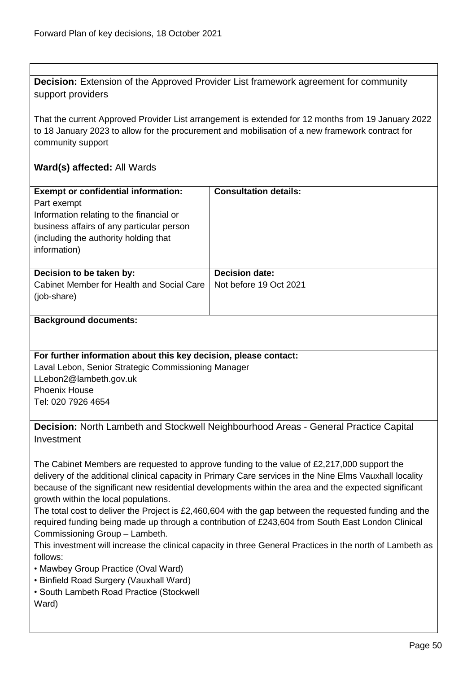**Decision:** Extension of the Approved Provider List framework agreement for community support providers

That the current Approved Provider List arrangement is extended for 12 months from 19 January 2022 to 18 January 2023 to allow for the procurement and mobilisation of a new framework contract for community support

## **Ward(s) affected:** All Wards

| <b>Exempt or confidential information:</b><br>Part exempt<br>Information relating to the financial or<br>business affairs of any particular person<br>(including the authority holding that)<br>information) | <b>Consultation details:</b>                    |
|--------------------------------------------------------------------------------------------------------------------------------------------------------------------------------------------------------------|-------------------------------------------------|
| Decision to be taken by:<br>Cabinet Member for Health and Social Care<br>(job-share)                                                                                                                         | <b>Decision date:</b><br>Not before 19 Oct 2021 |

#### **Background documents:**

## **For further information about this key decision, please contact:**

Laval Lebon, Senior Strategic Commissioning Manager LLebon2@lambeth.gov.uk Phoenix House Tel: 020 7926 4654

**Decision:** North Lambeth and Stockwell Neighbourhood Areas - General Practice Capital Investment

The Cabinet Members are requested to approve funding to the value of £2,217,000 support the delivery of the additional clinical capacity in Primary Care services in the Nine Elms Vauxhall locality because of the significant new residential developments within the area and the expected significant growth within the local populations.

The total cost to deliver the Project is £2,460,604 with the gap between the requested funding and the required funding being made up through a contribution of £243,604 from South East London Clinical Commissioning Group – Lambeth.

This investment will increase the clinical capacity in three General Practices in the north of Lambeth as follows:

• Mawbey Group Practice (Oval Ward)

- Binfield Road Surgery (Vauxhall Ward)
- South Lambeth Road Practice (Stockwell Ward)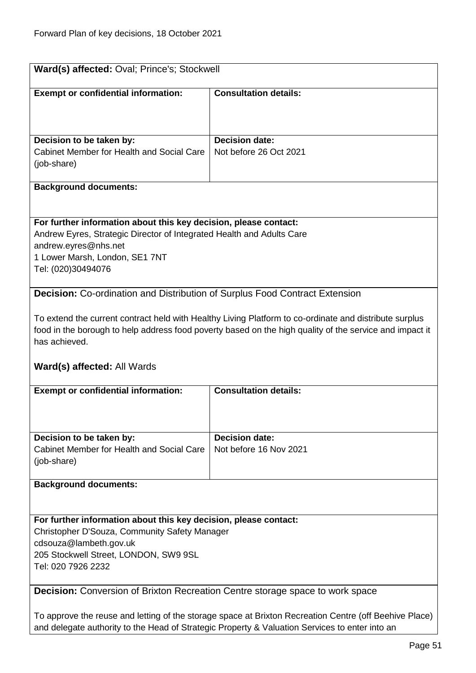| Ward(s) affected: Oval; Prince's; Stockwell                                                            |                                                                                                         |
|--------------------------------------------------------------------------------------------------------|---------------------------------------------------------------------------------------------------------|
|                                                                                                        |                                                                                                         |
| <b>Exempt or confidential information:</b>                                                             | <b>Consultation details:</b>                                                                            |
|                                                                                                        |                                                                                                         |
|                                                                                                        |                                                                                                         |
| Decision to be taken by:                                                                               | <b>Decision date:</b>                                                                                   |
| Cabinet Member for Health and Social Care                                                              | Not before 26 Oct 2021                                                                                  |
| (job-share)                                                                                            |                                                                                                         |
|                                                                                                        |                                                                                                         |
| <b>Background documents:</b>                                                                           |                                                                                                         |
|                                                                                                        |                                                                                                         |
|                                                                                                        |                                                                                                         |
| For further information about this key decision, please contact:                                       |                                                                                                         |
| Andrew Eyres, Strategic Director of Integrated Health and Adults Care                                  |                                                                                                         |
| andrew.eyres@nhs.net                                                                                   |                                                                                                         |
| 1 Lower Marsh, London, SE1 7NT<br>Tel: (020)30494076                                                   |                                                                                                         |
|                                                                                                        |                                                                                                         |
| <b>Decision:</b> Co-ordination and Distribution of Surplus Food Contract Extension                     |                                                                                                         |
|                                                                                                        |                                                                                                         |
|                                                                                                        | To extend the current contract held with Healthy Living Platform to co-ordinate and distribute surplus  |
|                                                                                                        | food in the borough to help address food poverty based on the high quality of the service and impact it |
| has achieved.                                                                                          |                                                                                                         |
|                                                                                                        |                                                                                                         |
| <b>Ward(s) affected: All Wards</b>                                                                     |                                                                                                         |
|                                                                                                        |                                                                                                         |
| <b>Exempt or confidential information:</b>                                                             | <b>Consultation details:</b>                                                                            |
|                                                                                                        |                                                                                                         |
|                                                                                                        |                                                                                                         |
|                                                                                                        |                                                                                                         |
| Decision to be taken by:                                                                               | <b>Decision date:</b>                                                                                   |
| Cabinet Member for Health and Social Care                                                              | Not before 16 Nov 2021                                                                                  |
| (job-share)                                                                                            |                                                                                                         |
| <b>Background documents:</b>                                                                           |                                                                                                         |
|                                                                                                        |                                                                                                         |
|                                                                                                        |                                                                                                         |
| For further information about this key decision, please contact:                                       |                                                                                                         |
| Christopher D'Souza, Community Safety Manager                                                          |                                                                                                         |
| cdsouza@lambeth.gov.uk                                                                                 |                                                                                                         |
| 205 Stockwell Street, LONDON, SW9 9SL                                                                  |                                                                                                         |
| Tel: 020 7926 2232                                                                                     |                                                                                                         |
|                                                                                                        |                                                                                                         |
| <b>Decision:</b> Conversion of Brixton Recreation Centre storage space to work space                   |                                                                                                         |
|                                                                                                        |                                                                                                         |
| To approve the reuse and letting of the storage space at Brixton Recreation Centre (off Beehive Place) |                                                                                                         |
| and delegate authority to the Head of Strategic Property & Valuation Services to enter into an         |                                                                                                         |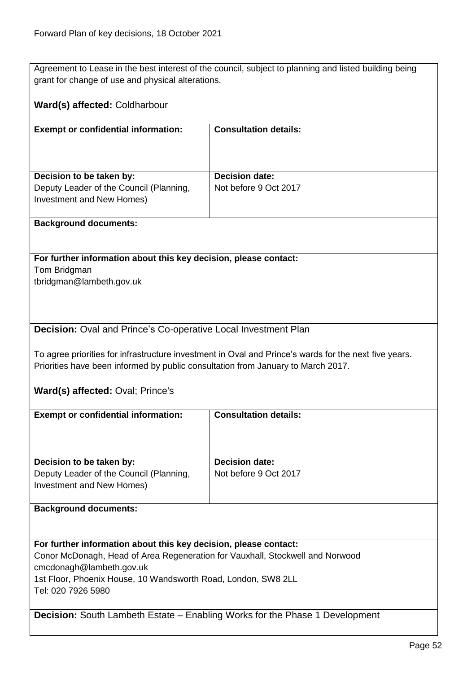Agreement to Lease in the best interest of the council, subject to planning and listed building being grant for change of use and physical alterations.

## **Ward(s) affected:** Coldharbour

| <b>Exempt or confidential information:</b>                                                       | <b>Consultation details:</b>                   |
|--------------------------------------------------------------------------------------------------|------------------------------------------------|
| Decision to be taken by:<br>Deputy Leader of the Council (Planning,<br>Investment and New Homes) | <b>Decision date:</b><br>Not before 9 Oct 2017 |

#### **Background documents:**

**For further information about this key decision, please contact:** Tom Bridgman

tbridgman@lambeth.gov.uk

### **Decision:** Oval and Prince's Co-operative Local Investment Plan

To agree priorities for infrastructure investment in Oval and Prince's wards for the next five years. Priorities have been informed by public consultation from January to March 2017.

**Ward(s) affected:** Oval; Prince's

| <b>Exempt or confidential information:</b>                                    | <b>Consultation details:</b> |
|-------------------------------------------------------------------------------|------------------------------|
|                                                                               |                              |
|                                                                               |                              |
|                                                                               |                              |
|                                                                               |                              |
| Decision to be taken by:                                                      | <b>Decision date:</b>        |
| Deputy Leader of the Council (Planning,                                       | Not before 9 Oct 2017        |
| Investment and New Homes)                                                     |                              |
|                                                                               |                              |
|                                                                               |                              |
| <b>Background documents:</b>                                                  |                              |
|                                                                               |                              |
|                                                                               |                              |
|                                                                               |                              |
| For further information about this key decision, please contact:              |                              |
| Conor McDonagh, Head of Area Regeneration for Vauxhall, Stockwell and Norwood |                              |
| cmcdonagh@lambeth.gov.uk                                                      |                              |
|                                                                               |                              |
| 1st Floor, Phoenix House, 10 Wandsworth Road, London, SW8 2LL                 |                              |
| Tel: 020 7926 5980                                                            |                              |

**Decision:** South Lambeth Estate – Enabling Works for the Phase 1 Development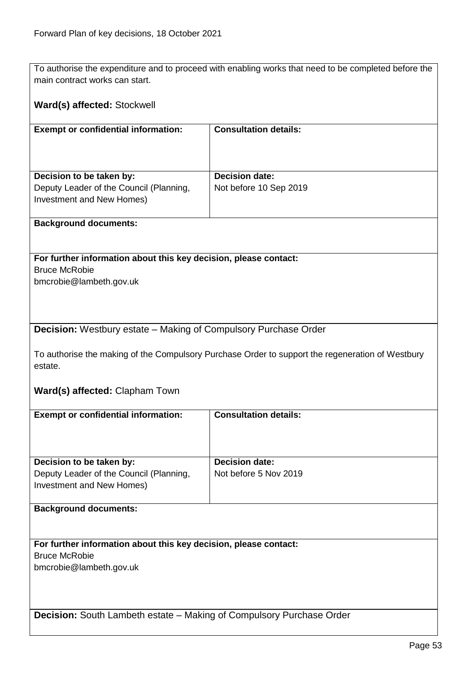To authorise the expenditure and to proceed with enabling works that need to be completed before the main contract works can start.

## **Ward(s) affected:** Stockwell

| <b>Exempt or confidential information:</b>                           | <b>Consultation details:</b> |
|----------------------------------------------------------------------|------------------------------|
| Decision to be taken by:                                             | <b>Decision date:</b>        |
| Deputy Leader of the Council (Planning,<br>Investment and New Homes) | Not before 10 Sep 2019       |

#### **Background documents:**

**For further information about this key decision, please contact:** Bruce McRobie bmcrobie@lambeth.gov.uk

## **Decision:** Westbury estate – Making of Compulsory Purchase Order

To authorise the making of the Compulsory Purchase Order to support the regeneration of Westbury estate.

## **Ward(s) affected:** Clapham Town

| <b>Exempt or confidential information:</b>                                  | <b>Consultation details:</b> |
|-----------------------------------------------------------------------------|------------------------------|
|                                                                             |                              |
|                                                                             |                              |
|                                                                             |                              |
|                                                                             |                              |
| Decision to be taken by:                                                    | <b>Decision date:</b>        |
| Deputy Leader of the Council (Planning,                                     | Not before 5 Nov 2019        |
| Investment and New Homes)                                                   |                              |
|                                                                             |                              |
| <b>Background documents:</b>                                                |                              |
|                                                                             |                              |
|                                                                             |                              |
|                                                                             |                              |
| For further information about this key decision, please contact:            |                              |
| <b>Bruce McRobie</b>                                                        |                              |
| bmcrobie@lambeth.gov.uk                                                     |                              |
|                                                                             |                              |
|                                                                             |                              |
|                                                                             |                              |
|                                                                             |                              |
| <b>Decision:</b> South Lambeth estate – Making of Compulsory Purchase Order |                              |
|                                                                             |                              |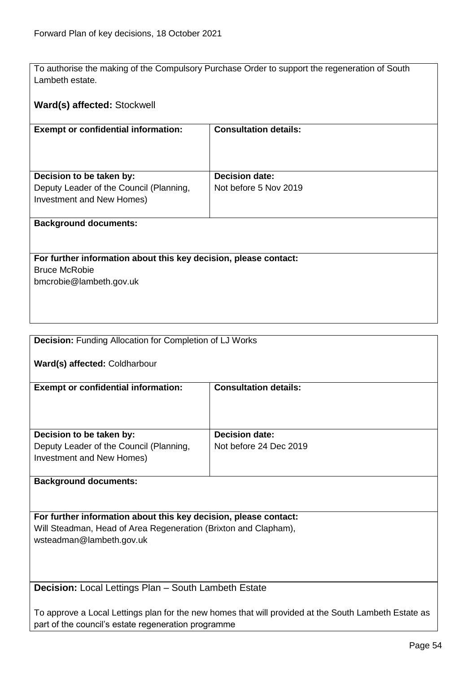To authorise the making of the Compulsory Purchase Order to support the regeneration of South Lambeth estate.

## **Ward(s) affected:** Stockwell

| <b>Exempt or confidential information:</b> | <b>Consultation details:</b> |
|--------------------------------------------|------------------------------|
|                                            |                              |
|                                            |                              |
| Decision to be taken by:                   | <b>Decision date:</b>        |
| Deputy Leader of the Council (Planning,    | Not before 5 Nov 2019        |
| Investment and New Homes)                  |                              |
|                                            |                              |

### **Background documents:**

**For further information about this key decision, please contact:** Bruce McRobie bmcrobie@lambeth.gov.uk

| <b>Decision:</b> Funding Allocation for Completion of LJ Works |                              |
|----------------------------------------------------------------|------------------------------|
| Ward(s) affected: Coldharbour                                  |                              |
| <b>Exempt or confidential information:</b>                     | <b>Consultation details:</b> |
|                                                                |                              |
|                                                                |                              |
|                                                                |                              |
| Decision to be taken by:                                       | <b>Decision date:</b>        |
| Deputy Leader of the Council (Planning,                        | Not before 24 Dec 2019       |
| Investment and New Homes)                                      |                              |
|                                                                |                              |
| <b>Background documents:</b>                                   |                              |

**For further information about this key decision, please contact:** Will Steadman, Head of Area Regeneration (Brixton and Clapham), wsteadman@lambeth.gov.uk

**Decision:** Local Lettings Plan – South Lambeth Estate

To approve a Local Lettings plan for the new homes that will provided at the South Lambeth Estate as part of the council's estate regeneration programme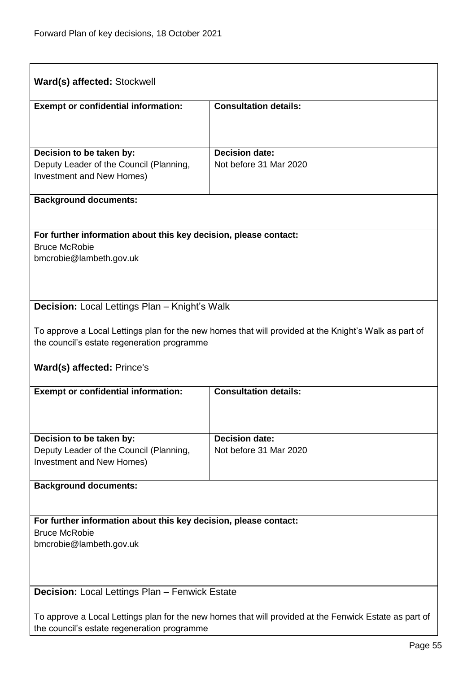| Ward(s) affected: Stockwell                                                                                                                           |                                                                                                       |  |
|-------------------------------------------------------------------------------------------------------------------------------------------------------|-------------------------------------------------------------------------------------------------------|--|
| <b>Exempt or confidential information:</b>                                                                                                            | <b>Consultation details:</b>                                                                          |  |
|                                                                                                                                                       |                                                                                                       |  |
| Decision to be taken by:                                                                                                                              | <b>Decision date:</b>                                                                                 |  |
| Deputy Leader of the Council (Planning,                                                                                                               | Not before 31 Mar 2020                                                                                |  |
| Investment and New Homes)                                                                                                                             |                                                                                                       |  |
| <b>Background documents:</b>                                                                                                                          |                                                                                                       |  |
|                                                                                                                                                       |                                                                                                       |  |
| For further information about this key decision, please contact:<br><b>Bruce McRobie</b>                                                              |                                                                                                       |  |
| bmcrobie@lambeth.gov.uk                                                                                                                               |                                                                                                       |  |
|                                                                                                                                                       |                                                                                                       |  |
|                                                                                                                                                       |                                                                                                       |  |
| <b>Decision:</b> Local Lettings Plan - Knight's Walk                                                                                                  |                                                                                                       |  |
|                                                                                                                                                       | To approve a Local Lettings plan for the new homes that will provided at the Knight's Walk as part of |  |
| the council's estate regeneration programme                                                                                                           |                                                                                                       |  |
| Ward(s) affected: Prince's                                                                                                                            |                                                                                                       |  |
| <b>Exempt or confidential information:</b>                                                                                                            | <b>Consultation details:</b>                                                                          |  |
|                                                                                                                                                       |                                                                                                       |  |
| Decision to be taken by:                                                                                                                              | <b>Decision date:</b>                                                                                 |  |
| Deputy Leader of the Council (Planning,                                                                                                               | Not before 31 Mar 2020                                                                                |  |
| <b>Investment and New Homes)</b>                                                                                                                      |                                                                                                       |  |
| <b>Background documents:</b>                                                                                                                          |                                                                                                       |  |
|                                                                                                                                                       |                                                                                                       |  |
| For further information about this key decision, please contact:                                                                                      |                                                                                                       |  |
| <b>Bruce McRobie</b>                                                                                                                                  |                                                                                                       |  |
| bmcrobie@lambeth.gov.uk                                                                                                                               |                                                                                                       |  |
|                                                                                                                                                       |                                                                                                       |  |
| Decision: Local Lettings Plan - Fenwick Estate                                                                                                        |                                                                                                       |  |
|                                                                                                                                                       |                                                                                                       |  |
| To approve a Local Lettings plan for the new homes that will provided at the Fenwick Estate as part of<br>the council's estate regeneration programme |                                                                                                       |  |
|                                                                                                                                                       |                                                                                                       |  |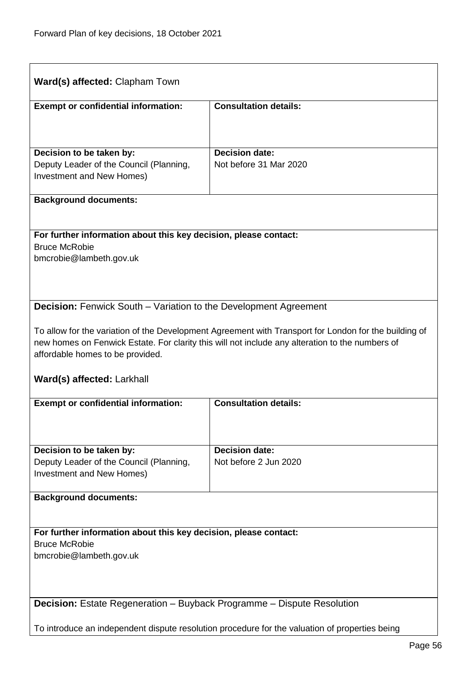| Ward(s) affected: Clapham Town                                                                                                                                                                                                               |                              |  |
|----------------------------------------------------------------------------------------------------------------------------------------------------------------------------------------------------------------------------------------------|------------------------------|--|
| <b>Exempt or confidential information:</b>                                                                                                                                                                                                   | <b>Consultation details:</b> |  |
|                                                                                                                                                                                                                                              |                              |  |
| Decision to be taken by:                                                                                                                                                                                                                     | <b>Decision date:</b>        |  |
| Deputy Leader of the Council (Planning,                                                                                                                                                                                                      | Not before 31 Mar 2020       |  |
| Investment and New Homes)                                                                                                                                                                                                                    |                              |  |
| <b>Background documents:</b>                                                                                                                                                                                                                 |                              |  |
|                                                                                                                                                                                                                                              |                              |  |
| For further information about this key decision, please contact:<br><b>Bruce McRobie</b>                                                                                                                                                     |                              |  |
| bmcrobie@lambeth.gov.uk                                                                                                                                                                                                                      |                              |  |
|                                                                                                                                                                                                                                              |                              |  |
| <b>Decision:</b> Fenwick South – Variation to the Development Agreement                                                                                                                                                                      |                              |  |
|                                                                                                                                                                                                                                              |                              |  |
| To allow for the variation of the Development Agreement with Transport for London for the building of<br>new homes on Fenwick Estate. For clarity this will not include any alteration to the numbers of<br>affordable homes to be provided. |                              |  |
| Ward(s) affected: Larkhall                                                                                                                                                                                                                   |                              |  |
| <b>Exempt or confidential information:</b>                                                                                                                                                                                                   | <b>Consultation details:</b> |  |
|                                                                                                                                                                                                                                              |                              |  |
| Decision to be taken by:                                                                                                                                                                                                                     | <b>Decision date:</b>        |  |
| Deputy Leader of the Council (Planning,                                                                                                                                                                                                      | Not before 2 Jun 2020        |  |
| <b>Investment and New Homes)</b>                                                                                                                                                                                                             |                              |  |
| <b>Background documents:</b>                                                                                                                                                                                                                 |                              |  |
|                                                                                                                                                                                                                                              |                              |  |
| For further information about this key decision, please contact:<br><b>Bruce McRobie</b>                                                                                                                                                     |                              |  |
| bmcrobie@lambeth.gov.uk                                                                                                                                                                                                                      |                              |  |
|                                                                                                                                                                                                                                              |                              |  |
|                                                                                                                                                                                                                                              |                              |  |
| <b>Decision:</b> Estate Regeneration – Buyback Programme – Dispute Resolution                                                                                                                                                                |                              |  |
| To introduce an independent dispute resolution procedure for the valuation of properties being                                                                                                                                               |                              |  |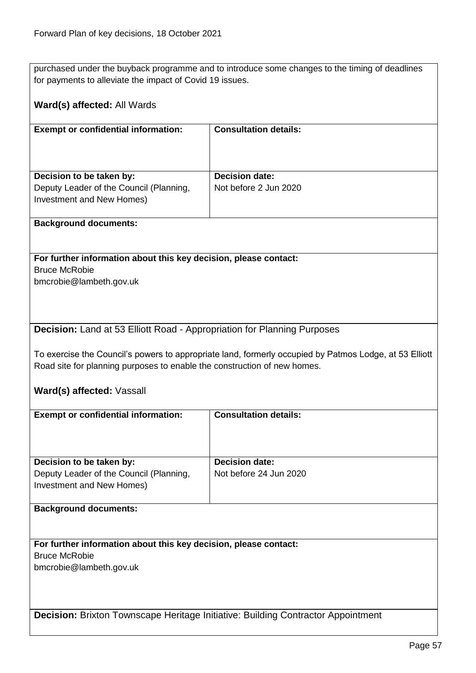purchased under the buyback programme and to introduce some changes to the timing of deadlines for payments to alleviate the impact of Covid 19 issues.

## **Ward(s) affected:** All Wards

| <b>Exempt or confidential information:</b>                                                       | <b>Consultation details:</b>                   |
|--------------------------------------------------------------------------------------------------|------------------------------------------------|
| Decision to be taken by:<br>Deputy Leader of the Council (Planning,<br>Investment and New Homes) | <b>Decision date:</b><br>Not before 2 Jun 2020 |

#### **Background documents:**

**For further information about this key decision, please contact:** Bruce McRobie bmcrobie@lambeth.gov.uk

## **Decision:** Land at 53 Elliott Road - Appropriation for Planning Purposes

To exercise the Council's powers to appropriate land, formerly occupied by Patmos Lodge, at 53 Elliott Road site for planning purposes to enable the construction of new homes.

#### **Ward(s) affected:** Vassall

| <b>Exempt or confidential information:</b>                                              | <b>Consultation details:</b> |
|-----------------------------------------------------------------------------------------|------------------------------|
|                                                                                         |                              |
|                                                                                         |                              |
|                                                                                         |                              |
|                                                                                         |                              |
| Decision to be taken by:                                                                | <b>Decision date:</b>        |
| Deputy Leader of the Council (Planning,                                                 | Not before 24 Jun 2020       |
| Investment and New Homes)                                                               |                              |
|                                                                                         |                              |
| <b>Background documents:</b>                                                            |                              |
|                                                                                         |                              |
|                                                                                         |                              |
|                                                                                         |                              |
| For further information about this key decision, please contact:                        |                              |
| <b>Bruce McRobie</b>                                                                    |                              |
| bmcrobie@lambeth.gov.uk                                                                 |                              |
|                                                                                         |                              |
|                                                                                         |                              |
|                                                                                         |                              |
|                                                                                         |                              |
| <b>Decision:</b> Brixton Townscape Heritage Initiative: Building Contractor Appointment |                              |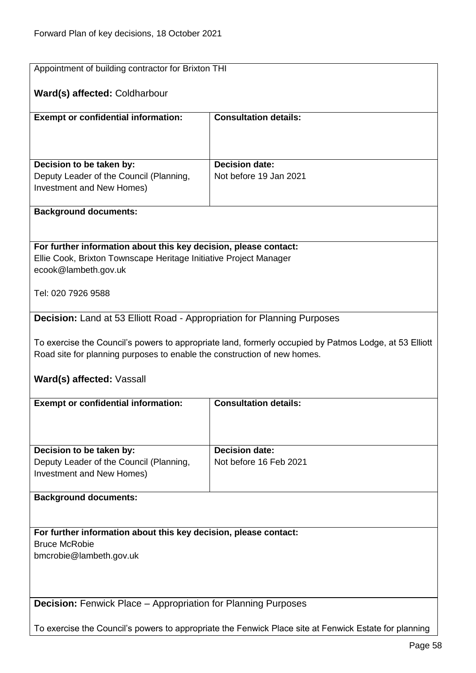| Appointment of building contractor for Brixton THI                                                    |                                                                                                        |  |
|-------------------------------------------------------------------------------------------------------|--------------------------------------------------------------------------------------------------------|--|
| Ward(s) affected: Coldharbour                                                                         |                                                                                                        |  |
| <b>Exempt or confidential information:</b>                                                            | <b>Consultation details:</b>                                                                           |  |
|                                                                                                       |                                                                                                        |  |
|                                                                                                       |                                                                                                        |  |
| Decision to be taken by:                                                                              | <b>Decision date:</b>                                                                                  |  |
| Deputy Leader of the Council (Planning,<br>Investment and New Homes)                                  | Not before 19 Jan 2021                                                                                 |  |
|                                                                                                       |                                                                                                        |  |
| <b>Background documents:</b>                                                                          |                                                                                                        |  |
|                                                                                                       |                                                                                                        |  |
| For further information about this key decision, please contact:                                      |                                                                                                        |  |
| Ellie Cook, Brixton Townscape Heritage Initiative Project Manager                                     |                                                                                                        |  |
| ecook@lambeth.gov.uk                                                                                  |                                                                                                        |  |
| Tel: 020 7926 9588                                                                                    |                                                                                                        |  |
| Decision: Land at 53 Elliott Road - Appropriation for Planning Purposes                               |                                                                                                        |  |
|                                                                                                       |                                                                                                        |  |
|                                                                                                       | To exercise the Council's powers to appropriate land, formerly occupied by Patmos Lodge, at 53 Elliott |  |
| Road site for planning purposes to enable the construction of new homes.                              |                                                                                                        |  |
| Ward(s) affected: Vassall                                                                             |                                                                                                        |  |
| <b>Exempt or confidential information:</b>                                                            | <b>Consultation details:</b>                                                                           |  |
|                                                                                                       |                                                                                                        |  |
|                                                                                                       |                                                                                                        |  |
| Decision to be taken by:                                                                              | <b>Decision date:</b>                                                                                  |  |
| Deputy Leader of the Council (Planning,<br>Investment and New Homes)                                  | Not before 16 Feb 2021                                                                                 |  |
|                                                                                                       |                                                                                                        |  |
| <b>Background documents:</b>                                                                          |                                                                                                        |  |
|                                                                                                       |                                                                                                        |  |
| For further information about this key decision, please contact:                                      |                                                                                                        |  |
| <b>Bruce McRobie</b>                                                                                  |                                                                                                        |  |
| bmcrobie@lambeth.gov.uk                                                                               |                                                                                                        |  |
|                                                                                                       |                                                                                                        |  |
| <b>Decision:</b> Fenwick Place – Appropriation for Planning Purposes                                  |                                                                                                        |  |
|                                                                                                       |                                                                                                        |  |
| To exercise the Council's powers to appropriate the Fenwick Place site at Fenwick Estate for planning |                                                                                                        |  |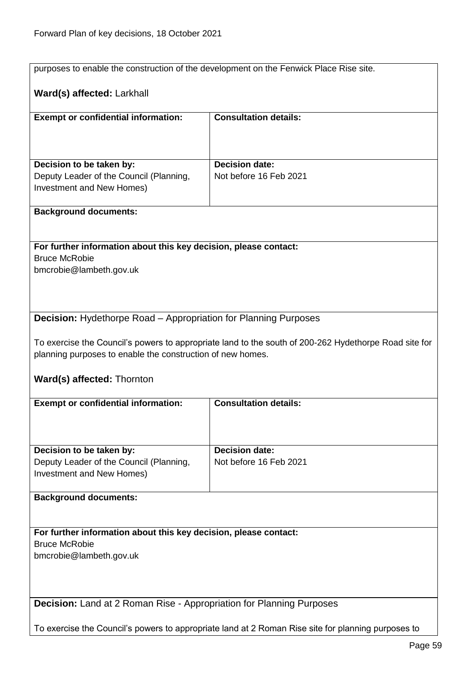|                                                                                                    | purposes to enable the construction of the development on the Fenwick Place Rise site.                |  |
|----------------------------------------------------------------------------------------------------|-------------------------------------------------------------------------------------------------------|--|
| Ward(s) affected: Larkhall                                                                         |                                                                                                       |  |
| <b>Exempt or confidential information:</b>                                                         | <b>Consultation details:</b>                                                                          |  |
|                                                                                                    |                                                                                                       |  |
|                                                                                                    |                                                                                                       |  |
| Decision to be taken by:                                                                           | <b>Decision date:</b><br>Not before 16 Feb 2021                                                       |  |
| Deputy Leader of the Council (Planning,<br>Investment and New Homes)                               |                                                                                                       |  |
|                                                                                                    |                                                                                                       |  |
| <b>Background documents:</b>                                                                       |                                                                                                       |  |
|                                                                                                    |                                                                                                       |  |
| For further information about this key decision, please contact:                                   |                                                                                                       |  |
| <b>Bruce McRobie</b><br>bmcrobie@lambeth.gov.uk                                                    |                                                                                                       |  |
|                                                                                                    |                                                                                                       |  |
|                                                                                                    |                                                                                                       |  |
| <b>Decision:</b> Hydethorpe Road – Appropriation for Planning Purposes                             |                                                                                                       |  |
|                                                                                                    |                                                                                                       |  |
| planning purposes to enable the construction of new homes.                                         | To exercise the Council's powers to appropriate land to the south of 200-262 Hydethorpe Road site for |  |
|                                                                                                    |                                                                                                       |  |
| Ward(s) affected: Thornton                                                                         |                                                                                                       |  |
| <b>Exempt or confidential information:</b>                                                         | <b>Consultation details:</b>                                                                          |  |
|                                                                                                    |                                                                                                       |  |
|                                                                                                    |                                                                                                       |  |
| Decision to be taken by:                                                                           | <b>Decision date:</b>                                                                                 |  |
| Deputy Leader of the Council (Planning,                                                            | Not before 16 Feb 2021                                                                                |  |
| <b>Investment and New Homes)</b>                                                                   |                                                                                                       |  |
| <b>Background documents:</b>                                                                       |                                                                                                       |  |
|                                                                                                    |                                                                                                       |  |
| For further information about this key decision, please contact:                                   |                                                                                                       |  |
| <b>Bruce McRobie</b>                                                                               |                                                                                                       |  |
| bmcrobie@lambeth.gov.uk                                                                            |                                                                                                       |  |
|                                                                                                    |                                                                                                       |  |
| Decision: Land at 2 Roman Rise - Appropriation for Planning Purposes                               |                                                                                                       |  |
|                                                                                                    |                                                                                                       |  |
| To exercise the Council's powers to appropriate land at 2 Roman Rise site for planning purposes to |                                                                                                       |  |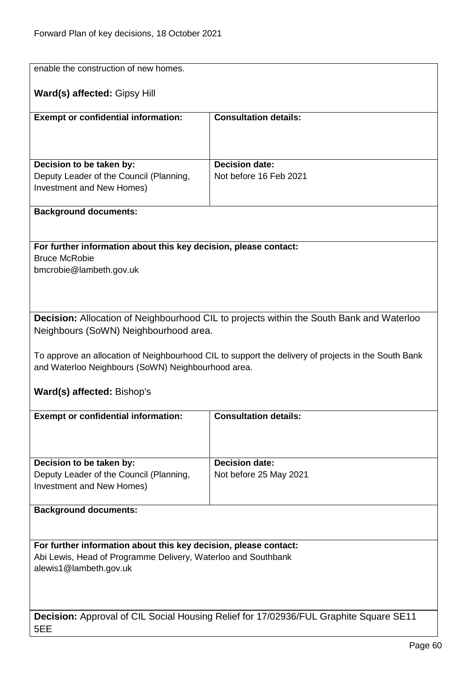| enable the construction of new homes.                                                   |                                                                                                     |  |
|-----------------------------------------------------------------------------------------|-----------------------------------------------------------------------------------------------------|--|
| Ward(s) affected: Gipsy Hill                                                            |                                                                                                     |  |
| <b>Exempt or confidential information:</b>                                              | <b>Consultation details:</b>                                                                        |  |
|                                                                                         |                                                                                                     |  |
|                                                                                         |                                                                                                     |  |
| Decision to be taken by:                                                                | <b>Decision date:</b>                                                                               |  |
| Deputy Leader of the Council (Planning,<br>Investment and New Homes)                    | Not before 16 Feb 2021                                                                              |  |
|                                                                                         |                                                                                                     |  |
| <b>Background documents:</b>                                                            |                                                                                                     |  |
|                                                                                         |                                                                                                     |  |
| For further information about this key decision, please contact:                        |                                                                                                     |  |
| <b>Bruce McRobie</b>                                                                    |                                                                                                     |  |
| bmcrobie@lambeth.gov.uk                                                                 |                                                                                                     |  |
|                                                                                         |                                                                                                     |  |
|                                                                                         |                                                                                                     |  |
| Neighbours (SoWN) Neighbourhood area.                                                   | Decision: Allocation of Neighbourhood CIL to projects within the South Bank and Waterloo            |  |
|                                                                                         |                                                                                                     |  |
|                                                                                         | To approve an allocation of Neighbourhood CIL to support the delivery of projects in the South Bank |  |
| and Waterloo Neighbours (SoWN) Neighbourhood area.                                      |                                                                                                     |  |
| Ward(s) affected: Bishop's                                                              |                                                                                                     |  |
|                                                                                         |                                                                                                     |  |
| <b>Exempt or confidential information:</b>                                              | <b>Consultation details:</b>                                                                        |  |
|                                                                                         |                                                                                                     |  |
|                                                                                         |                                                                                                     |  |
| Decision to be taken by:<br>Deputy Leader of the Council (Planning,                     | <b>Decision date:</b><br>Not before 25 May 2021                                                     |  |
| <b>Investment and New Homes)</b>                                                        |                                                                                                     |  |
|                                                                                         |                                                                                                     |  |
| <b>Background documents:</b>                                                            |                                                                                                     |  |
|                                                                                         |                                                                                                     |  |
| For further information about this key decision, please contact:                        |                                                                                                     |  |
| Abi Lewis, Head of Programme Delivery, Waterloo and Southbank<br>alewis1@lambeth.gov.uk |                                                                                                     |  |
|                                                                                         |                                                                                                     |  |
|                                                                                         |                                                                                                     |  |
|                                                                                         |                                                                                                     |  |
| 5EE                                                                                     | Decision: Approval of CIL Social Housing Relief for 17/02936/FUL Graphite Square SE11               |  |
|                                                                                         |                                                                                                     |  |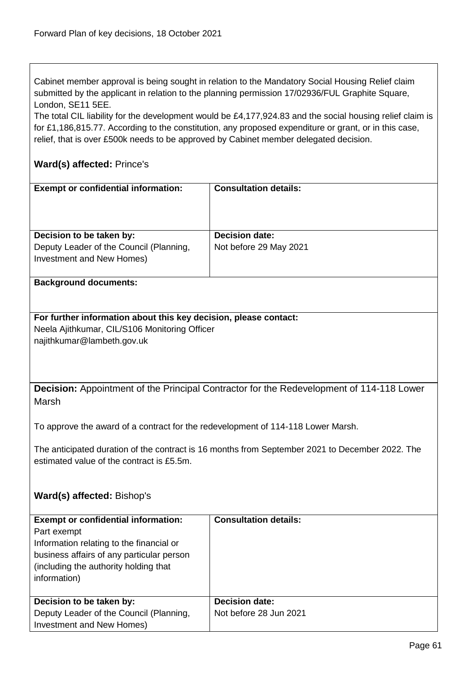Cabinet member approval is being sought in relation to the Mandatory Social Housing Relief claim submitted by the applicant in relation to the planning permission 17/02936/FUL Graphite Square, London, SE11 5EE.

The total CIL liability for the development would be £4,177,924.83 and the social housing relief claim is for £1,186,815.77. According to the constitution, any proposed expenditure or grant, or in this case, relief, that is over £500k needs to be approved by Cabinet member delegated decision.

## **Ward(s) affected:** Prince's

| <b>Exempt or confidential information:</b>                          | <b>Consultation details:</b>                    |
|---------------------------------------------------------------------|-------------------------------------------------|
| Decision to be taken by:<br>Deputy Leader of the Council (Planning, | <b>Decision date:</b><br>Not before 29 May 2021 |
| Investment and New Homes)                                           |                                                 |

## **Background documents:**

## **For further information about this key decision, please contact:** Neela Ajithkumar, CIL/S106 Monitoring Officer najithkumar@lambeth.gov.uk

**Decision:** Appointment of the Principal Contractor for the Redevelopment of 114-118 Lower Marsh

To approve the award of a contract for the redevelopment of 114-118 Lower Marsh.

The anticipated duration of the contract is 16 months from September 2021 to December 2022. The estimated value of the contract is £5.5m.

## **Ward(s) affected:** Bishop's

| <b>Exempt or confidential information:</b> | <b>Consultation details:</b> |
|--------------------------------------------|------------------------------|
| Part exempt                                |                              |
| Information relating to the financial or   |                              |
| business affairs of any particular person  |                              |
| (including the authority holding that)     |                              |
| information)                               |                              |
|                                            |                              |
| Decision to be taken by:                   | <b>Decision date:</b>        |
| Deputy Leader of the Council (Planning,    | Not before 28 Jun 2021       |
| Investment and New Homes)                  |                              |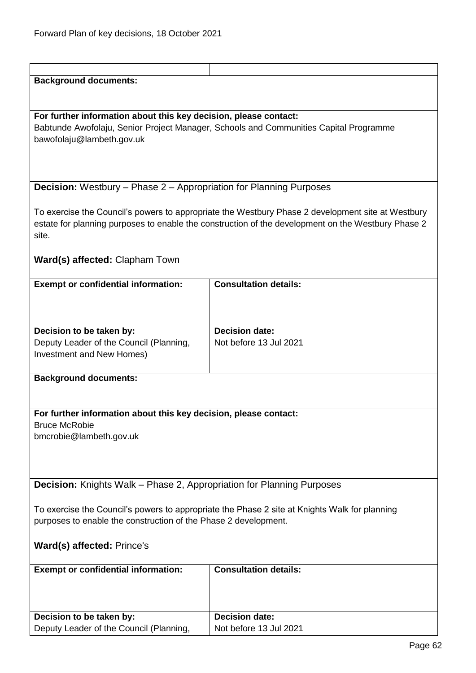| <b>Background documents:</b>                                                 |                                                                                                    |  |
|------------------------------------------------------------------------------|----------------------------------------------------------------------------------------------------|--|
|                                                                              |                                                                                                    |  |
|                                                                              |                                                                                                    |  |
| For further information about this key decision, please contact:             |                                                                                                    |  |
|                                                                              | Babtunde Awofolaju, Senior Project Manager, Schools and Communities Capital Programme              |  |
| bawofolaju@lambeth.gov.uk                                                    |                                                                                                    |  |
|                                                                              |                                                                                                    |  |
|                                                                              |                                                                                                    |  |
|                                                                              |                                                                                                    |  |
| <b>Decision:</b> Westbury – Phase 2 – Appropriation for Planning Purposes    |                                                                                                    |  |
|                                                                              |                                                                                                    |  |
|                                                                              |                                                                                                    |  |
|                                                                              | To exercise the Council's powers to appropriate the Westbury Phase 2 development site at Westbury  |  |
|                                                                              | estate for planning purposes to enable the construction of the development on the Westbury Phase 2 |  |
| site.                                                                        |                                                                                                    |  |
|                                                                              |                                                                                                    |  |
| Ward(s) affected: Clapham Town                                               |                                                                                                    |  |
|                                                                              |                                                                                                    |  |
| <b>Exempt or confidential information:</b>                                   | <b>Consultation details:</b>                                                                       |  |
|                                                                              |                                                                                                    |  |
|                                                                              |                                                                                                    |  |
|                                                                              |                                                                                                    |  |
|                                                                              |                                                                                                    |  |
| Decision to be taken by:                                                     | <b>Decision date:</b>                                                                              |  |
| Deputy Leader of the Council (Planning,                                      | Not before 13 Jul 2021                                                                             |  |
| Investment and New Homes)                                                    |                                                                                                    |  |
|                                                                              |                                                                                                    |  |
| <b>Background documents:</b>                                                 |                                                                                                    |  |
|                                                                              |                                                                                                    |  |
|                                                                              |                                                                                                    |  |
| For further information about this key decision, please contact:             |                                                                                                    |  |
| <b>Bruce McRobie</b>                                                         |                                                                                                    |  |
| bmcrobie@lambeth.gov.uk                                                      |                                                                                                    |  |
|                                                                              |                                                                                                    |  |
|                                                                              |                                                                                                    |  |
|                                                                              |                                                                                                    |  |
|                                                                              |                                                                                                    |  |
| <b>Decision:</b> Knights Walk - Phase 2, Appropriation for Planning Purposes |                                                                                                    |  |
|                                                                              |                                                                                                    |  |
|                                                                              | To exercise the Council's powers to appropriate the Phase 2 site at Knights Walk for planning      |  |
| purposes to enable the construction of the Phase 2 development.              |                                                                                                    |  |
|                                                                              |                                                                                                    |  |
| Ward(s) affected: Prince's                                                   |                                                                                                    |  |
|                                                                              |                                                                                                    |  |
|                                                                              | <b>Consultation details:</b>                                                                       |  |
| <b>Exempt or confidential information:</b>                                   |                                                                                                    |  |
|                                                                              |                                                                                                    |  |
|                                                                              |                                                                                                    |  |
|                                                                              |                                                                                                    |  |
| Decision to be taken by:                                                     | <b>Decision date:</b>                                                                              |  |
| Deputy Leader of the Council (Planning,                                      | Not before 13 Jul 2021                                                                             |  |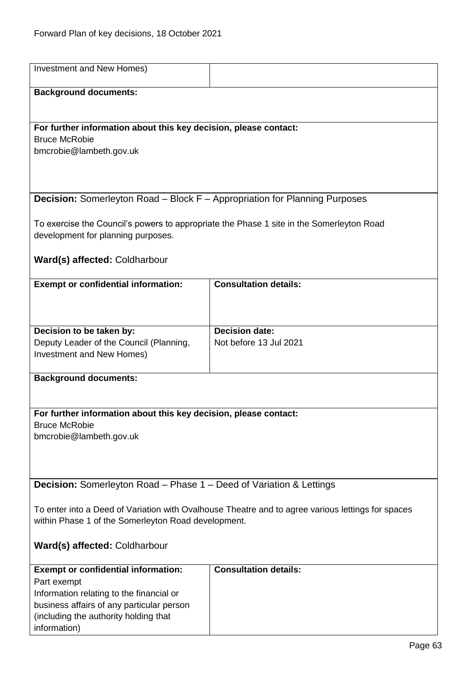| Investment and New Homes)                                                                                                                                |                              |
|----------------------------------------------------------------------------------------------------------------------------------------------------------|------------------------------|
| <b>Background documents:</b>                                                                                                                             |                              |
|                                                                                                                                                          |                              |
| For further information about this key decision, please contact:                                                                                         |                              |
| <b>Bruce McRobie</b>                                                                                                                                     |                              |
| bmcrobie@lambeth.gov.uk                                                                                                                                  |                              |
|                                                                                                                                                          |                              |
|                                                                                                                                                          |                              |
| <b>Decision:</b> Somerleyton Road - Block F - Appropriation for Planning Purposes                                                                        |                              |
| To exercise the Council's powers to appropriate the Phase 1 site in the Somerleyton Road                                                                 |                              |
| development for planning purposes.                                                                                                                       |                              |
|                                                                                                                                                          |                              |
| Ward(s) affected: Coldharbour                                                                                                                            |                              |
| <b>Exempt or confidential information:</b>                                                                                                               | <b>Consultation details:</b> |
|                                                                                                                                                          |                              |
|                                                                                                                                                          |                              |
| Decision to be taken by:                                                                                                                                 | <b>Decision date:</b>        |
| Deputy Leader of the Council (Planning,                                                                                                                  | Not before 13 Jul 2021       |
| Investment and New Homes)                                                                                                                                |                              |
| <b>Background documents:</b>                                                                                                                             |                              |
|                                                                                                                                                          |                              |
| For further information about this key decision, please contact:                                                                                         |                              |
| <b>Bruce McRobie</b>                                                                                                                                     |                              |
| bmcrobie@lambeth.gov.uk                                                                                                                                  |                              |
|                                                                                                                                                          |                              |
|                                                                                                                                                          |                              |
| <b>Decision:</b> Somerleyton Road – Phase 1 – Deed of Variation & Lettings                                                                               |                              |
|                                                                                                                                                          |                              |
| To enter into a Deed of Variation with Ovalhouse Theatre and to agree various lettings for spaces<br>within Phase 1 of the Somerleyton Road development. |                              |
|                                                                                                                                                          |                              |
| Ward(s) affected: Coldharbour                                                                                                                            |                              |
| <b>Exempt or confidential information:</b>                                                                                                               | <b>Consultation details:</b> |
| Part exempt                                                                                                                                              |                              |
| Information relating to the financial or<br>business affairs of any particular person                                                                    |                              |
| (including the authority holding that                                                                                                                    |                              |
| information)                                                                                                                                             |                              |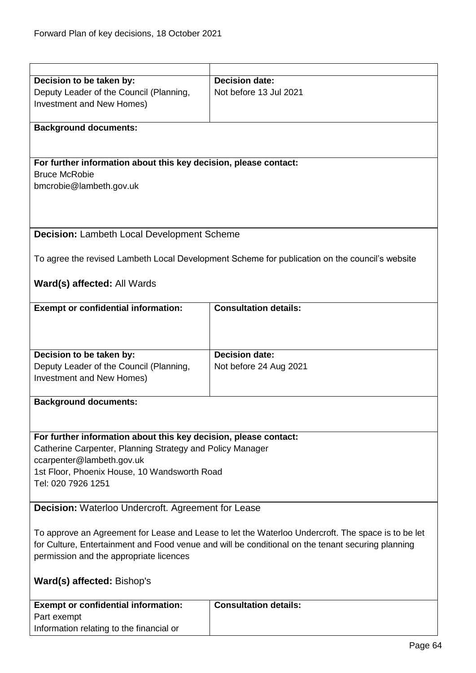| Decision to be taken by:                                                                           | <b>Decision date:</b>                                                                          |
|----------------------------------------------------------------------------------------------------|------------------------------------------------------------------------------------------------|
| Deputy Leader of the Council (Planning,                                                            | Not before 13 Jul 2021                                                                         |
| Investment and New Homes)                                                                          |                                                                                                |
|                                                                                                    |                                                                                                |
| <b>Background documents:</b>                                                                       |                                                                                                |
|                                                                                                    |                                                                                                |
|                                                                                                    |                                                                                                |
| For further information about this key decision, please contact:                                   |                                                                                                |
| <b>Bruce McRobie</b>                                                                               |                                                                                                |
| bmcrobie@lambeth.gov.uk                                                                            |                                                                                                |
|                                                                                                    |                                                                                                |
|                                                                                                    |                                                                                                |
|                                                                                                    |                                                                                                |
| Decision: Lambeth Local Development Scheme                                                         |                                                                                                |
|                                                                                                    |                                                                                                |
|                                                                                                    | To agree the revised Lambeth Local Development Scheme for publication on the council's website |
|                                                                                                    |                                                                                                |
| Ward(s) affected: All Wards                                                                        |                                                                                                |
|                                                                                                    |                                                                                                |
| <b>Exempt or confidential information:</b>                                                         | <b>Consultation details:</b>                                                                   |
|                                                                                                    |                                                                                                |
|                                                                                                    |                                                                                                |
|                                                                                                    |                                                                                                |
| Decision to be taken by:                                                                           | <b>Decision date:</b>                                                                          |
| Deputy Leader of the Council (Planning,                                                            | Not before 24 Aug 2021                                                                         |
| Investment and New Homes)                                                                          |                                                                                                |
|                                                                                                    |                                                                                                |
| <b>Background documents:</b>                                                                       |                                                                                                |
|                                                                                                    |                                                                                                |
|                                                                                                    |                                                                                                |
| For further information about this key decision, please contact:                                   |                                                                                                |
| Catherine Carpenter, Planning Strategy and Policy Manager                                          |                                                                                                |
| ccarpenter@lambeth.gov.uk                                                                          |                                                                                                |
| 1st Floor, Phoenix House, 10 Wandsworth Road                                                       |                                                                                                |
| Tel: 020 7926 1251                                                                                 |                                                                                                |
|                                                                                                    |                                                                                                |
| Decision: Waterloo Undercroft. Agreement for Lease                                                 |                                                                                                |
|                                                                                                    |                                                                                                |
| To approve an Agreement for Lease and Lease to let the Waterloo Undercroft. The space is to be let |                                                                                                |
| for Culture, Entertainment and Food venue and will be conditional on the tenant securing planning  |                                                                                                |
| permission and the appropriate licences                                                            |                                                                                                |
|                                                                                                    |                                                                                                |
| Ward(s) affected: Bishop's                                                                         |                                                                                                |
|                                                                                                    |                                                                                                |
| <b>Exempt or confidential information:</b>                                                         | <b>Consultation details:</b>                                                                   |
| Part exempt                                                                                        |                                                                                                |
| Information relating to the financial or                                                           |                                                                                                |
|                                                                                                    |                                                                                                |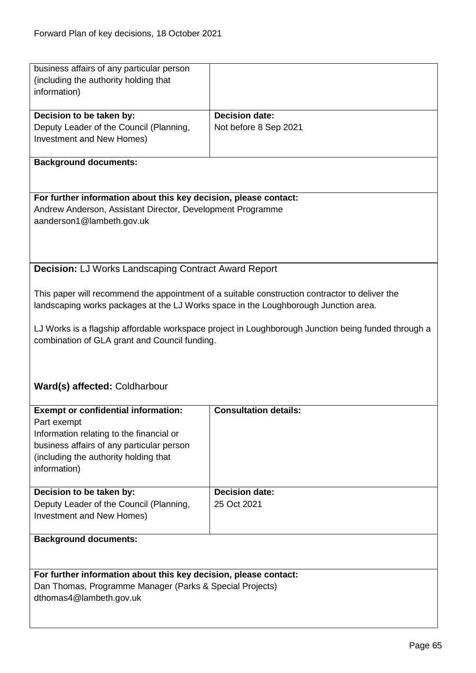| business affairs of any particular person                                           |                                                                                                     |
|-------------------------------------------------------------------------------------|-----------------------------------------------------------------------------------------------------|
| (including the authority holding that                                               |                                                                                                     |
| information)                                                                        |                                                                                                     |
|                                                                                     |                                                                                                     |
| Decision to be taken by:                                                            | <b>Decision date:</b>                                                                               |
| Deputy Leader of the Council (Planning,                                             | Not before 8 Sep 2021                                                                               |
| Investment and New Homes)                                                           |                                                                                                     |
|                                                                                     |                                                                                                     |
| <b>Background documents:</b>                                                        |                                                                                                     |
|                                                                                     |                                                                                                     |
|                                                                                     |                                                                                                     |
| For further information about this key decision, please contact:                    |                                                                                                     |
| Andrew Anderson, Assistant Director, Development Programme                          |                                                                                                     |
| aanderson1@lambeth.gov.uk                                                           |                                                                                                     |
|                                                                                     |                                                                                                     |
|                                                                                     |                                                                                                     |
|                                                                                     |                                                                                                     |
|                                                                                     |                                                                                                     |
| <b>Decision: LJ Works Landscaping Contract Award Report</b>                         |                                                                                                     |
|                                                                                     |                                                                                                     |
|                                                                                     | This paper will recommend the appointment of a suitable construction contractor to deliver the      |
| landscaping works packages at the LJ Works space in the Loughborough Junction area. |                                                                                                     |
|                                                                                     |                                                                                                     |
|                                                                                     | LJ Works is a flagship affordable workspace project in Loughborough Junction being funded through a |
| combination of GLA grant and Council funding.                                       |                                                                                                     |
|                                                                                     |                                                                                                     |
|                                                                                     |                                                                                                     |
|                                                                                     |                                                                                                     |
| Ward(s) affected: Coldharbour                                                       |                                                                                                     |
|                                                                                     |                                                                                                     |
| <b>Exempt or confidential information:</b>                                          | <b>Consultation details:</b>                                                                        |
| Part exempt                                                                         |                                                                                                     |
| Information relating to the financial or                                            |                                                                                                     |
| business affairs of any particular person                                           |                                                                                                     |
| (including the authority holding that                                               |                                                                                                     |
|                                                                                     |                                                                                                     |
|                                                                                     |                                                                                                     |
| information)                                                                        |                                                                                                     |
|                                                                                     |                                                                                                     |
| Decision to be taken by:                                                            | <b>Decision date:</b>                                                                               |
| Deputy Leader of the Council (Planning,                                             | 25 Oct 2021                                                                                         |
| Investment and New Homes)                                                           |                                                                                                     |
|                                                                                     |                                                                                                     |
| <b>Background documents:</b>                                                        |                                                                                                     |
|                                                                                     |                                                                                                     |
|                                                                                     |                                                                                                     |
| For further information about this key decision, please contact:                    |                                                                                                     |
| Dan Thomas, Programme Manager (Parks & Special Projects)                            |                                                                                                     |
| dthomas4@lambeth.gov.uk                                                             |                                                                                                     |
|                                                                                     |                                                                                                     |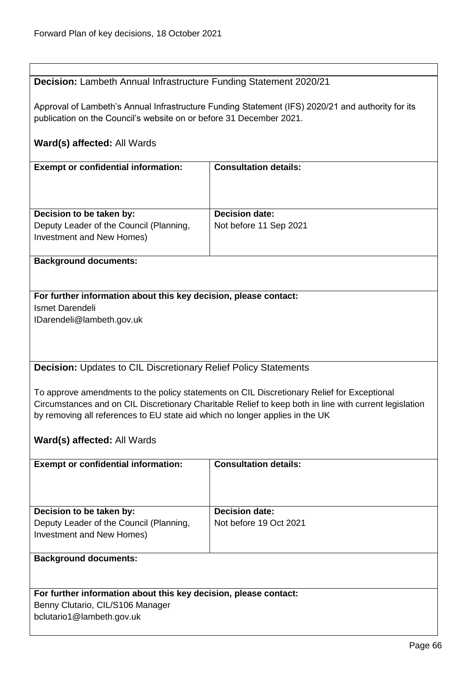| Decision: Lambeth Annual Infrastructure Funding Statement 2020/21 |
|-------------------------------------------------------------------|
|                                                                   |

Approval of Lambeth's Annual Infrastructure Funding Statement (IFS) 2020/21 and authority for its publication on the Council's website on or before 31 December 2021.

## **Ward(s) affected:** All Wards

| <b>Exempt or confidential information:</b> | <b>Consultation details:</b> |
|--------------------------------------------|------------------------------|
|                                            |                              |
| Decision to be taken by:                   | <b>Decision date:</b>        |
| Deputy Leader of the Council (Planning,    | Not before 11 Sep 2021       |
| Investment and New Homes)                  |                              |

## **Background documents:**

### **For further information about this key decision, please contact:** Ismet Darendeli

IDarendeli@lambeth.gov.uk

## **Decision:** Updates to CIL Discretionary Relief Policy Statements

To approve amendments to the policy statements on CIL Discretionary Relief for Exceptional Circumstances and on CIL Discretionary Charitable Relief to keep both in line with current legislation by removing all references to EU state aid which no longer applies in the UK

## **Ward(s) affected:** All Wards

| <b>Exempt or confidential information:</b>                                                       | <b>Consultation details:</b>                    |
|--------------------------------------------------------------------------------------------------|-------------------------------------------------|
| Decision to be taken by:<br>Deputy Leader of the Council (Planning,<br>Investment and New Homes) | <b>Decision date:</b><br>Not before 19 Oct 2021 |
| <b>Background documents:</b>                                                                     |                                                 |

## **For further information about this key decision, please contact:** Benny Clutario, CIL/S106 Manager bclutario1@lambeth.gov.uk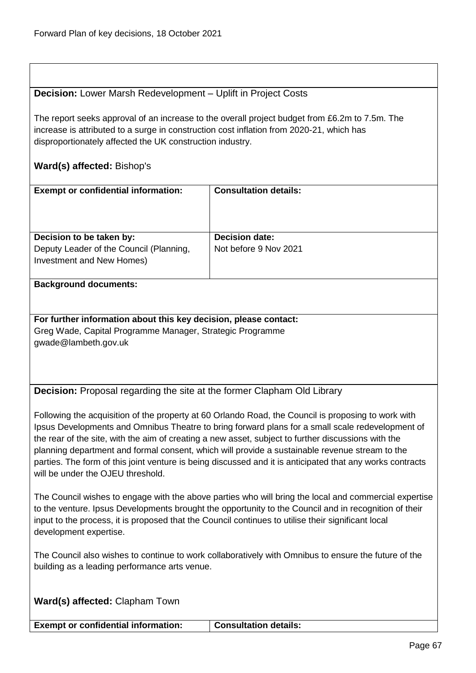## **Decision:** Lower Marsh Redevelopment – Uplift in Project Costs

The report seeks approval of an increase to the overall project budget from £6.2m to 7.5m. The increase is attributed to a surge in construction cost inflation from 2020-21, which has disproportionately affected the UK construction industry.

## **Ward(s) affected:** Bishop's

| <b>Exempt or confidential information:</b>                           | <b>Consultation details:</b> |
|----------------------------------------------------------------------|------------------------------|
| Decision to be taken by:                                             | <b>Decision date:</b>        |
| Deputy Leader of the Council (Planning,<br>Investment and New Homes) | Not before 9 Nov 2021        |

#### **Background documents:**

**For further information about this key decision, please contact:** Greg Wade, Capital Programme Manager, Strategic Programme gwade@lambeth.gov.uk

**Decision:** Proposal regarding the site at the former Clapham Old Library

Following the acquisition of the property at 60 Orlando Road, the Council is proposing to work with Ipsus Developments and Omnibus Theatre to bring forward plans for a small scale redevelopment of the rear of the site, with the aim of creating a new asset, subject to further discussions with the planning department and formal consent, which will provide a sustainable revenue stream to the parties. The form of this joint venture is being discussed and it is anticipated that any works contracts will be under the OJEU threshold.

The Council wishes to engage with the above parties who will bring the local and commercial expertise to the venture. Ipsus Developments brought the opportunity to the Council and in recognition of their input to the process, it is proposed that the Council continues to utilise their significant local development expertise.

The Council also wishes to continue to work collaboratively with Omnibus to ensure the future of the building as a leading performance arts venue.

**Ward(s) affected:** Clapham Town

**Exempt or confidential information: Consultation details:**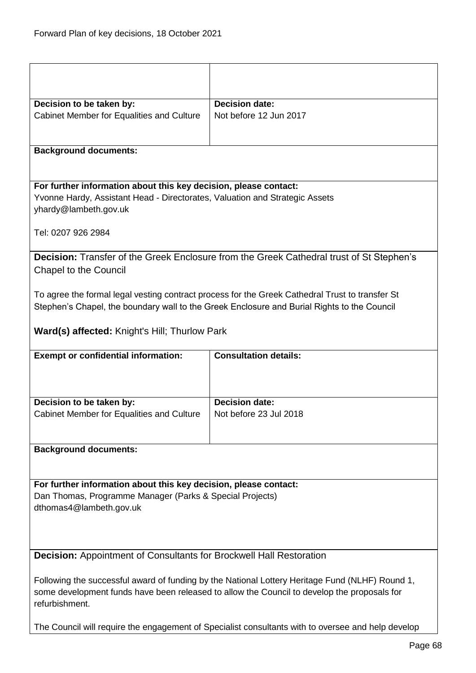| Decision to be taken by:                                                                                                     | <b>Decision date:</b>                                                                                                                                                                          |
|------------------------------------------------------------------------------------------------------------------------------|------------------------------------------------------------------------------------------------------------------------------------------------------------------------------------------------|
| Cabinet Member for Equalities and Culture                                                                                    | Not before 12 Jun 2017                                                                                                                                                                         |
|                                                                                                                              |                                                                                                                                                                                                |
| <b>Background documents:</b>                                                                                                 |                                                                                                                                                                                                |
|                                                                                                                              |                                                                                                                                                                                                |
| For further information about this key decision, please contact:                                                             |                                                                                                                                                                                                |
| Yvonne Hardy, Assistant Head - Directorates, Valuation and Strategic Assets                                                  |                                                                                                                                                                                                |
| yhardy@lambeth.gov.uk                                                                                                        |                                                                                                                                                                                                |
|                                                                                                                              |                                                                                                                                                                                                |
| Tel: 0207 926 2984                                                                                                           |                                                                                                                                                                                                |
|                                                                                                                              | Decision: Transfer of the Greek Enclosure from the Greek Cathedral trust of St Stephen's                                                                                                       |
| <b>Chapel to the Council</b>                                                                                                 |                                                                                                                                                                                                |
|                                                                                                                              |                                                                                                                                                                                                |
|                                                                                                                              | To agree the formal legal vesting contract process for the Greek Cathedral Trust to transfer St                                                                                                |
|                                                                                                                              | Stephen's Chapel, the boundary wall to the Greek Enclosure and Burial Rights to the Council                                                                                                    |
|                                                                                                                              |                                                                                                                                                                                                |
| Ward(s) affected: Knight's Hill; Thurlow Park                                                                                |                                                                                                                                                                                                |
|                                                                                                                              |                                                                                                                                                                                                |
| <b>Exempt or confidential information:</b>                                                                                   | <b>Consultation details:</b>                                                                                                                                                                   |
|                                                                                                                              |                                                                                                                                                                                                |
|                                                                                                                              |                                                                                                                                                                                                |
|                                                                                                                              |                                                                                                                                                                                                |
| Decision to be taken by:                                                                                                     | <b>Decision date:</b>                                                                                                                                                                          |
| Cabinet Member for Equalities and Culture                                                                                    | Not before 23 Jul 2018                                                                                                                                                                         |
|                                                                                                                              |                                                                                                                                                                                                |
| <b>Background documents:</b>                                                                                                 |                                                                                                                                                                                                |
|                                                                                                                              |                                                                                                                                                                                                |
|                                                                                                                              |                                                                                                                                                                                                |
| For further information about this key decision, please contact:<br>Dan Thomas, Programme Manager (Parks & Special Projects) |                                                                                                                                                                                                |
| dthomas4@lambeth.gov.uk                                                                                                      |                                                                                                                                                                                                |
|                                                                                                                              |                                                                                                                                                                                                |
|                                                                                                                              |                                                                                                                                                                                                |
|                                                                                                                              |                                                                                                                                                                                                |
| Decision: Appointment of Consultants for Brockwell Hall Restoration                                                          |                                                                                                                                                                                                |
|                                                                                                                              |                                                                                                                                                                                                |
|                                                                                                                              | Following the successful award of funding by the National Lottery Heritage Fund (NLHF) Round 1,<br>some development funds have been released to allow the Council to develop the proposals for |
| refurbishment.                                                                                                               |                                                                                                                                                                                                |
|                                                                                                                              | The Council will require the engagement of Specialist consultants with to oversee and help develop                                                                                             |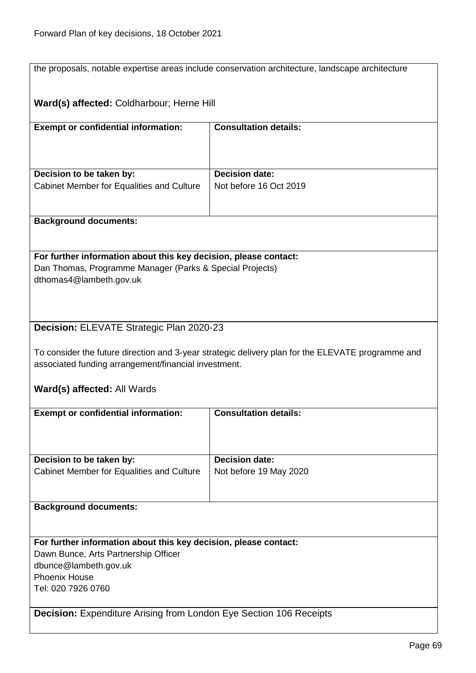|                                                                           | the proposals, notable expertise areas include conservation architecture, landscape architecture  |
|---------------------------------------------------------------------------|---------------------------------------------------------------------------------------------------|
|                                                                           |                                                                                                   |
| Ward(s) affected: Coldharbour; Herne Hill                                 |                                                                                                   |
|                                                                           |                                                                                                   |
| <b>Exempt or confidential information:</b>                                | <b>Consultation details:</b>                                                                      |
|                                                                           |                                                                                                   |
|                                                                           |                                                                                                   |
| Decision to be taken by:                                                  | Decision date:                                                                                    |
| Cabinet Member for Equalities and Culture                                 | Not before 16 Oct 2019                                                                            |
|                                                                           |                                                                                                   |
|                                                                           |                                                                                                   |
| <b>Background documents:</b>                                              |                                                                                                   |
|                                                                           |                                                                                                   |
| For further information about this key decision, please contact:          |                                                                                                   |
| Dan Thomas, Programme Manager (Parks & Special Projects)                  |                                                                                                   |
| dthomas4@lambeth.gov.uk                                                   |                                                                                                   |
|                                                                           |                                                                                                   |
|                                                                           |                                                                                                   |
| Decision: ELEVATE Strategic Plan 2020-23                                  |                                                                                                   |
|                                                                           |                                                                                                   |
|                                                                           | To consider the future direction and 3-year strategic delivery plan for the ELEVATE programme and |
| associated funding arrangement/financial investment.                      |                                                                                                   |
| Ward(s) affected: All Wards                                               |                                                                                                   |
|                                                                           |                                                                                                   |
| <b>Exempt or confidential information:</b>                                | <b>Consultation details:</b>                                                                      |
|                                                                           |                                                                                                   |
|                                                                           |                                                                                                   |
| Decision to be taken by:                                                  | <b>Decision date:</b>                                                                             |
| Cabinet Member for Equalities and Culture                                 | Not before 19 May 2020                                                                            |
|                                                                           |                                                                                                   |
|                                                                           |                                                                                                   |
| <b>Background documents:</b>                                              |                                                                                                   |
|                                                                           |                                                                                                   |
| For further information about this key decision, please contact:          |                                                                                                   |
| Dawn Bunce, Arts Partnership Officer                                      |                                                                                                   |
| dbunce@lambeth.gov.uk                                                     |                                                                                                   |
| <b>Phoenix House</b>                                                      |                                                                                                   |
| Tel: 020 7926 0760                                                        |                                                                                                   |
| <b>Decision:</b> Expenditure Arising from London Eye Section 106 Receipts |                                                                                                   |
|                                                                           |                                                                                                   |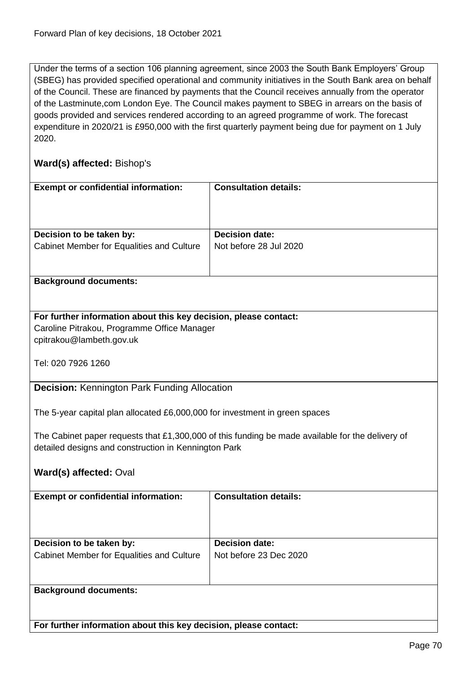Under the terms of a section 106 planning agreement, since 2003 the South Bank Employers' Group (SBEG) has provided specified operational and community initiatives in the South Bank area on behalf of the Council. These are financed by payments that the Council receives annually from the operator of the Lastminute,com London Eye. The Council makes payment to SBEG in arrears on the basis of goods provided and services rendered according to an agreed programme of work. The forecast expenditure in 2020/21 is £950,000 with the first quarterly payment being due for payment on 1 July 2020.

## **Ward(s) affected:** Bishop's

| <b>Exempt or confidential information:</b>                                                       | <b>Consultation details:</b> |
|--------------------------------------------------------------------------------------------------|------------------------------|
|                                                                                                  |                              |
| Decision to be taken by:                                                                         | <b>Decision date:</b>        |
| Cabinet Member for Equalities and Culture                                                        | Not before 28 Jul 2020       |
|                                                                                                  |                              |
| <b>Background documents:</b>                                                                     |                              |
|                                                                                                  |                              |
|                                                                                                  |                              |
| For further information about this key decision, please contact:                                 |                              |
| Caroline Pitrakou, Programme Office Manager                                                      |                              |
| cpitrakou@lambeth.gov.uk                                                                         |                              |
| Tel: 020 7926 1260                                                                               |                              |
|                                                                                                  |                              |
| <b>Decision: Kennington Park Funding Allocation</b>                                              |                              |
|                                                                                                  |                              |
| The 5-year capital plan allocated £6,000,000 for investment in green spaces                      |                              |
|                                                                                                  |                              |
| The Cabinet paper requests that £1,300,000 of this funding be made available for the delivery of |                              |
| detailed designs and construction in Kennington Park                                             |                              |
|                                                                                                  |                              |
| Ward(s) affected: Oval                                                                           |                              |
|                                                                                                  |                              |
| <b>Exempt or confidential information:</b>                                                       | <b>Consultation details:</b> |
|                                                                                                  |                              |
|                                                                                                  |                              |
| Decision to be taken by:                                                                         | <b>Decision date:</b>        |
| <b>Cabinet Member for Equalities and Culture</b>                                                 | Not before 23 Dec 2020       |
|                                                                                                  |                              |
|                                                                                                  |                              |
| <b>Background documents:</b>                                                                     |                              |
|                                                                                                  |                              |
|                                                                                                  |                              |
| For further information about this key decision, please contact:                                 |                              |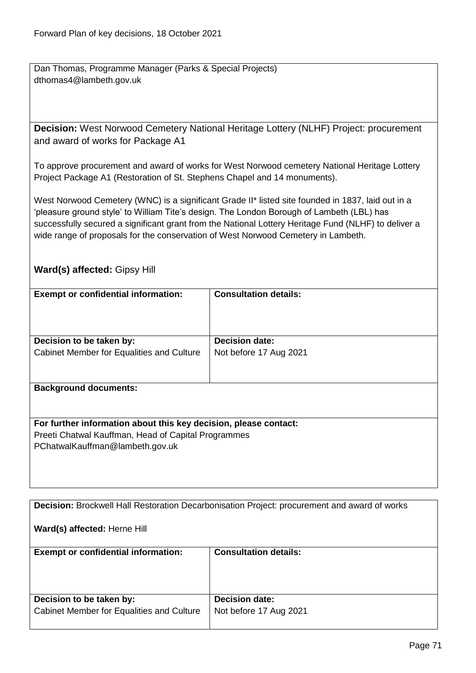Dan Thomas, Programme Manager (Parks & Special Projects) dthomas4@lambeth.gov.uk

**Decision:** West Norwood Cemetery National Heritage Lottery (NLHF) Project: procurement and award of works for Package A1

To approve procurement and award of works for West Norwood cemetery National Heritage Lottery Project Package A1 (Restoration of St. Stephens Chapel and 14 monuments).

West Norwood Cemetery (WNC) is a significant Grade II\* listed site founded in 1837, laid out in a 'pleasure ground style' to William Tite's design. The London Borough of Lambeth (LBL) has successfully secured a significant grant from the National Lottery Heritage Fund (NLHF) to deliver a wide range of proposals for the conservation of West Norwood Cemetery in Lambeth.

## **Ward(s) affected:** Gipsy Hill

| <b>Exempt or confidential information:</b>                       | <b>Consultation details:</b> |
|------------------------------------------------------------------|------------------------------|
|                                                                  | <b>Decision date:</b>        |
| Decision to be taken by:                                         |                              |
| Cabinet Member for Equalities and Culture                        | Not before 17 Aug 2021       |
| <b>Background documents:</b>                                     |                              |
| For further information about this key decision, please contact: |                              |
| Preeti Chatwal Kauffman, Head of Capital Programmes              |                              |
| PChatwalKauffman@lambeth.gov.uk                                  |                              |
|                                                                  |                              |

**Decision:** Brockwell Hall Restoration Decarbonisation Project: procurement and award of works

**Ward(s) affected:** Herne Hill

| <b>Exempt or confidential information:</b> | <b>Consultation details:</b> |
|--------------------------------------------|------------------------------|
| Decision to be taken by:                   | <b>Decision date:</b>        |
| Cabinet Member for Equalities and Culture  | Not before 17 Aug 2021       |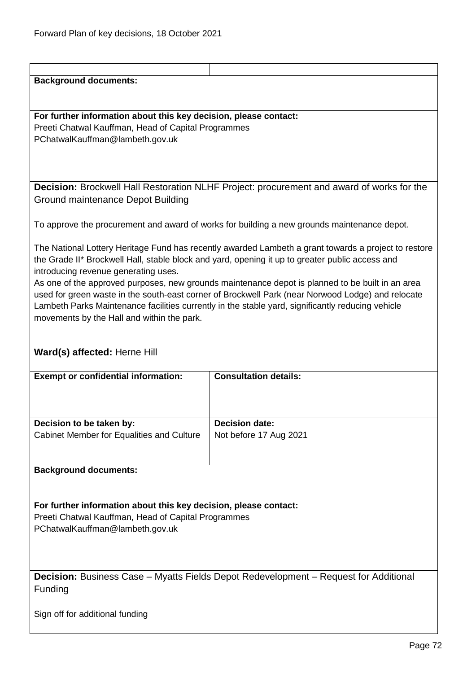# **Background documents: For further information about this key decision, please contact:** Preeti Chatwal Kauffman, Head of Capital Programmes PChatwalKauffman@lambeth.gov.uk **Decision:** Brockwell Hall Restoration NLHF Project: procurement and award of works for the Ground maintenance Depot Building To approve the procurement and award of works for building a new grounds maintenance depot.

The National Lottery Heritage Fund has recently awarded Lambeth a grant towards a project to restore the Grade II\* Brockwell Hall, stable block and yard, opening it up to greater public access and introducing revenue generating uses.

As one of the approved purposes, new grounds maintenance depot is planned to be built in an area used for green waste in the south-east corner of Brockwell Park (near Norwood Lodge) and relocate Lambeth Parks Maintenance facilities currently in the stable yard, significantly reducing vehicle movements by the Hall and within the park.

## **Ward(s) affected:** Herne Hill

| <b>Exempt or confidential information:</b> | <b>Consultation details:</b> |
|--------------------------------------------|------------------------------|
| Decision to be taken by:                   | <b>Decision date:</b>        |
| Cabinet Member for Equalities and Culture  | Not before 17 Aug 2021       |
|                                            |                              |

## **Background documents:**

**For further information about this key decision, please contact:** Preeti Chatwal Kauffman, Head of Capital Programmes PChatwalKauffman@lambeth.gov.uk

**Decision:** Business Case – Myatts Fields Depot Redevelopment – Request for Additional Funding

Sign off for additional funding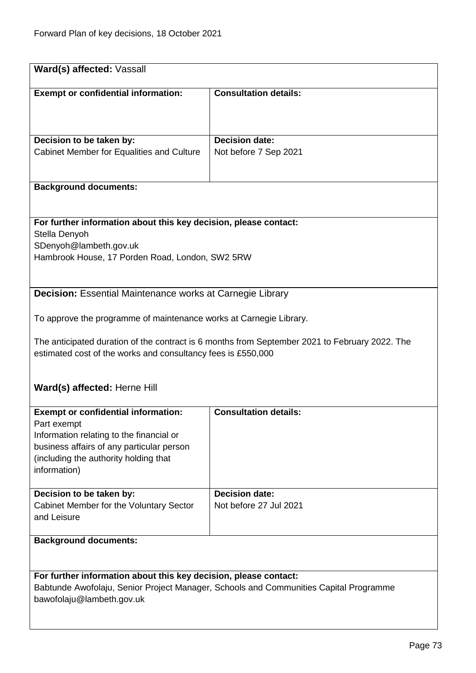| Ward(s) affected: Vassall                                                                                                                                                                                   |                                                 |  |
|-------------------------------------------------------------------------------------------------------------------------------------------------------------------------------------------------------------|-------------------------------------------------|--|
| <b>Exempt or confidential information:</b>                                                                                                                                                                  | <b>Consultation details:</b>                    |  |
| Decision to be taken by:<br>Cabinet Member for Equalities and Culture                                                                                                                                       | <b>Decision date:</b><br>Not before 7 Sep 2021  |  |
| <b>Background documents:</b>                                                                                                                                                                                |                                                 |  |
|                                                                                                                                                                                                             |                                                 |  |
| For further information about this key decision, please contact:<br>Stella Denyoh<br>SDenyoh@lambeth.gov.uk<br>Hambrook House, 17 Porden Road, London, SW2 5RW                                              |                                                 |  |
| <b>Decision:</b> Essential Maintenance works at Carnegie Library                                                                                                                                            |                                                 |  |
| To approve the programme of maintenance works at Carnegie Library.                                                                                                                                          |                                                 |  |
| The anticipated duration of the contract is 6 months from September 2021 to February 2022. The<br>estimated cost of the works and consultancy fees is £550,000                                              |                                                 |  |
| Ward(s) affected: Herne Hill                                                                                                                                                                                |                                                 |  |
| <b>Exempt or confidential information:</b><br>Part exempt<br>Information relating to the financial or<br>business affairs of any particular person<br>(including the authority holding that<br>information) | <b>Consultation details:</b>                    |  |
| Decision to be taken by:<br>Cabinet Member for the Voluntary Sector<br>and Leisure                                                                                                                          | <b>Decision date:</b><br>Not before 27 Jul 2021 |  |
| <b>Background documents:</b>                                                                                                                                                                                |                                                 |  |
| For further information about this key decision, please contact:<br>Babtunde Awofolaju, Senior Project Manager, Schools and Communities Capital Programme<br>bawofolaju@lambeth.gov.uk                      |                                                 |  |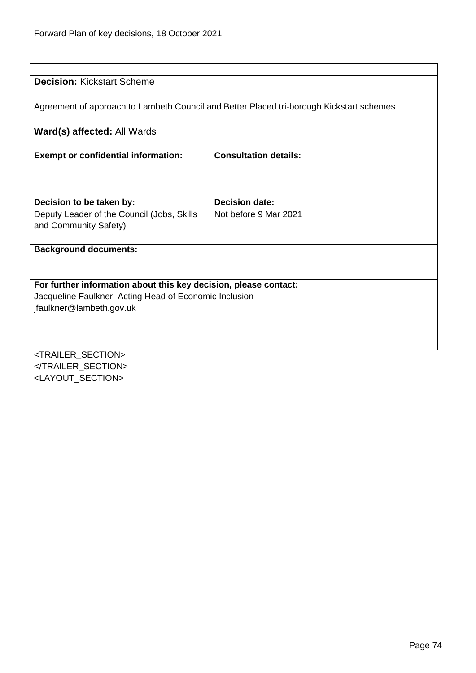| <b>Decision: Kickstart Scheme</b>                                                        |                              |  |
|------------------------------------------------------------------------------------------|------------------------------|--|
| Agreement of approach to Lambeth Council and Better Placed tri-borough Kickstart schemes |                              |  |
| Ward(s) affected: All Wards                                                              |                              |  |
| <b>Exempt or confidential information:</b>                                               | <b>Consultation details:</b> |  |
|                                                                                          |                              |  |
|                                                                                          |                              |  |
| Decision to be taken by:                                                                 | <b>Decision date:</b>        |  |
| Deputy Leader of the Council (Jobs, Skills                                               | Not before 9 Mar 2021        |  |
| and Community Safety)                                                                    |                              |  |
| <b>Background documents:</b>                                                             |                              |  |
|                                                                                          |                              |  |
| For further information about this key decision, please contact:                         |                              |  |
| Jacqueline Faulkner, Acting Head of Economic Inclusion                                   |                              |  |
| jfaulkner@lambeth.gov.uk                                                                 |                              |  |
|                                                                                          |                              |  |
|                                                                                          |                              |  |
|                                                                                          |                              |  |
| <trailer_section></trailer_section>                                                      |                              |  |
|                                                                                          |                              |  |

<LAYOUT\_SECTION>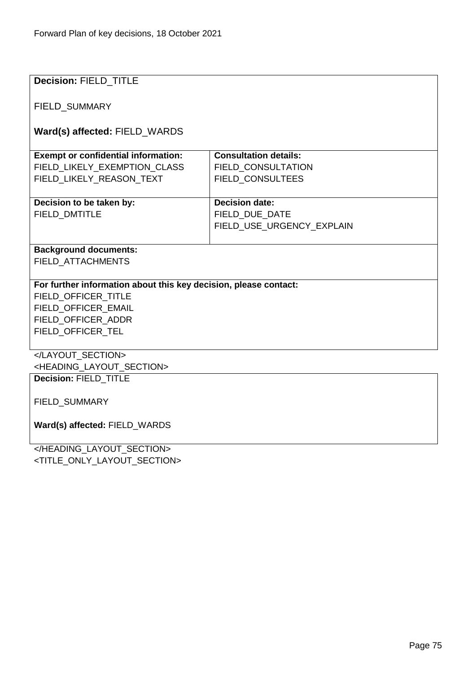| <b>Decision: FIELD TITLE</b>                                     |                              |  |
|------------------------------------------------------------------|------------------------------|--|
|                                                                  |                              |  |
|                                                                  |                              |  |
| <b>FIELD SUMMARY</b>                                             |                              |  |
|                                                                  |                              |  |
| Ward(s) affected: FIELD_WARDS                                    |                              |  |
| <b>Exempt or confidential information:</b>                       | <b>Consultation details:</b> |  |
| FIELD_LIKELY_EXEMPTION_CLASS                                     | FIELD_CONSULTATION           |  |
| FIELD LIKELY REASON TEXT                                         | FIELD_CONSULTEES             |  |
|                                                                  |                              |  |
| Decision to be taken by:                                         | <b>Decision date:</b>        |  |
| <b>FIELD DMTITLE</b>                                             | FIELD DUE DATE               |  |
|                                                                  | FIELD_USE_URGENCY_EXPLAIN    |  |
|                                                                  |                              |  |
| <b>Background documents:</b>                                     |                              |  |
| FIELD ATTACHMENTS                                                |                              |  |
|                                                                  |                              |  |
| For further information about this key decision, please contact: |                              |  |
| FIELD OFFICER TITLE                                              |                              |  |
| FIELD OFFICER EMAIL                                              |                              |  |
| FIELD_OFFICER_ADDR                                               |                              |  |
| FIELD_OFFICER_TEL                                                |                              |  |
|                                                                  |                              |  |
|                                                                  |                              |  |
| <heading layout="" section=""></heading>                         |                              |  |
| Decision: FIELD_TITLE                                            |                              |  |
|                                                                  |                              |  |
| FIELD_SUMMARY                                                    |                              |  |
|                                                                  |                              |  |
| Ward(s) affected: FIELD_WARDS                                    |                              |  |
|                                                                  |                              |  |
| JUEANNIA LAVALIT CEATIAN.                                        |                              |  |

</HEADING\_LAYOUT\_SECTION> <TITLE\_ONLY\_LAYOUT\_SECTION>